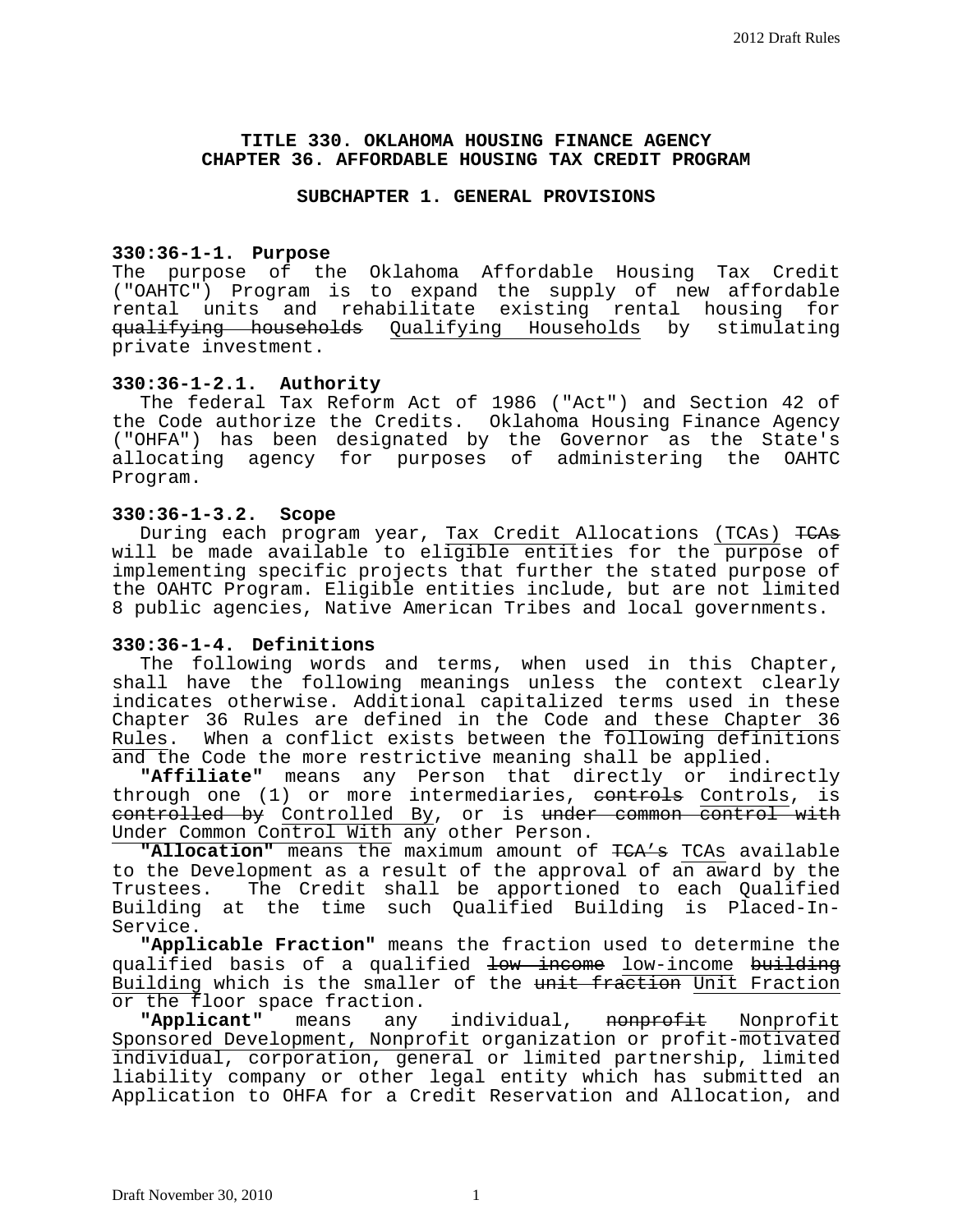## **TITLE 330. OKLAHOMA HOUSING FINANCE AGENCY CHAPTER 36. AFFORDABLE HOUSING TAX CREDIT PROGRAM**

#### **SUBCHAPTER 1. GENERAL PROVISIONS**

## **330:36-1-1. Purpose**

The purpose of the Oklahoma Affordable Housing Tax Credit ("OAHTC") Program is to expand the supply of new affordable rental units and rehabilitate existing rental housing for qualifying households Qualifying Households by stimulating private investment.

## **330:36-1-2.1. Authority**

The federal Tax Reform Act of 1986 ("Act") and Section 42 of the Code authorize the Credits. Oklahoma Housing Finance Agency ("OHFA") has been designated by the Governor as the State's allocating agency for purposes of administering the OAHTC Program.

## **330:36-1-3.2. Scope**

During each program year, Tax Credit Allocations (TCAs) TCAs will be made available to eligible entities for the purpose of implementing specific projects that further the stated purpose of the OAHTC Program. Eligible entities include, but are not limited 8 public agencies, Native American Tribes and local governments.

## **330:36-1-4. Definitions**

The following words and terms, when used in this Chapter, shall have the following meanings unless the context clearly indicates otherwise. Additional capitalized terms used in these Chapter 36 Rules are defined in the Code and these Chapter 36 Rules. When a conflict exists between the following definitions and the Code the more restrictive meaning shall be applied.

**"Affiliate"** means any Person that directly or indirectly through one (1) or more intermediaries, <del>controls</del> Controls, is controlled by Controlled By, or is under common control with Under Common Control With any other Person.

**"Allocation"** means the maximum amount of TCA's TCAs available to the Development as a result of the approval of an award by the Trustees. The Credit shall be apportioned to each Qualified Building at the time such Qualified Building is Placed-In-Service.

**"Applicable Fraction"** means the fraction used to determine the qualified basis of a qualified <del>low income</del> low-income building Building which is the smaller of the unit fraction Unit Fraction or the floor space fraction.<br>"Applicant" means any

any individual, <del>nonprofit</del> Nonprofit Sponsored Development, Nonprofit organization or profit-motivated individual, corporation, general or limited partnership, limited liability company or other legal entity which has submitted an Application to OHFA for a Credit Reservation and Allocation, and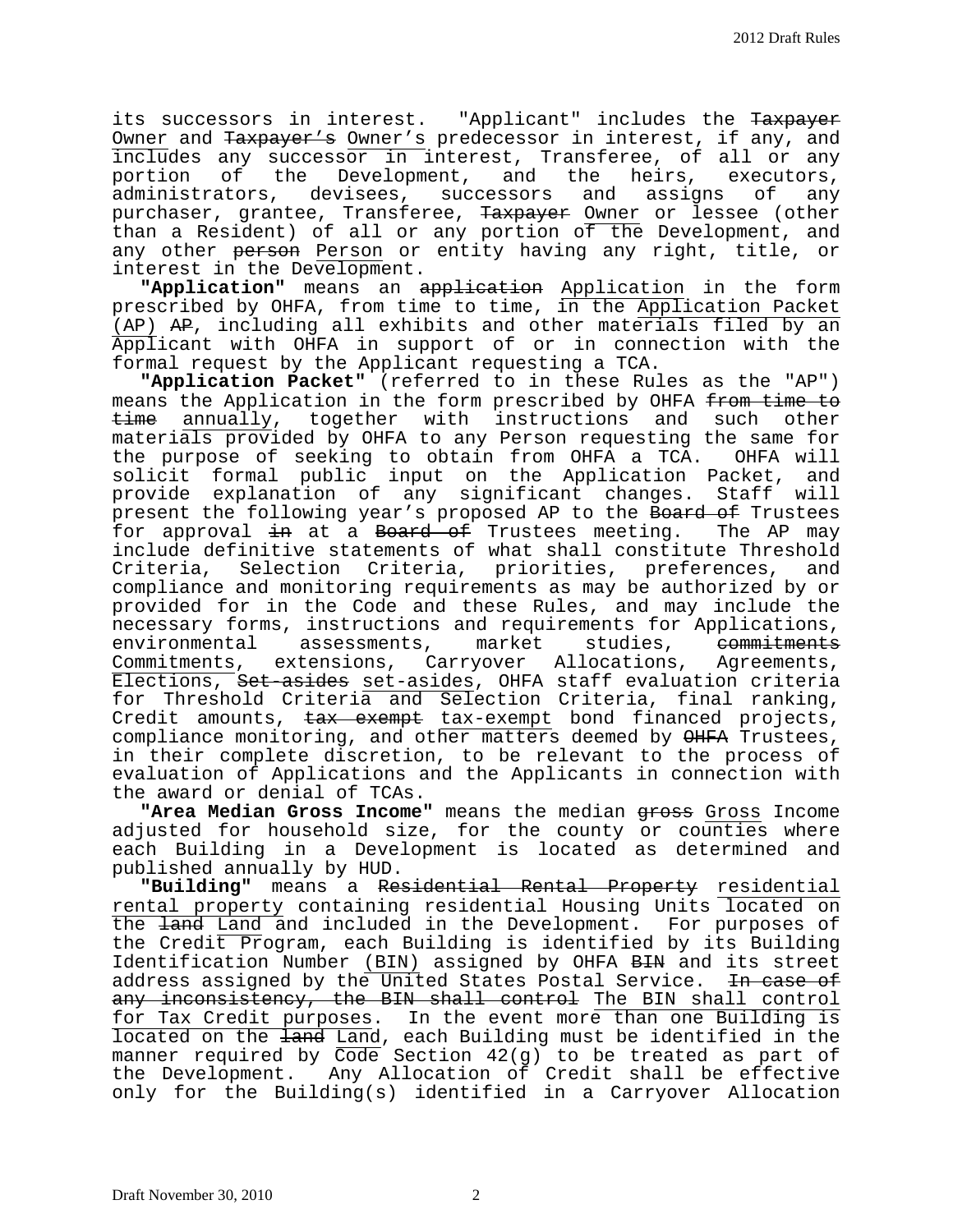its successors in interest. "Applicant" includes the Taxpayer Owner and Taxpayer's Owner's predecessor in interest, if any, and includes any successor in interest, Transferee, of all or any<br>portion of the Development, and the heirs, executors, the Development, and the heirs, executors,<br>s, devisees, successors and assigns of any administrators, devisees, successors and assigns of purchaser, grantee, Transferee, Taxpayer Owner or lessee (other than a Resident) of all or any portion of the Development, and any other person Person or entity having any right, title, or interest in the Development.

**"Application"** means an application Application in the form prescribed by OHFA, from time to time, in the Application Packet (AP) AP, including all exhibits and other materials filed by an Applicant with OHFA in support of or in connection with the formal request by the Applicant requesting a TCA.

**"Application Packet"** (referred to in these Rules as the "AP") means the Application in the form prescribed by OHFA from time to time annually, together with instructions and such other materials provided by OHFA to any Person requesting the same for the purpose of seeking to obtain from OHFA a TCA. OHFA will solicit formal public input on the Application Packet, and provide explanation of any significant changes. Staff will present the following year's proposed AP to the Board of Trustees for approval in at a Board of Trustees meeting. The AP may include definitive statements of what shall constitute Threshold Criteria, Selection Criteria, priorities, preferences, and compliance and monitoring requirements as may be authorized by or provided for in the Code and these Rules, and may include the necessary forms, instructions and requirements for Applications,<br>environmental assessments, market studies, <del>commitments</del> environmental assessments, market Commitments, extensions, Carryover Allocations, Agreements, Elections, Set-asides set-asides, OHFA staff evaluation criteria for Threshold Criteria and Selection Criteria, final ranking, Credit amounts, tax exempt tax-exempt bond financed projects, compliance monitoring, and other matters deemed by OHFA Trustees, in their complete discretion, to be relevant to the process of evaluation of Applications and the Applicants in connection with the award or denial of TCAs.

"Area Median Gross Income" means the median gross Gross Income adjusted for household size, for the county or counties where each Building in a Development is located as determined and published annually by HUD.

**"Building"** means a Residential Rental Property residential rental property containing residential Housing Units located on the land Land and included in the Development. For purposes of the Credit Program, each Building is identified by its Building Identification Number (BIN) assigned by OHFA BIN and its street address assigned by the United States Postal Service. <del>In case of</del> any inconsistency, the BIN shall control The BIN shall control for Tax Credit purposes. In the event more than one Building is located on the land Land, each Building must be identified in the manner required by Code Section 42(g) to be treated as part of the Development. Any Allocation of Credit shall be effective only for the Building(s) identified in a Carryover Allocation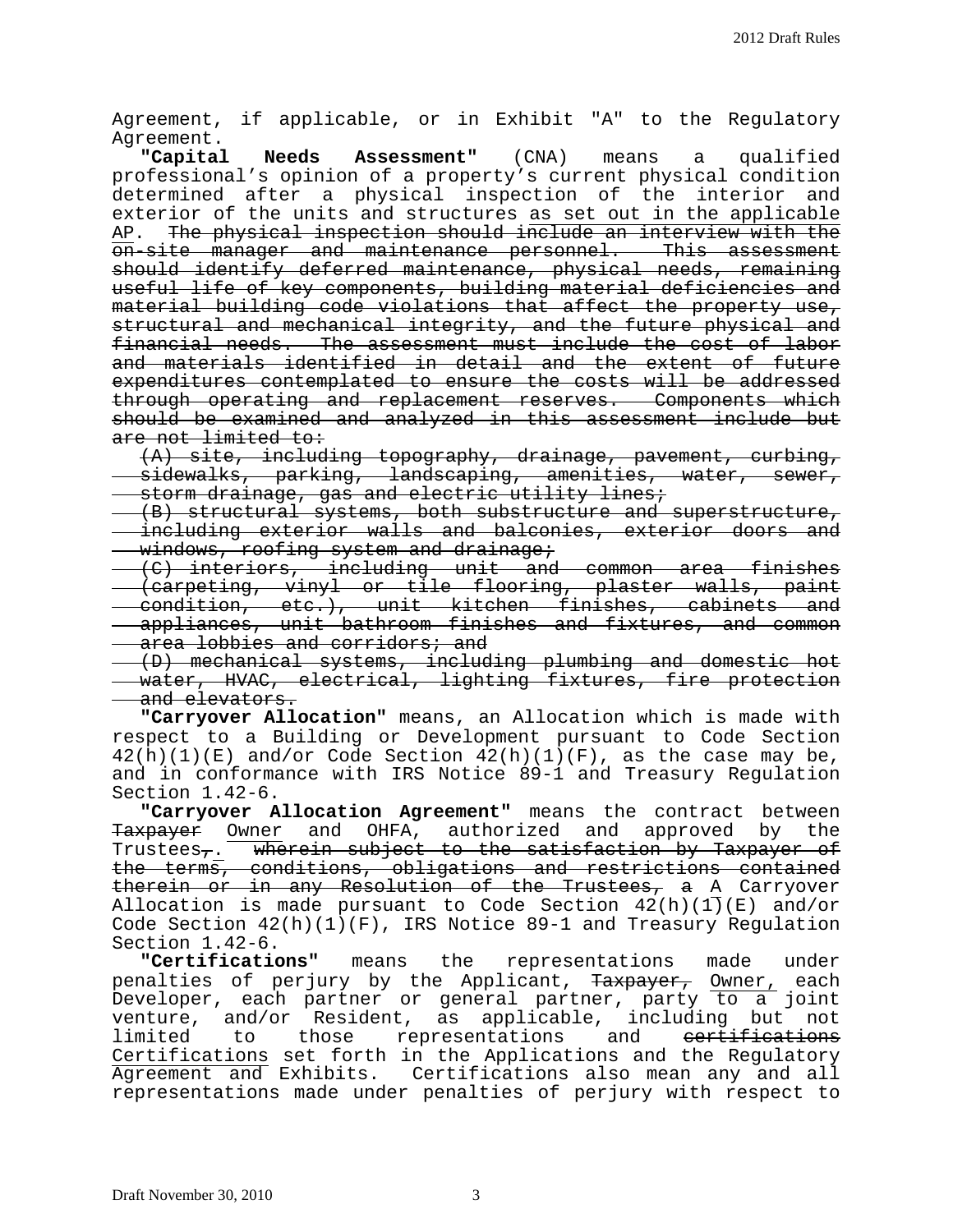Agreement, if applicable, or in Exhibit "A" to the Regulatory Agreement.<br>Capital

**Needs Assessment"** (CNA) means a qualified professional's opinion of a property's current physical condition determined after a physical inspection of the interior and exterior of the units and structures as set out in the applicable<br>AP. The physical inspection should include an interview with the The physical inspection should include an interview with the on-site manager and maintenance personnel. This assessment should identify deferred maintenance, physical needs, remaining useful life of key components, building material deficiencies and material building code violations that affect the property use, structural and mechanical integrity, and the future physical and financial needs. The assessment must include the cost of labor and materials identified in detail and the extent of future expenditures contemplated to ensure the costs will be addressed through operating and replacement reserves. Components which should be examined and analyzed in this assessment include but are not limited to:

(A) site, including topography, drainage, pavement, curbing, sidewalks, parking, landscaping, amenities, water, sewer, storm drainage, gas and electric utility lines;

(B) structural systems, both substructure and superstructure, including exterior walls and balconies, exterior doors and windows, roofing system and drainage;

(C) interiors, including unit and common area finishes (carpeting, vinyl or tile flooring, plaster walls, paint condition, etc.), unit kitchen finishes, cabinets and appliances, unit bathroom finishes and fixtures, and common **area lobbies and corridors; and** 

(D) mechanical systems, including plumbing and domestic hot water, HVAC, electrical, lighting fixtures, fire protection and elevators.

**"Carryover Allocation"** means, an Allocation which is made with respect to a Building or Development pursuant to Code Section  $42(h)(1)(E)$  and/or Code Section  $42(h)(1)(F)$ , as the case may be, and in conformance with IRS Notice 89-1 and Treasury Regulation Section 1.42-6.

**"Carryover Allocation Agreement"** means the contract between Taxpayer Owner and OHFA, authorized and approved by the Trustees<sub>7</sub>. wherein subject to the satisfaction by Taxpayer of the terms, conditions, obligations and restrictions contained therein or in any Resolution of the Trustees, a A Carryover Allocation is made pursuant to Code Section  $42(h)(1)(E)$  and/or Code Section 42(h)(1)(F), IRS Notice 89-1 and Treasury Regulation<br>Section 1.42-6.

"Certifications" means the representations made under penalties of perjury by the Applicant, <del>Taxpayer,</del> <u>Owner,</u> each Developer, each partner or general partner, party to a joint venture, and/or Resident, as applicable, including but not<br>limited to those representations and <del>certifications</del> to those representations Certifications set forth in the Applications and the Regulatory Agreement and Exhibits. Certifications also mean any and all representations made under penalties of perjury with respect to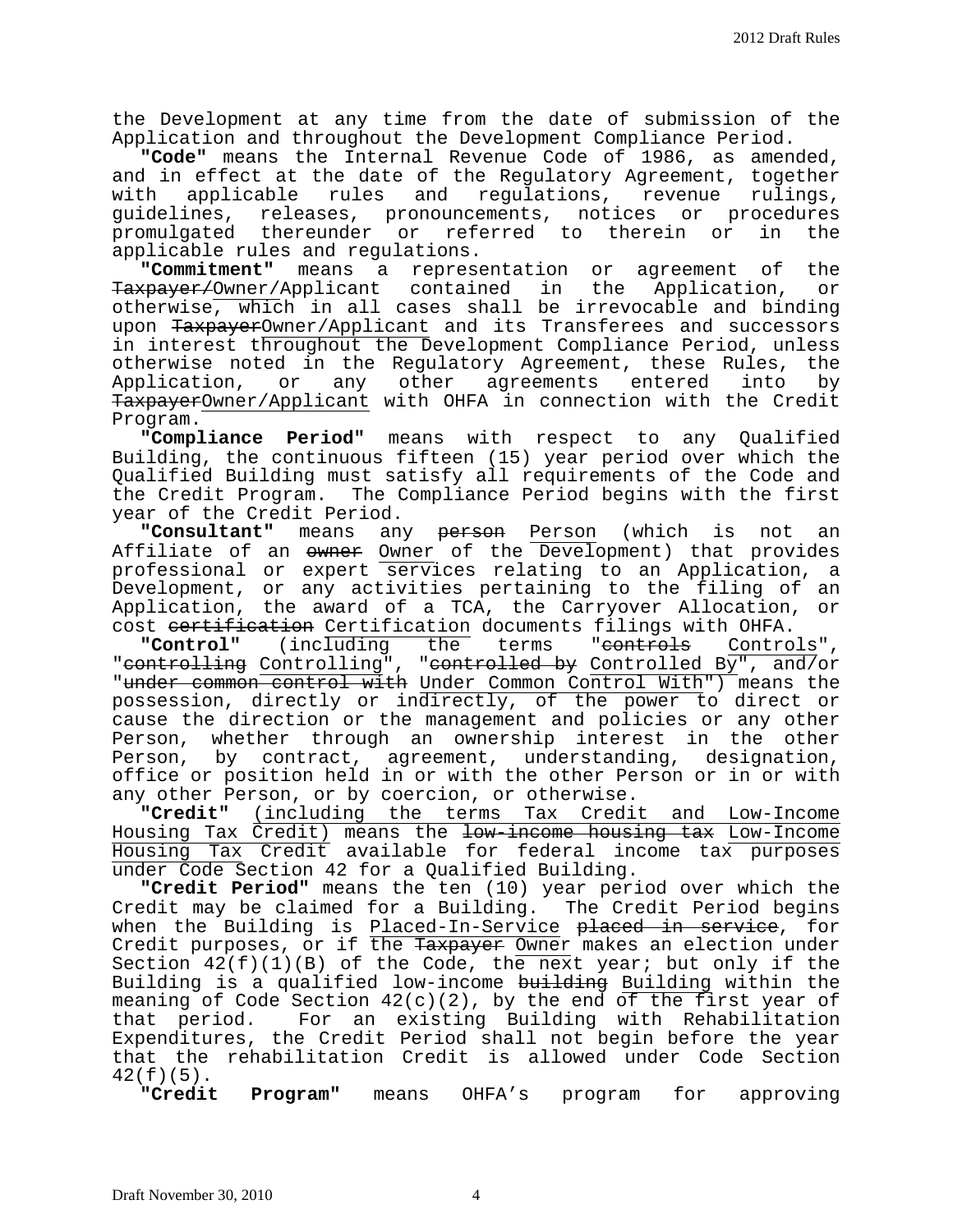the Development at any time from the date of submission of the Application and throughout the Development Compliance Period.

**"Code"** means the Internal Revenue Code of 1986, as amended, and in effect at the date of the Regulatory Agreement, together<br>with applicable rules and requlations, revenue rulings, applicable rules and regulations, revenue rulings, guidelines, releases, pronouncements, notices or procedures<br>promulgated thereunder or referred to therein or in the promulgated thereunder or referred to therein or applicable rules and regulations.

**"Commitment"** means a representation or agreement of the Taxpayer/Owner/Applicant contained in the Application, or otherwise, which in all cases shall be irrevocable and binding upon TaxpayerOwner/Applicant and its Transferees and successors in interest throughout the Development Compliance Period, unless otherwise noted in the Regulatory Agreement, these Rules, the<br>Application, or any other agreements entered into by agreements entered TaxpayerOwner/Applicant with OHFA in connection with the Credit<br>Program.

Program. **"Compliance Period"** means with respect to any Qualified Building, the continuous fifteen (15) year period over which the Qualified Building must satisfy all requirements of the Code and the Credit Program. The Compliance Period begins with the first year of the Credit Period.<br>"Consultant" means an

any <del>person</del> Person (which is not an Affiliate of an owner Owner of the Development) that provides professional or expert services relating to an Application, a Development, or any activities pertaining to the filing of an Application, the award of a TCA, the Carryover Allocation, or

cost <del>certification</del> Certification documents filings with OHFA.<br>**"Control"** (including the terms "<del>controls</del> Controls", "controlling Controlling", "controlled by Controlled By", and/or "under common control with Under Common Control With") means the possession, directly or indirectly, of the power to direct or cause the direction or the management and policies or any other Person, whether through an ownership interest in the other Person, by contract, agreement, understanding, designation, office or position held in or with the other Person or in or with any other Person, or by coercion, or otherwise.<br>"Credit" (including the terms Tax Credi

**"Credit"** (including the terms Tax Credit and Low-Income Housing Tax Credit) means the <del>low-income housing tax</del> Low-Income Housing Tax Credit available for federal income tax purposes under Code Section 42 for a Qualified Building.

**"Credit Period"** means the ten (10) year period over which the Credit may be claimed for a Building. The Credit Period begins when the Building is <u>Placed-In-Service</u> <del>placed in service</del>, for Credit purposes, or if the <del>Taxpayer</del> <u>Owner</u> makes an election under Section  $42(f)(1)(B)$  of the Code, the next year; but only if the Building is a qualified low-income building Building within the meaning of Code Section  $42(c)(2)$ , by the end of the first year of<br>that period. For an existing Building with Rehabilitation For an existing Building with Rehabilitation Expenditures, the Credit Period shall not begin before the year that the rehabilitation Credit is allowed under Code Section  $42(f)(5)$ .<br>"Credit"

**Program"** means OHFA's program for approving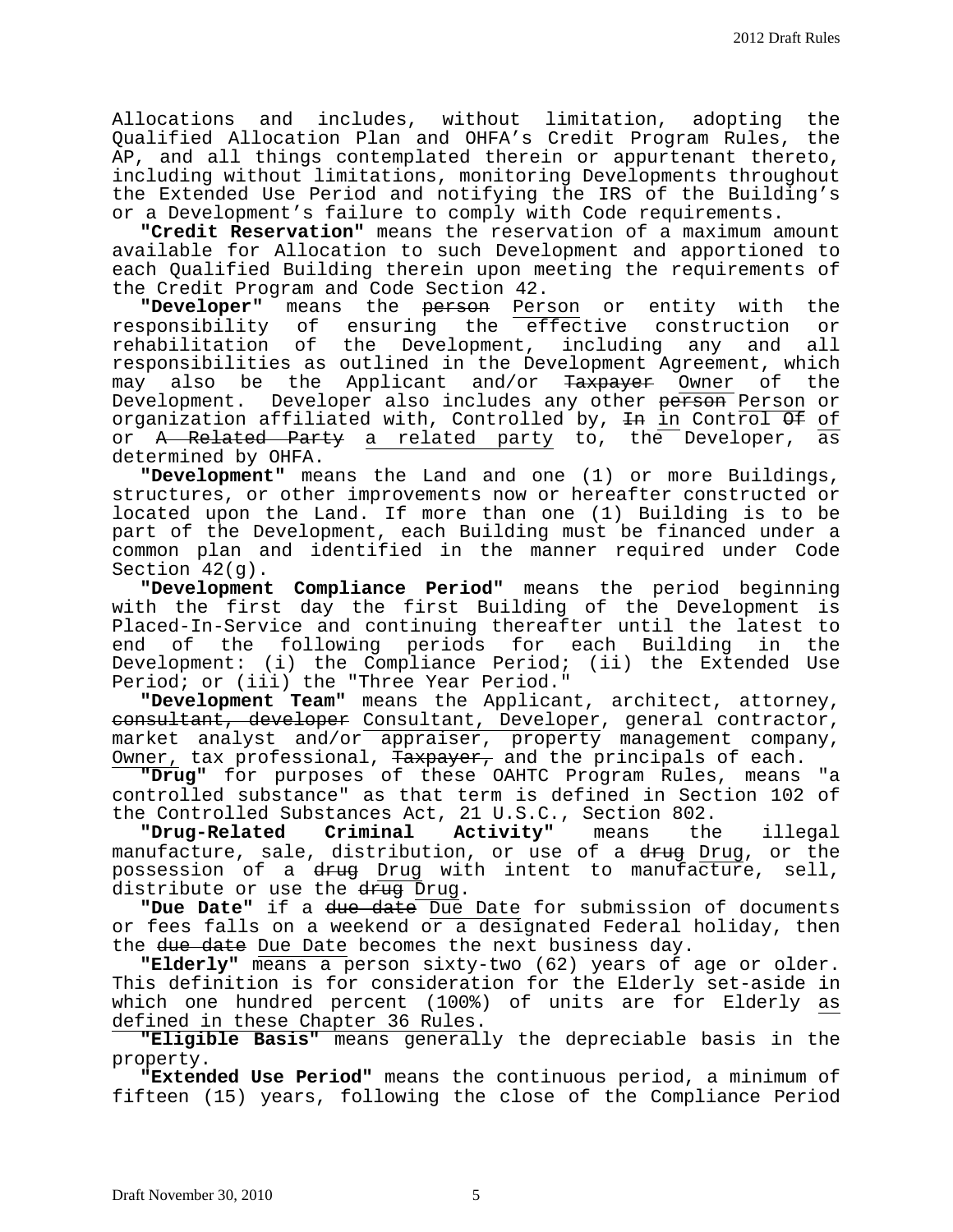Allocations and includes, without limitation, adopting the Qualified Allocation Plan and OHFA's Credit Program Rules, the AP, and all things contemplated therein or appurtenant thereto, including without limitations, monitoring Developments throughout the Extended Use Period and notifying the IRS of the Building's or a Development's failure to comply with Code requirements.

**"Credit Reservation"** means the reservation of a maximum amount available for Allocation to such Development and apportioned to each Qualified Building therein upon meeting the requirements of the Credit Program and Code Section 42.

**"Developer"** means the <del>person</del> Person or entity with the responsibility of ensuring the effective construction or responsibility of ensuring the effective construction or<br>rehabilitation of the Development, including any and all the Development, including any and all responsibilities as outlined in the Development Agreement, which<br>may also be the Applicant and/or <del>Taxpayer</del> Owner of the may also be the Applicant and/or <del>Taxpayer</del> Owner of Development. Developer also includes any other person Person or organization affiliated with, Controlled by,  $\pm n$  in Control  $\Theta$  of or <del>A Related Party</del> a related party to, the Developer, as determined by OHFA.

**"Development"** means the Land and one (1) or more Buildings, structures, or other improvements now or hereafter constructed or located upon the Land. If more than one (1) Building is to be part of the Development, each Building must be financed under a common plan and identified in the manner required under Code Section 42(g).

**"Development Compliance Period"** means the period beginning with the first day the first Building of the Development is Placed-In-Service and continuing thereafter until the latest to end of the following periods for each Building in the Development: (i) the Compliance Period; (ii) the Extended Use Period; or (iii) the "Three Year Period."

**"Development Team"** means the Applicant, architect, attorney, consultant, developer Consultant, Developer, general contractor, market analyst and/or appraiser, property management company, Owner, tax professional, Taxpayer, and the principals of each.

**"Drug"** for purposes of these OAHTC Program Rules, means "a controlled substance" as that term is defined in Section 102 of

the Controlled Substances Act, 21 U.S.C., Section 802.<br>"Drug-Related Criminal Activity" means the **"Drug-Related Criminal Activity"** means the illegal manufacture, sale, distribution, or use of a <del>drug</del> Drug, or the possession of a drug Drug with intent to manufacture, sell, distribute or use the drug Drug.

**"Due Date"** if a due date Due Date for submission of documents or fees falls on a weekend or a designated Federal holiday, then the due date Due Date becomes the next business day.

**"Elderly"** means a person sixty-two (62) years of age or older. This definition is for consideration for the Elderly set-aside in which one hundred percent (100%) of units are for Elderly as defined in these Chapter 36 Rules.

**"Eligible Basis"** means generally the depreciable basis in the

"Extended Use Period" means the continuous period, a minimum of fifteen (15) years, following the close of the Compliance Period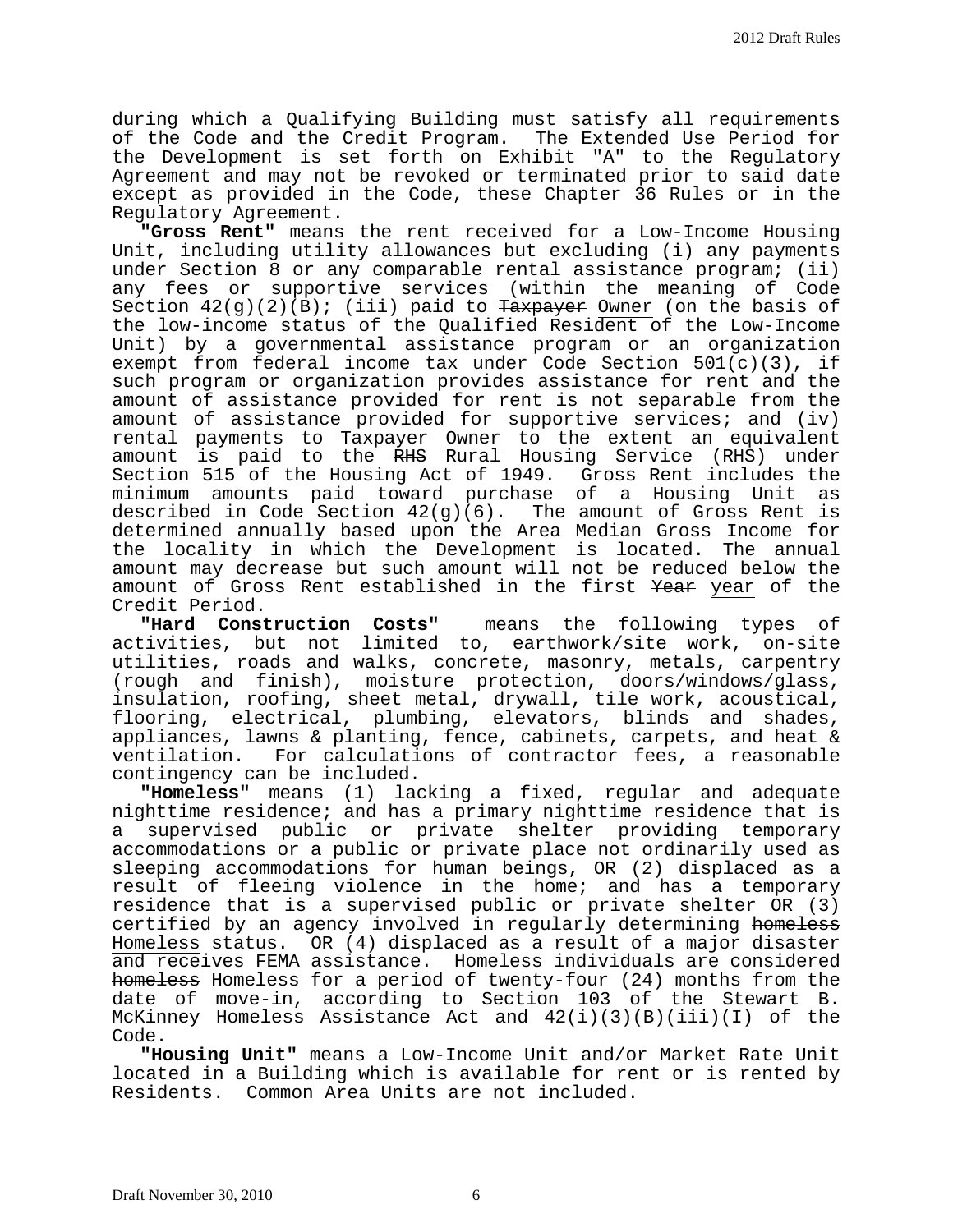during which a Qualifying Building must satisfy all requirements of the Code and the Credit Program. The Extended Use Period for the Development is set forth on Exhibit "A" to the Regulatory Agreement and may not be revoked or terminated prior to said date except as provided in the Code, these Chapter 36 Rules or in the Regulatory Agreement.

**"Gross Rent"** means the rent received for a Low-Income Housing Unit, including utility allowances but excluding (i) any payments under Section 8 or any comparable rental assistance program; (ii) any fees or supportive services (within the meaning of Code Section  $42(g)(2)(B)$ ; (iii) paid to Taxpayer Owner (on the basis of the low-income status of the Qualified Resident of the Low-Income Unit) by a governmental assistance program or an organization exempt from federal income tax under Code Section  $501(c)(3)$ , if such program or organization provides assistance for rent and the amount of assistance provided for rent is not separable from the amount of assistance provided for supportive services; and (iv) rental payments to Taxpayer Owner to the extent an equivalent amount is paid to the RHS Rural Housing Service (RHS) under Section 515 of the Housing Act of 1949. Gross Rent includes the<br>minimum amounts paid toward purchase of a Housing Unit as minimum amounts paid toward purchase of a Housing Unit described in Code Section 42(g)(6). The amount of Gross Rent is determined annually based upon the Area Median Gross Income for the locality in which the Development is located. The annual amount may decrease but such amount will not be reduced below the amount of Gross Rent established in the first Year year of the

Credit Period.<br>"Hard Construction Costs" means the following types of activities, but not limited to, earthwork/site work, on-site utilities, roads and walks, concrete, masonry, metals, carpentry (rough and finish), moisture protection, doors/windows/glass, insulation, roofing, sheet metal, drywall, tile work, acoustical, flooring, electrical, plumbing, elevators, blinds and shades, appliances, lawns & planting, fence, cabinets, carpets, and heat & ventilation. For calculations of contractor fees, a reasonable For calculations of contractor fees, a reasonable contingency can be included.

**"Homeless"** means (1) lacking a fixed, regular and adequate nighttime residence; and has a primary nighttime residence that is a supervised public or private shelter providing temporary accommodations or a public or private place not ordinarily used as sleeping accommodations for human beings, OR (2) displaced as a result of fleeing violence in the home; and has a temporary residence that is a supervised public or private shelter OR (3) certified by an agency involved in regularly determining homeless Homeless status. OR (4) displaced as a result of a major disaster and receives FEMA assistance. Homeless individuals are considered homeless Homeless for a period of twenty-four (24) months from the date of move-in, according to Section 103 of the Stewart B. McKinney Homeless Assistance Act and 42(i)(3)(B)(iii)(I) of the Code.

**"Housing Unit"** means a Low-Income Unit and/or Market Rate Unit located in a Building which is available for rent or is rented by Residents. Common Area Units are not included.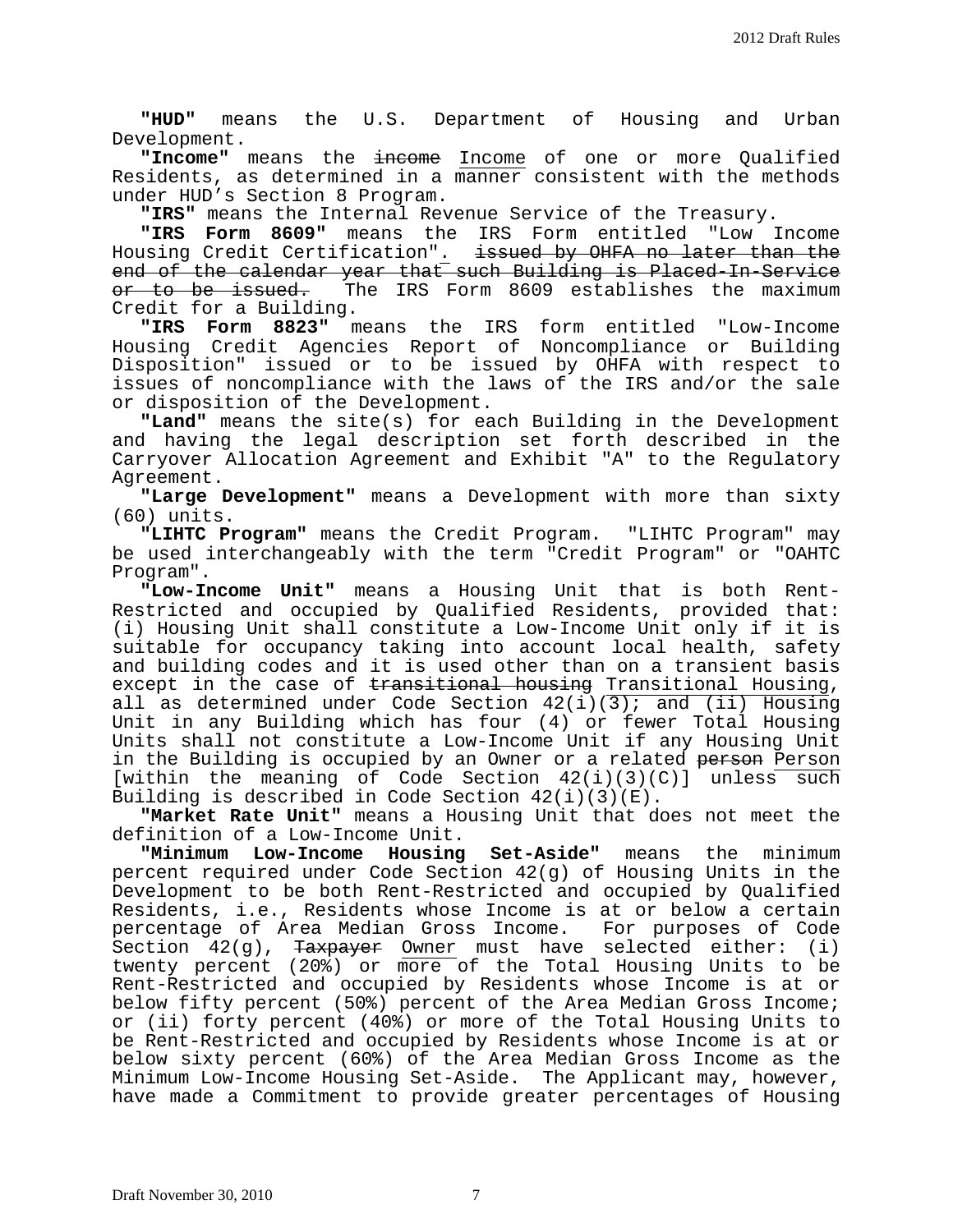**"HUD"** means the U.S. Department of Housing and Urban Development.

**"Income"** means the income Income of one or more Qualified Residents, as determined in a manner consistent with the methods under HUD's Section 8 Program.

**"IRS"** means the Internal Revenue Service of the Treasury.

"IRS Form 8609" means the IRS Form entitled Housing Credit Certification". issued by OHFA no later than the end of the calendar year that such Building is Placed-In-Service<br>or to be issued. The IRS Form 8609 establishes the maximum or to be issued. The IRS Form 8609 establishes the maximum<br>Credit for a Building.

"IRS Form 8823" means the IRS form entitled "Low-Income Housing Credit Agencies Report of Noncompliance or Building Disposition" issued or to be issued by OHFA with respect to issues of noncompliance with the laws of the IRS and/or the sale or disposition of the Development.

**"Land"** means the site(s) for each Building in the Development and having the legal description set forth described in the Carryover Allocation Agreement and Exhibit "A" to the Regulatory Agreement.

**"Large Development"** means a Development with more than sixty (60) units.

**"LIHTC Program"** means the Credit Program. "LIHTC Program" may be used interchangeably with the term "Credit Program" or "OAHTC Program".

**"Low-Income Unit"** means a Housing Unit that is both Rent-Restricted and occupied by Qualified Residents, provided that: (i) Housing Unit shall constitute a Low-Income Unit only if it is suitable for occupancy taking into account local health, safety and building codes and it is used other than on a transient basis except in the case of transitional housing Transitional Housing, all as determined under Code Section  $42(i)(\overline{3})$ ; and  $(ii)$  Housing Unit in any Building which has four (4) or fewer Total Housing Units shall not constitute a Low-Income Unit if any Housing Unit in the Building is occupied by an Owner or a related person Person [within the meaning of Code Section 42(i)(3)(C)] unless such Building is described in Code Section 42(i)(3)(E).

**"Market Rate Unit"** means a Housing Unit that does not meet the

**"Minimum Low-Income Housing Set-Aside"** means the minimum percent required under Code Section 42(g) of Housing Units in the Development to be both Rent-Restricted and occupied by Qualified Residents, i.e., Residents whose Income is at or below a certain percentage of Area Median Gross Income. For purposes of Code Section  $42(g)$ , Taxpayer Owner must have selected either: (i) twenty percent (20%) or more of the Total Housing Units to be Rent-Restricted and occupied by Residents whose Income is at or below fifty percent (50%) percent of the Area Median Gross Income; or (ii) forty percent (40%) or more of the Total Housing Units to be Rent-Restricted and occupied by Residents whose Income is at or below sixty percent (60%) of the Area Median Gross Income as the Minimum Low-Income Housing Set-Aside. The Applicant may, however, have made a Commitment to provide greater percentages of Housing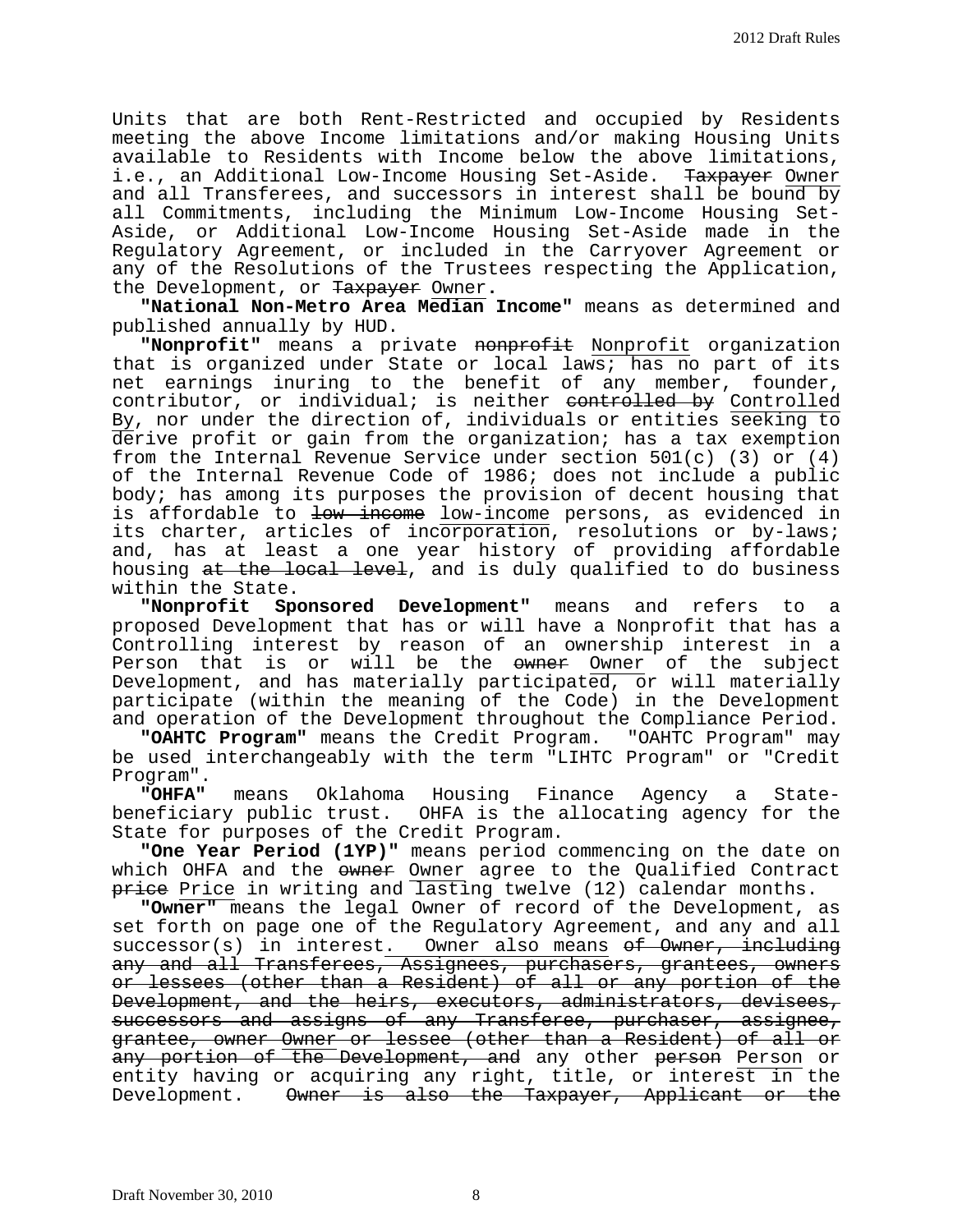Units that are both Rent-Restricted and occupied by Residents meeting the above Income limitations and/or making Housing Units available to Residents with Income below the above limitations, i.e., an Additional Low-Income Housing Set-Aside. <del>Taxpayer</del> Owner and all Transferees, and successors in interest shall be bound by all Commitments, including the Minimum Low-Income Housing Set-Aside, or Additional Low-Income Housing Set-Aside made in the Regulatory Agreement, or included in the Carryover Agreement or any of the Resolutions of the Trustees respecting the Application, the Development, or Taxpayer Owner**.**

**"National Non-Metro Area Median Income"** means as determined and published annually by HUD.

"Nonprofit" means a private nonprofit Nonprofit organization that is organized under State or local laws; has no part of its net earnings inuring to the benefit of any member, founder, contributor, or individual; is neither controlled by Controlled By, nor under the direction of, individuals or entities seeking to derive profit or gain from the organization; has a tax exemption from the Internal Revenue Service under section 501(c) (3) or (4) of the Internal Revenue Code of 1986; does not include a public body; has among its purposes the provision of decent housing that is affordable to low income low-income persons, as evidenced in its charter, articles of incorporation, resolutions or by-laws; and, has at least a one year history of providing affordable housing at the local level, and is duly qualified to do business

within the State.<br>**Wonprofit** Sp Sponsored Development" means and refers to a proposed Development that has or will have a Nonprofit that has a Controlling interest by reason of an ownership interest in a Person that is or will be the owner Owner of the subject Development, and has materially participated, or will materially participate (within the meaning of the Code) in the Development and operation of the Development throughout the Compliance Period.

**"OAHTC Program"** means the Credit Program. "OAHTC Program" may be used interchangeably with the term "LIHTC Program" or "Credit Program".

**"OHFA"** means Oklahoma Housing Finance Agency a Statebeneficiary public trust. OHFA is the allocating agency for the State for purposes of the Credit Program.

**"One Year Period (1YP)"** means period commencing on the date on which OHFA and the owner Owner agree to the Qualified Contract price Price in writing and lasting twelve (12) calendar months.

**"Owner"** means the legal Owner of record of the Development, as set forth on page one of the Regulatory Agreement, and any and all successor(s) in interest. Owner also means of Owner, including any and all Transferees, Assignees, purchasers, grantees, owners or lessees (other than a Resident) of all or any portion of the Development, and the heirs, executors, administrators, devisees, successors and assigns of any Transferee, purchaser, assignee, grantee, owner Owner or lessee (other than a Resident) of all or any portion of the Development, and any other person Person or entity having or acquiring any right, title, or interest in the Development. Owner is also the Taxpayer, Applicant or the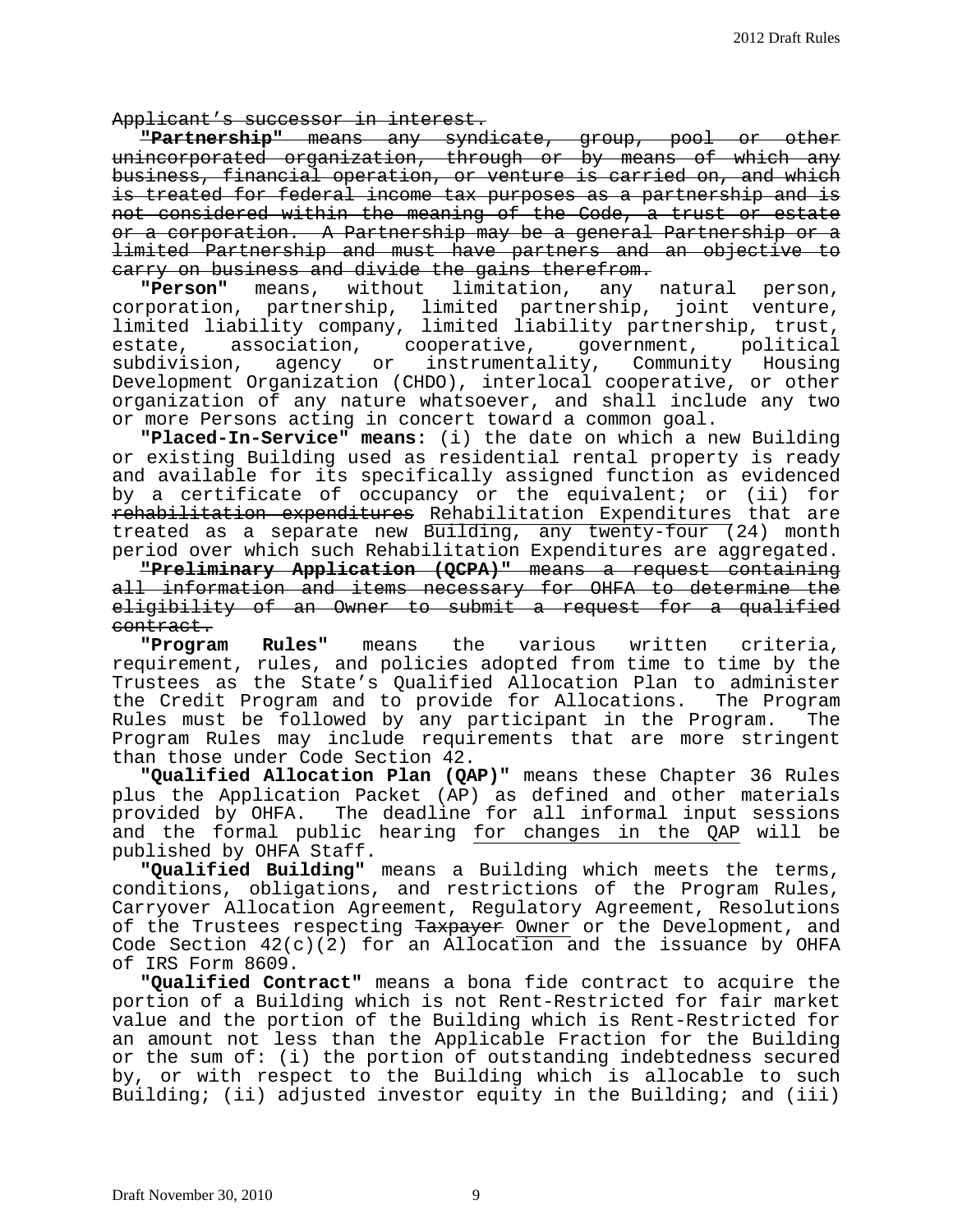Applicant's successor in interest.

**"Partnership"** means any syndicate, group, pool or other unincorporated organization, through or by means of which any business, financial operation, or venture is carried on, and which is treated for federal income tax purposes as a partnership and is not considered within the meaning of the Code, a trust or estate or a corporation. A Partnership may be a general Partnership or a limited Partnership and must have partners and an objective to carry on business and divide the gains therefrom.

**"Person"** means, without limitation, any natural person, corporation, partnership, limited partnership, joint venture, limited liability company, limited liability partnership, trust, estate, association, cooperative, government, political subdivision, agency or instrumentality, Community Housing Development Organization (CHDO), interlocal cooperative, or other organization of any nature whatsoever, and shall include any two or more Persons acting in concert toward a common goal.

**"Placed-In-Service" means:** (i) the date on which a new Building or existing Building used as residential rental property is ready and available for its specifically assigned function as evidenced by a certificate of occupancy or the equivalent; or (ii) for rehabilitation expenditures Rehabilitation Expenditures that are treated as a separate new Building, any twenty-four (24) month period over which such Rehabilitation Expenditures are aggregated.

**"Preliminary Application (QCPA)"** means a request containing all information and items necessary for OHFA to determine the eligibility of an Owner to submit a request for a qualified

contract. **"Program Rules"** means the various written criteria, requirement, rules, and policies adopted from time to time by the Trustees as the State's Qualified Allocation Plan to administer the Credit Program and to provide for Allocations. The Program Rules must be followed by any participant in the Program. The Program Rules may include requirements that are more stringent than those under Code Section 42.

**"Qualified Allocation Plan (QAP)"** means these Chapter 36 Rules plus the Application Packet (AP) as defined and other materials provided by OHFA. The deadline for all informal input sessions and the formal public hearing for changes in the QAP will be published by OHFA Staff.

**"Qualified Building"** means a Building which meets the terms, conditions, obligations, and restrictions of the Program Rules, Carryover Allocation Agreement, Regulatory Agreement, Resolutions of the Trustees respecting Taxpayer Owner or the Development, and Code Section  $42(c)(2)$  for an Allocation and the issuance by OHFA of IRS Form 8609.

**"Qualified Contract"** means a bona fide contract to acquire the portion of a Building which is not Rent-Restricted for fair market value and the portion of the Building which is Rent-Restricted for an amount not less than the Applicable Fraction for the Building or the sum of: (i) the portion of outstanding indebtedness secured by, or with respect to the Building which is allocable to such Building; (ii) adjusted investor equity in the Building; and (iii)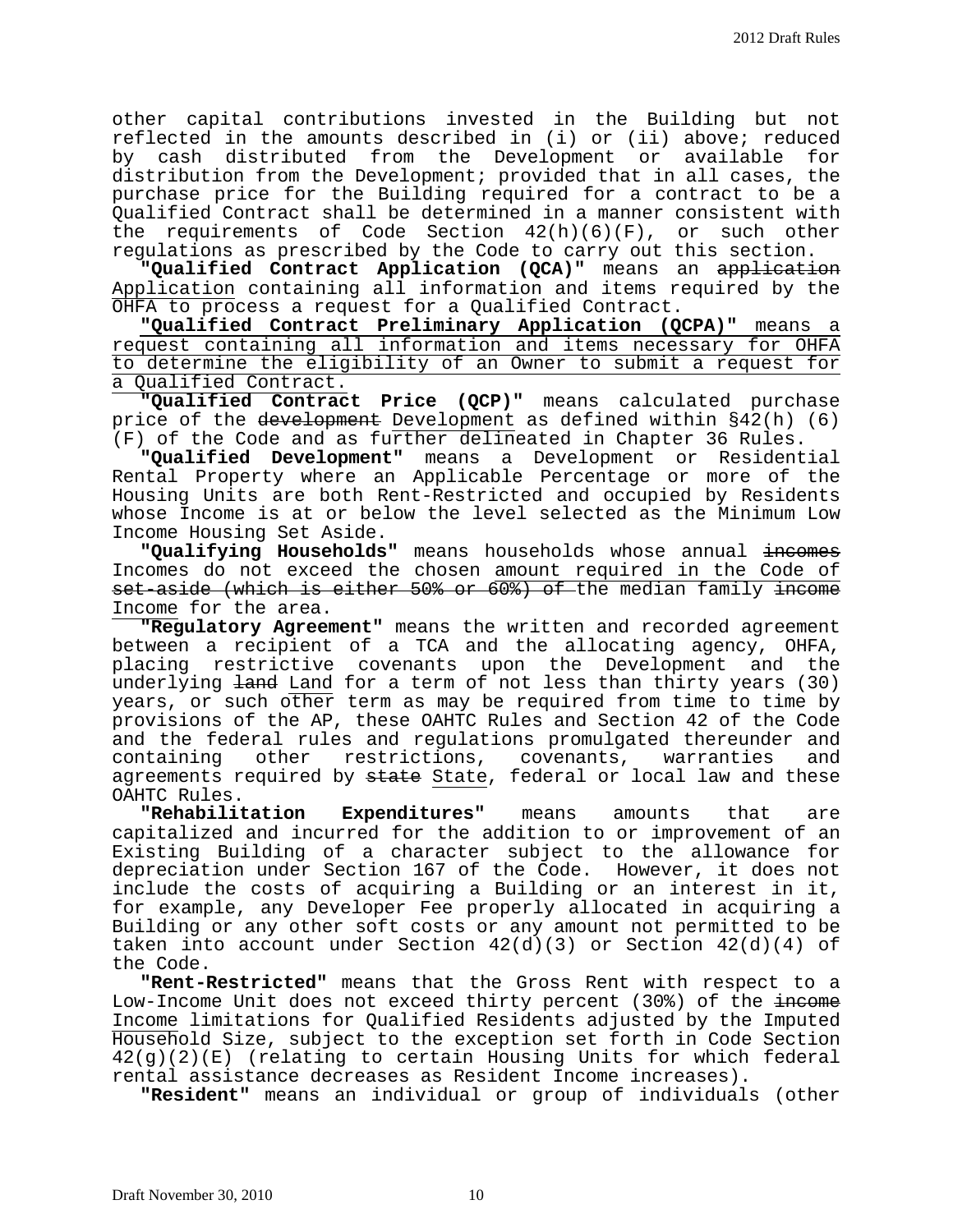other capital contributions invested in the Building but not reflected in the amounts described in (i) or (ii) above; reduced by cash distributed from the Development or available for distribution from the Development; provided that in all cases, the purchase price for the Building required for a contract to be a Qualified Contract shall be determined in a manner consistent with the requirements of Code Section  $42(h)(6)(F)$ , or such other regulations as prescribed by the Code to carry out this section.

**"Qualified Contract Application (QCA)"** means an application Application containing all information and items required by the OHFA to process a request for a Qualified Contract.

**"Qualified Contract Preliminary Application (QCPA)"** means a request containing all information and items necessary for OHFA to determine the eligibility of an Owner to submit a request for a Qualified Contract.

**"Qualified Contract Price (QCP)"** means calculated purchase price of the development Development as defined within §42(h) (6) (F) of the Code and as further delineated in Chapter 36 Rules.

**"Qualified Development"** means a Development or Residential Rental Property where an Applicable Percentage or more of the Housing Units are both Rent-Restricted and occupied by Residents whose Income is at or below the level selected as the Minimum Low Income Housing Set Aside.

"Qualifying Households" means households whose annual incomes Incomes do not exceed the chosen amount required in the Code of set-aside (which is either 50% or 60%) of the median family income Income for the area.

**"Regulatory Agreement"** means the written and recorded agreement between a recipient of a TCA and the allocating agency, OHFA, placing restrictive covenants upon the Development and the underlying land Land for a term of not less than thirty years (30) years, or such other term as may be required from time to time by provisions of the AP, these OAHTC Rules and Section 42 of the Code and the federal rules and regulations promulgated thereunder and<br>containing other restrictions, covenants, warranties and restrictions, covenants, warranties agreements required by state State, federal or local law and these OAHTC Rules.

**"Rehabilitation Expenditures"** means amounts that are capitalized and incurred for the addition to or improvement of an Existing Building of a character subject to the allowance for depreciation under Section 167 of the Code. However, it does not include the costs of acquiring a Building or an interest in it, for example, any Developer Fee properly allocated in acquiring a Building or any other soft costs or any amount not permitted to be taken into account under Section  $42(d)(3)$  or Section  $42(d)(4)$  of the Code.

**"Rent-Restricted"** means that the Gross Rent with respect to a Low-Income Unit does not exceed thirty percent (30%) of the income Income limitations for Qualified Residents adjusted by the Imputed Household Size, subject to the exception set forth in Code Section 42(g)(2)(E) (relating to certain Housing Units for which federal rental assistance decreases as Resident Income increases).

**"Resident"** means an individual or group of individuals (other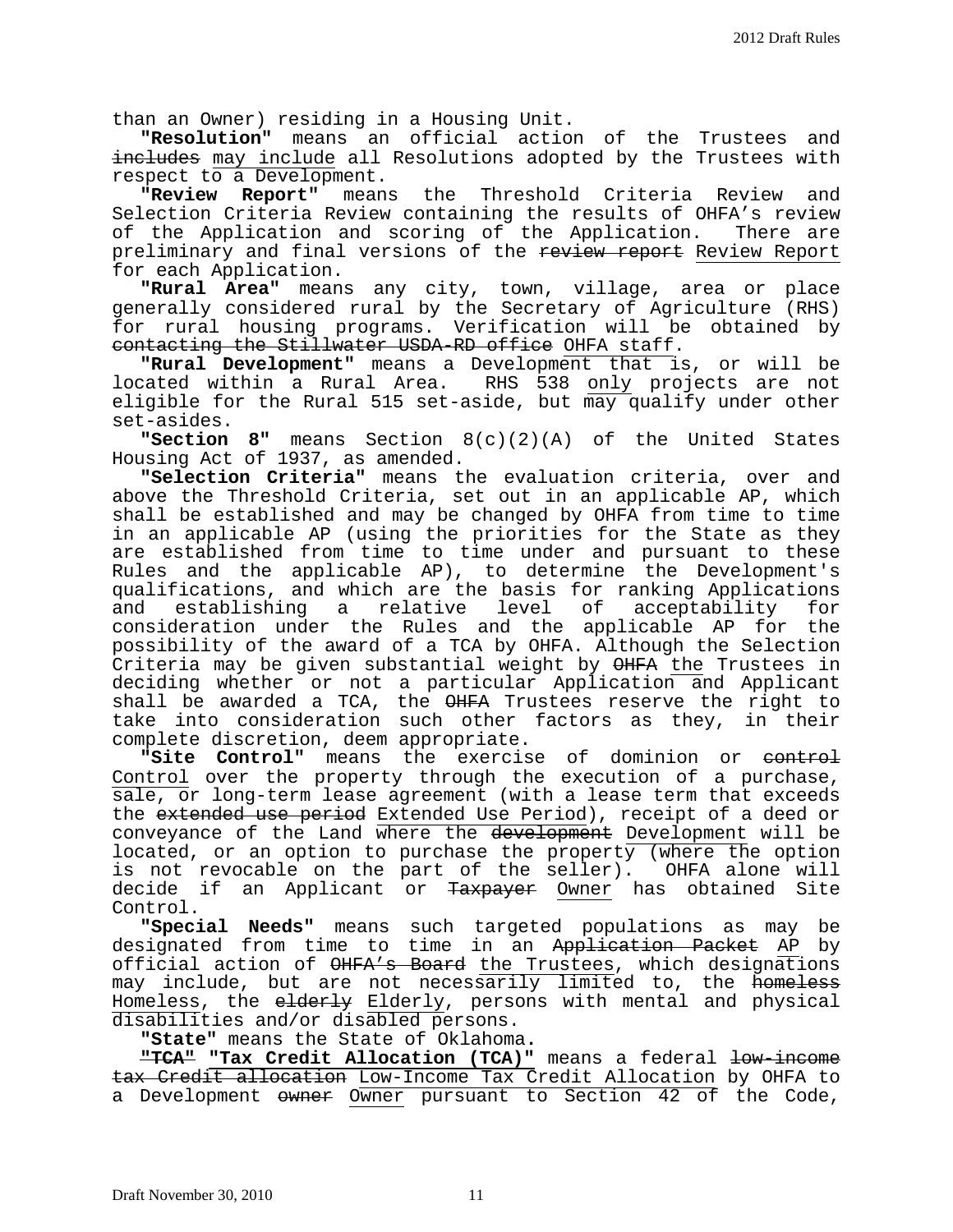than an Owner) residing in a Housing Unit.

**"Resolution"** means an official action of the Trustees and includes may include all Resolutions adopted by the Trustees with respect to a Development.

**"Review Report"** means the Threshold Criteria Review and Selection Criteria Review containing the results of OHFA's review of the Application and scoring of the Application. There are preliminary and final versions of the review report Review Report for each Application.

**"Rural Area"** means any city, town, village, area or place generally considered rural by the Secretary of Agriculture (RHS) for rural housing programs. Verification will be obtained by contacting the Stillwater USDA-RD office OHFA staff.

**"Rural Development"** means a Development that is, or will be RHS 538 only projects are not eligible for the Rural 515 set-aside, but may qualify under other set-asides.

**"Section 8"** means Section 8(c)(2)(A) of the United States Housing Act of 1937, as amended.

**"Selection Criteria"** means the evaluation criteria, over and above the Threshold Criteria, set out in an applicable AP, which shall be established and may be changed by OHFA from time to time in an applicable AP (using the priorities for the State as they are established from time to time under and pursuant to these Rules and the applicable AP), to determine the Development's qualifications, and which are the basis for ranking Applications a relative level of acceptability consideration under the Rules and the applicable AP for the possibility of the award of a TCA by OHFA. Although the Selection Criteria may be given substantial weight by OHFA the Trustees in deciding whether or not a particular Application and Applicant shall be awarded a TCA, the OHFA Trustees reserve the right to take into consideration such other factors as they, in their complete discretion, deem appropriate.

**"Site Control"** means the exercise of dominion or control Control over the property through the execution of a purchase, sale, or long-term lease agreement (with a lease term that exceeds the extended use period Extended Use Period), receipt of a deed or conveyance of the Land where the development Development will be located, or an option to purchase the property (where the option is not revocable on the part of the seller). OHFA alone will decide if an Applicant or Taxpayer Owner has obtained Site Control.

**"Special Needs"** means such targeted populations as may be designated from time to time in an Application Packet AP by official action of  $\overline{\text{OHFA's Board}}$  the Trustees, which designations may include, but are not necessarily limited to, the <del>homeless</del> Homeless, the elderly Elderly, persons with mental and physical disabilities and/or disabled persons.

**"State"** means the State of Oklahoma**.**

**"TCA"** "Tax Credit Allocation (TCA)" means a federal low income tax Credit allocation Low-Income Tax Credit Allocation by OHFA to a Development owner Owner pursuant to Section 42 of the Code,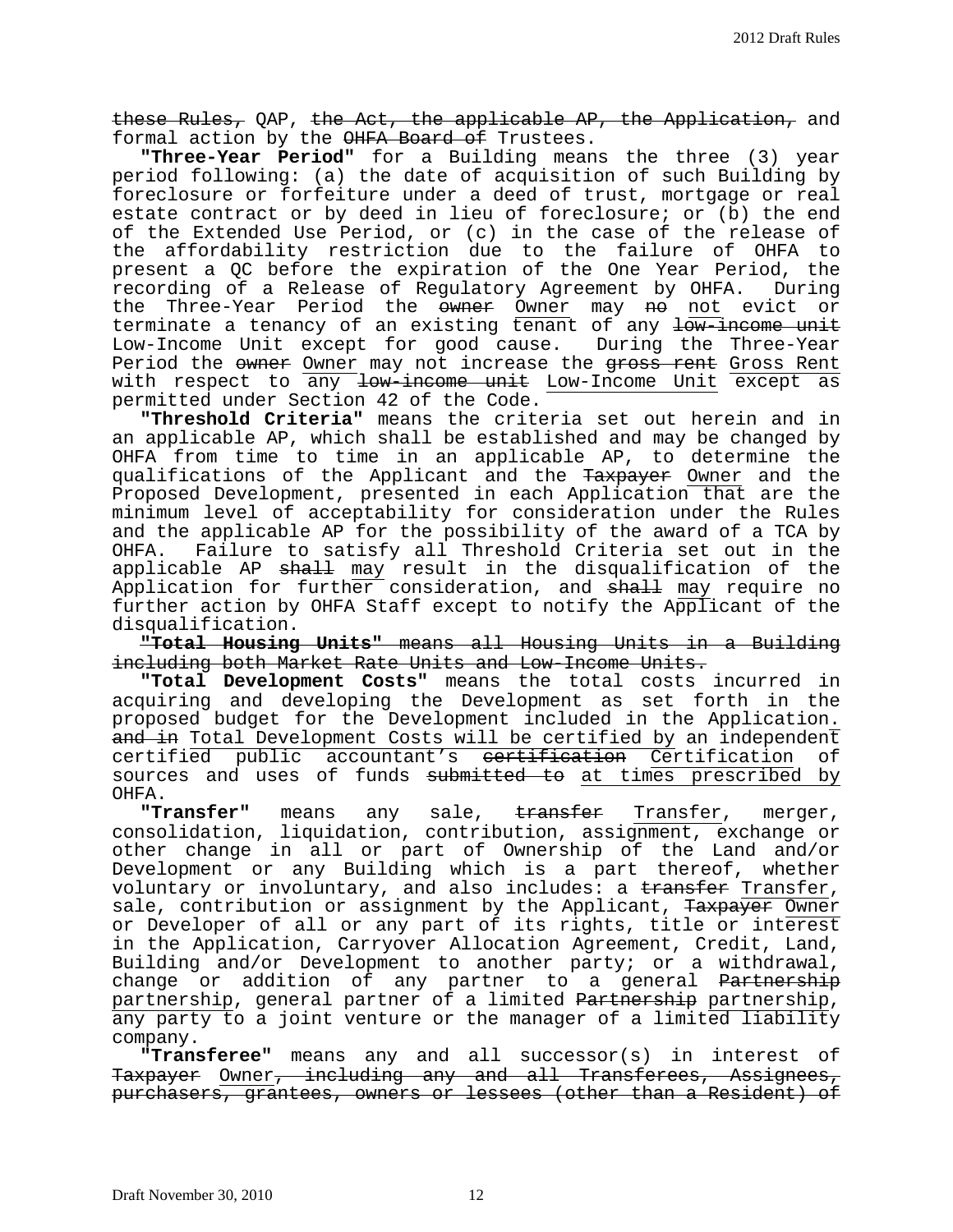these Rules, QAP, the Act, the applicable AP, the Application, and formal action by the OHFA Board of Trustees.

**"Three-Year Period"** for a Building means the three (3) year period following: (a) the date of acquisition of such Building by foreclosure or forfeiture under a deed of trust, mortgage or real estate contract or by deed in lieu of foreclosure; or (b) the end of the Extended Use Period, or (c) in the case of the release of the affordability restriction due to the failure of OHFA to present a QC before the expiration of the One Year Period, the recording of a Release of Regulatory Agreement by OHFA. During recording of a Release of Regulatory Agreement by OHFA. the Three-Year Period the owner Owner may no not evict or terminate a tenancy of an existing tenant of any low-income unit<br>Low-Income Unit except for good cause. During the Three-Year Low-Income Unit except for good cause. Period the owner Owner may not increase the gross rent Gross Rent with respect to any <del>low-income unit</del> Low-Income Unit except as permitted under Section 42 of the Code.

**"Threshold Criteria"** means the criteria set out herein and in an applicable AP, which shall be established and may be changed by OHFA from time to time in an applicable AP, to determine the qualifications of the Applicant and the Taxpayer Owner and the Proposed Development, presented in each Application that are the minimum level of acceptability for consideration under the Rules and the applicable AP for the possibility of the award of a TCA by OHFA. Failure to satisfy all Threshold Criteria set out in the applicable AP <del>shall</del> may result in the disqualification of the Application for further consideration, and shall may require no further action by OHFA Staff except to notify the Applicant of the disqualification.

**"Total Housing Units"** means all Housing Units in a Building including both Market Rate Units and Low-Income Units.

**"Total Development Costs"** means the total costs incurred in acquiring and developing the Development as set forth in the proposed budget for the Development included in the Application. and in Total Development Costs will be certified by an independent certified public accountant's <del>certification</del> Certification of sources and uses of funds <del>submitted to</del> at times prescribed by OHFA.<br>**"Transfer"** 

means any sale, transfer Transfer, merger, consolidation, liquidation, contribution, assignment, exchange or other change in all or part of Ownership of the Land and/or Development or any Building which is a part thereof, whether voluntary or involuntary, and also includes: a transfer Transfer, sale, contribution or assignment by the Applicant, Taxpayer Owner or Developer of all or any part of its rights, title or interest in the Application, Carryover Allocation Agreement, Credit, Land, Building and/or Development to another party; or a withdrawal, change or addition of any partner to a general Partnership partnership, general partner of a limited Partnership partnership, any party to a joint venture or the manager of a limited liability company.

**"Transferee"** means any and all successor(s) in interest of Taxpayer Owner, including any and all Transferees, Assignees, purchasers, grantees, owners or lessees (other than a Resident) of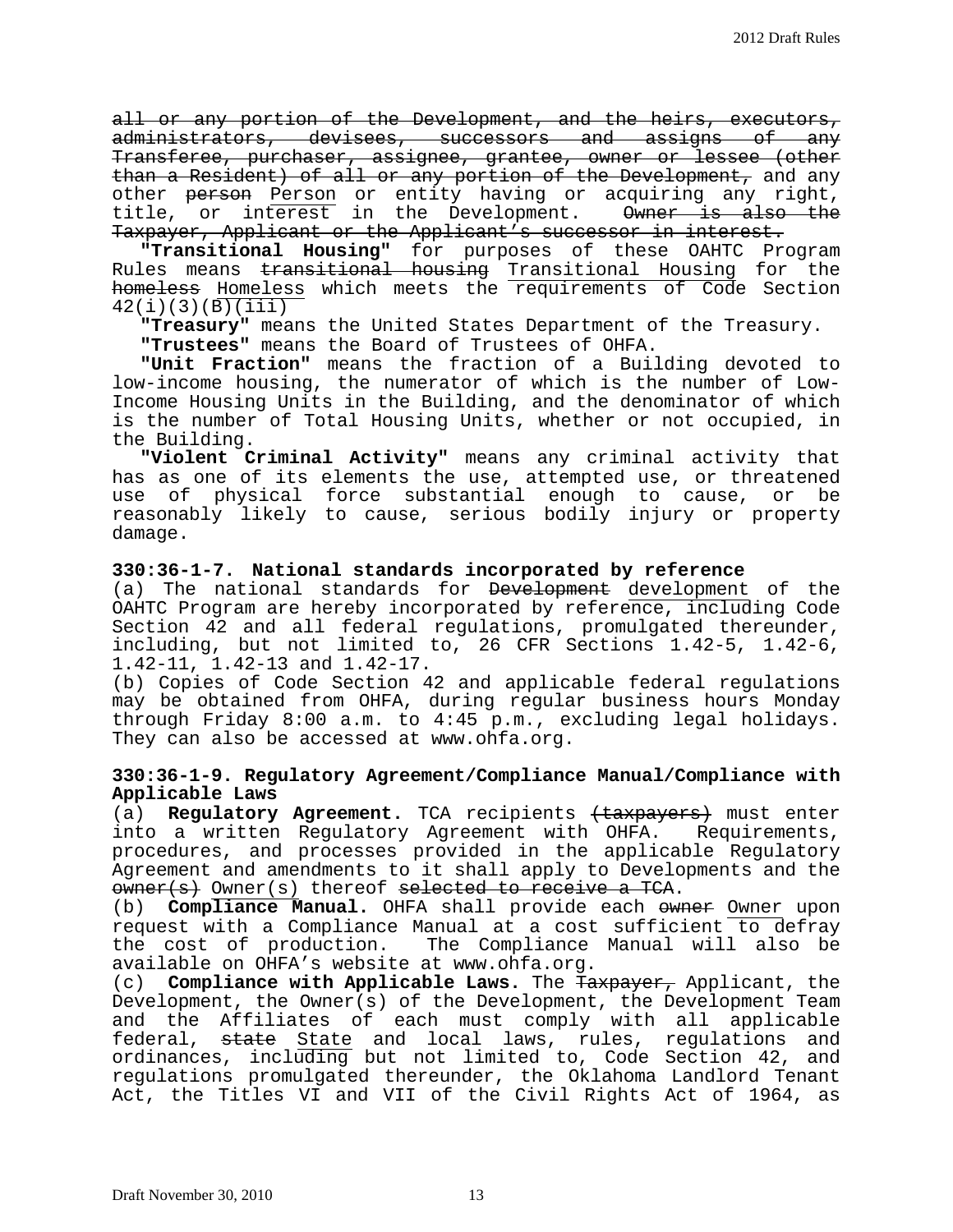all or any portion of the Development, and the heirs, executors, administrators, devisees, successors and assigns of any Transferee, purchaser, assignee, grantee, owner or lessee (other than a Resident) of all or any portion of the Development, and any other <del>person</del> Person or entity having or acquiring any right, title, or interest in the Development. <del>Owner is also the</del> Taxpayer, Applicant or the Applicant's successor in interest.

**"Transitional Housing"** for purposes of these OAHTC Program Rules means transitional housing Transitional Housing for the homeless Homeless which meets the requirements of Code Section  $42(i)(3)(B)(iii)$ 

**"Treasury"** means the United States Department of the Treasury.

**"Trustees"** means the Board of Trustees of OHFA.

**"Unit Fraction"** means the fraction of a Building devoted to Income Housing Units in the Building, and the denominator of which is the number of Total Housing Units, whether or not occupied, in the Building.

"Violent Criminal Activity" means any criminal activity that has as one of its elements the use, attempted use, or threatened use of physical force substantial enough to cause, or be reasonably likely to cause, serious bodily injury or property damage.

#### **330:36-1-7. National standards incorporated by reference**

(a) The national standards for Development development of the OAHTC Program are hereby incorporated by reference, including Code Section 42 and all federal regulations, promulgated thereunder, including, but not limited to, 26 CFR Sections 1.42-5, 1.42-6, 1.42-11, 1.42-13 and 1.42-17.

(b) Copies of Code Section 42 and applicable federal regulations may be obtained from OHFA, during regular business hours Monday through Friday 8:00 a.m. to 4:45 p.m., excluding legal holidays. They can also be accessed at www.ohfa.org.

## **330:36-1-9. Regulatory Agreement/Compliance Manual/Compliance with Applicable Laws**

(a) **Regulatory Agreement.** TCA recipients (taxpayers) must enter into a written Regulatory Agreement with OHFA. Requirements, procedures, and processes provided in the applicable Regulatory Agreement and amendments to it shall apply to Developments and the owner(s) Owner(s) thereof selected to receive a TCA.

(b) **Compliance Manual.** OHFA shall provide each owner Owner upon request with a Compliance Manual at a cost sufficient to defray<br>the cost of production. The Compliance Manual will also be The Compliance Manual will also be available on OHFA's website at www.ohfa.org.

(c) **Compliance with Applicable Laws.** The Taxpayer, Applicant, the Development, the Owner(s) of the Development, the Development Team and the Affiliates of each must comply with all applicable federal, <del>state</del> State and local laws, rules, regulations and ordinances, including but not limited to, Code Section 42, and regulations promulgated thereunder, the Oklahoma Landlord Tenant Act, the Titles VI and VII of the Civil Rights Act of 1964, as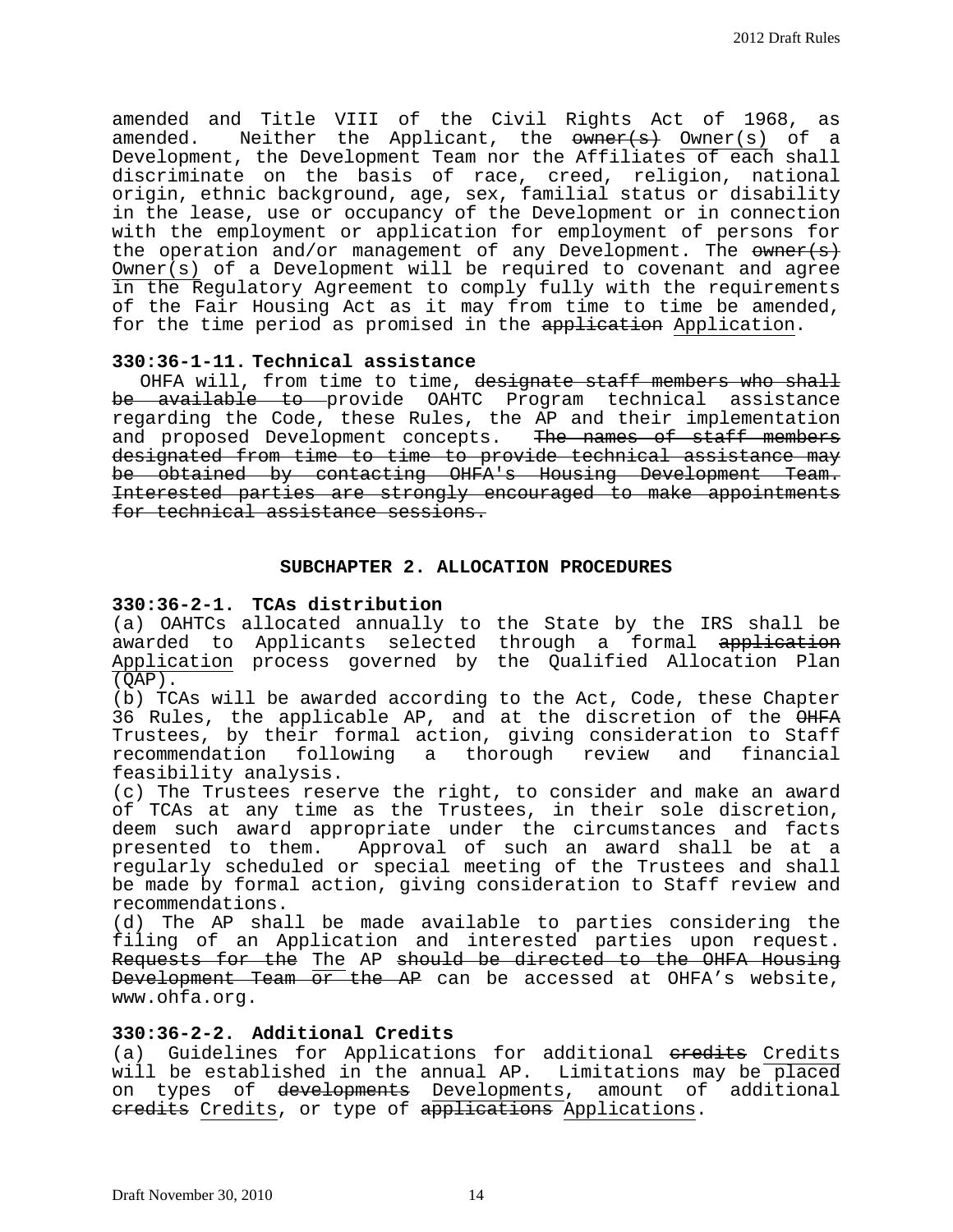amended and Title VIII of the Civil Rights Act of 1968, as amended. Neither the Applicant, the <del>owner(s)</del> Owner(s) of a Development, the Development Team nor the Affiliates of each shall discriminate on the basis of race, creed, religion, national origin, ethnic background, age, sex, familial status or disability in the lease, use or occupancy of the Development or in connection with the employment or application for employment of persons for the operation and/or management of any Development. The  $\frac{1}{\sqrt{2}}$ Owner(s) of a Development will be required to covenant and agree in the Regulatory Agreement to comply fully with the requirements of the Fair Housing Act as it may from time to time be amended, for the time period as promised in the application Application.

## **330:36-1-11. Technical assistance**

OHFA will, from time to time, designate staff members who shall be available to provide OAHTC Program technical assistance regarding the Code, these Rules, the AP and their implementation and proposed Development concepts. The names of staff members designated from time to time to provide technical assistance may<br>be obtained by contacting OHFA's Housing Development Team. Interested parties are strongly encouraged to make appointments for technical assistance sessions.

## **SUBCHAPTER 2. ALLOCATION PROCEDURES**

## **330:36-2-1. TCAs distribution**

(a) OAHTCs allocated annually to the State by the IRS shall be awarded to Applicants selected through a formal application Application process governed by the Qualified Allocation Plan  $(QAP)$ .

(b) TCAs will be awarded according to the Act, Code, these Chapter 36 Rules, the applicable AP, and at the discretion of the OHFA Trustees, by their formal action, giving consideration to Staff recommendation following a thorough review and financial feasibility analysis.

(c) The Trustees reserve the right, to consider and make an award of TCAs at any time as the Trustees, in their sole discretion, deem such award appropriate under the circumstances and facts presented to them. Approval of such an award shall be at a regularly scheduled or special meeting of the Trustees and shall be made by formal action, giving consideration to Staff review and recommendations.

(d) The AP shall be made available to parties considering the<br>filing of an Application and interested parties upon request. Requests for the The AP should be directed to the OHFA Housing Development Team or the AP can be accessed at OHFA's website, www.ohfa.org.

## **330:36-2-2. Additional Credits**

(a) Guidelines for Applications for additional eredits Credits will be established in the annual AP. Limitations may be placed on types of developments Developments, amount of additional eredits Credits, or type of applications Applications.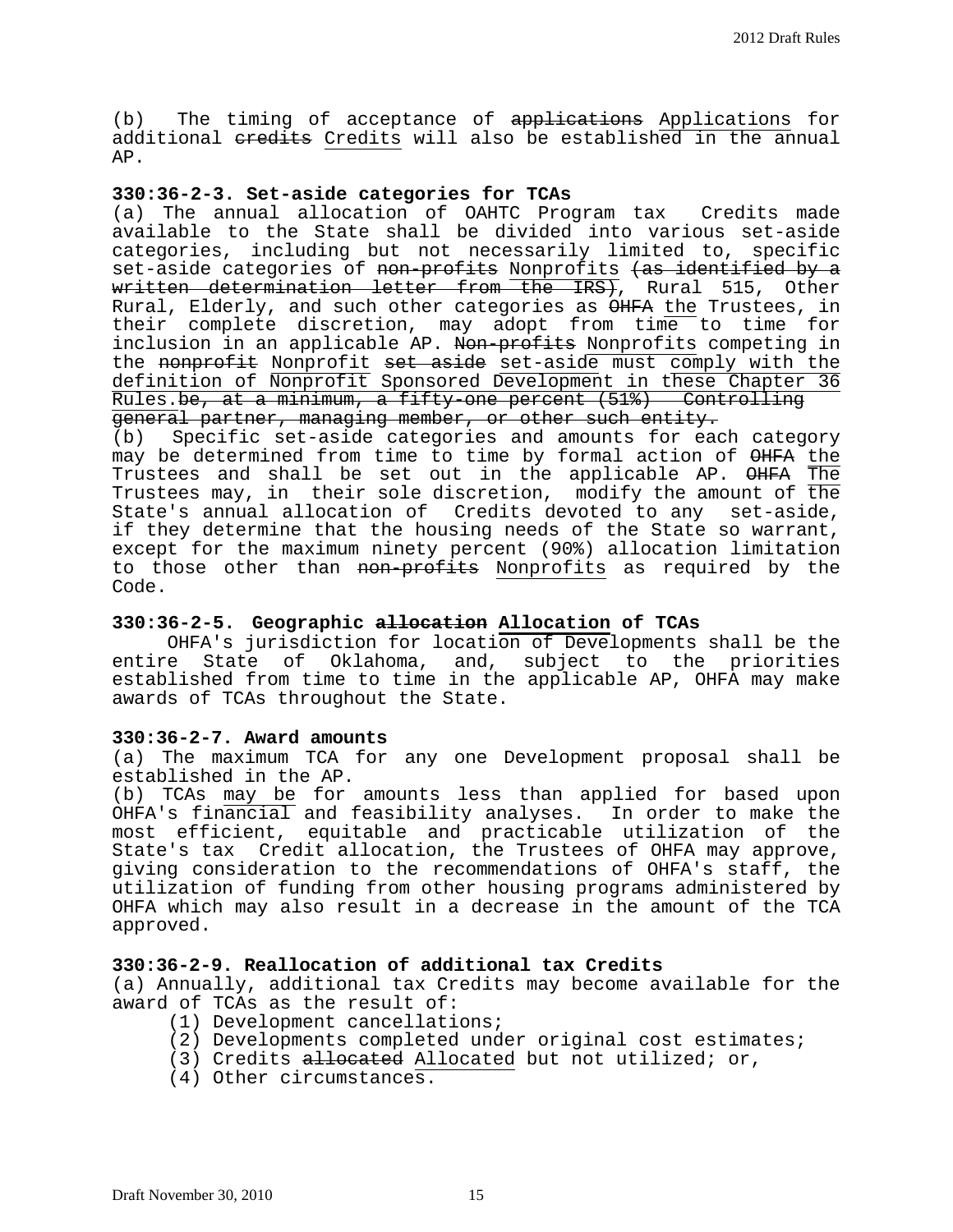(b) The timing of acceptance of applications Applications for additional eredits Credits will also be established in the annual AP.

## **330:36-2-3. Set-aside categories for TCAs**

(a) The annual allocation of OAHTC Program tax Credits made available to the State shall be divided into various set-aside categories, including but not necessarily limited to, specific set-aside categories of non-profits Nonprofits (as identified by a written determination letter from the IRS), Rural 515, Other Rural, Elderly, and such other categories as OHFA the Trustees, in their complete discretion, may adopt from time to time for inclusion in an applicable AP. Non-profits Nonprofits competing in the nonprofit Nonprofit set aside set-aside must comply with the definition of Nonprofit Sponsored Development in these Chapter 36 Rules.be, at a minimum, a fifty-one percent (51%) Controlling<br>general partner, managing member, or other such entity.

(b) Specific set-aside categories and amounts for each category may be determined from time to time by formal action of  $\Theta$ HFA the Trustees and shall be set out in the applicable AP. OHFA The Trustees may, in their sole discretion, modify the amount of the<br>State's annual allocation of Credits devoted to any set-aside, if they determine that the housing needs of the State so warrant, except for the maximum ninety percent (90%) allocation limitation to those other than non-profits Nonprofits as required by the Code.

## **330:36-2-5. Geographic allocation Allocation of TCAs**

 OHFA's jurisdiction for location of Developments shall be the entire State of Oklahoma, and, subject to the priorities established from time to time in the applicable AP, OHFA may make awards of TCAs throughout the State.

#### **330:36-2-7. Award amounts**

(a) The maximum TCA for any one Development proposal shall be

(b) TCAs may be for amounts less than applied for based upon OHFA's financial and feasibility analyses. In order to make the most efficient, equitable and practicable utilization of the State's tax Credit allocation, the Trustees of OHFA may approve, giving consideration to the recommendations of OHFA's staff, the utilization of funding from other housing programs administered by OHFA which may also result in a decrease in the amount of the TCA approved.

## **330:36-2-9. Reallocation of additional tax Credits**

(a) Annually, additional tax Credits may become available for the award of TCAs as the result of:

- (1) Development cancellations;
- (2) Developments completed under original cost estimates;
- (3) Credits allocated Allocated but not utilized; or,
- (4) Other circumstances.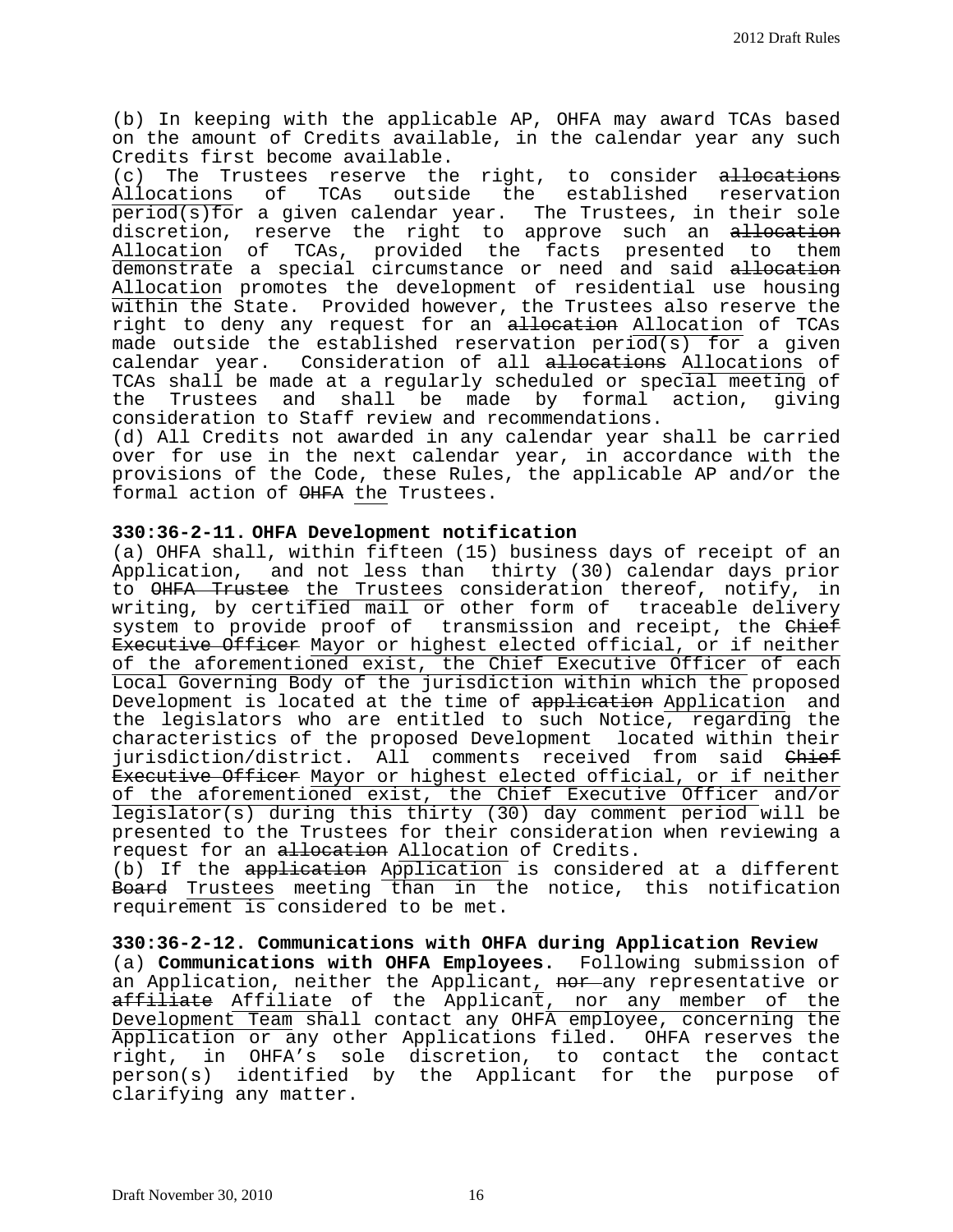(b) In keeping with the applicable AP, OHFA may award TCAs based on the amount of Credits available, in the calendar year any such Credits first become available.<br>(c) The Trustees reserve the

(c) The Trustees reserve the right, to consider <del>allocations</del><br>Allocations of TCAs outside the established reservation TCAs outside the established reservation period(s)for a given calendar year. The Trustees, in their sole discretion, reserve the right to approve such an allocation Allocation of TCAs, provided the facts presented to them demonstrate a special circumstance or need and said allocation Allocation promotes the development of residential use housing within the State. Provided however, the Trustees also reserve the right to deny any request for an allocation Allocation of TCAs made outside the established reservation period(s) for a given calendar year. Consideration of all allocations Allocations of TCAs shall be made at a regularly scheduled or special meeting of be made by formal action, giving consideration to Staff review and recommendations.

(d) All Credits not awarded in any calendar year shall be carried over for use in the next calendar year, in accordance with the provisions of the Code, these Rules, the applicable AP and/or the formal action of OHFA the Trustees.

## **330:36-2-11. OHFA Development notification**

(a) OHFA shall, within fifteen (15) business days of receipt of an Application, and not less than thirty (30) calendar days prior to <del>OHFA Trustee</del> the Trustees consideration thereof, notify, in writing, by certified mail or other form of traceable delivery system to provide proof of transmission and receipt, the Chief Executive Officer Mayor or highest elected official, or if neither of the aforementioned exist, the Chief Executive Officer of each Local Governing Body of the jurisdiction within which the proposed Development is located at the time of application Application and the legislators who are entitled to such Notice, regarding the characteristics of the proposed Development located within their jurisdiction/district. All comments received from said Chief Executive Officer Mayor or highest elected official, or if neither of the aforementioned exist, the Chief Executive Officer and/or legislator(s) during this thirty (30) day comment period will be presented to the Trustees for their consideration when reviewing a request for an allocation Allocation of Credits.

(b) If the application Application is considered at a different Board Trustees meeting than in the notice, this notification requirement is considered to be met.

**330:36-2-12. Communications with OHFA during Application Review** (a) **Communications with OHFA Employees.** Following submission of an Application, neither the Applicant, nor any representative or affiliate Affiliate of the Applicant, nor any member of the Development Team shall contact any OHFA employee, concerning the Application or any other Applications filed. OHFA reserves the right, in OHFA's sole discretion, to contact the contact person(s) identified by the Applicant for the purpose of clarifying any matter.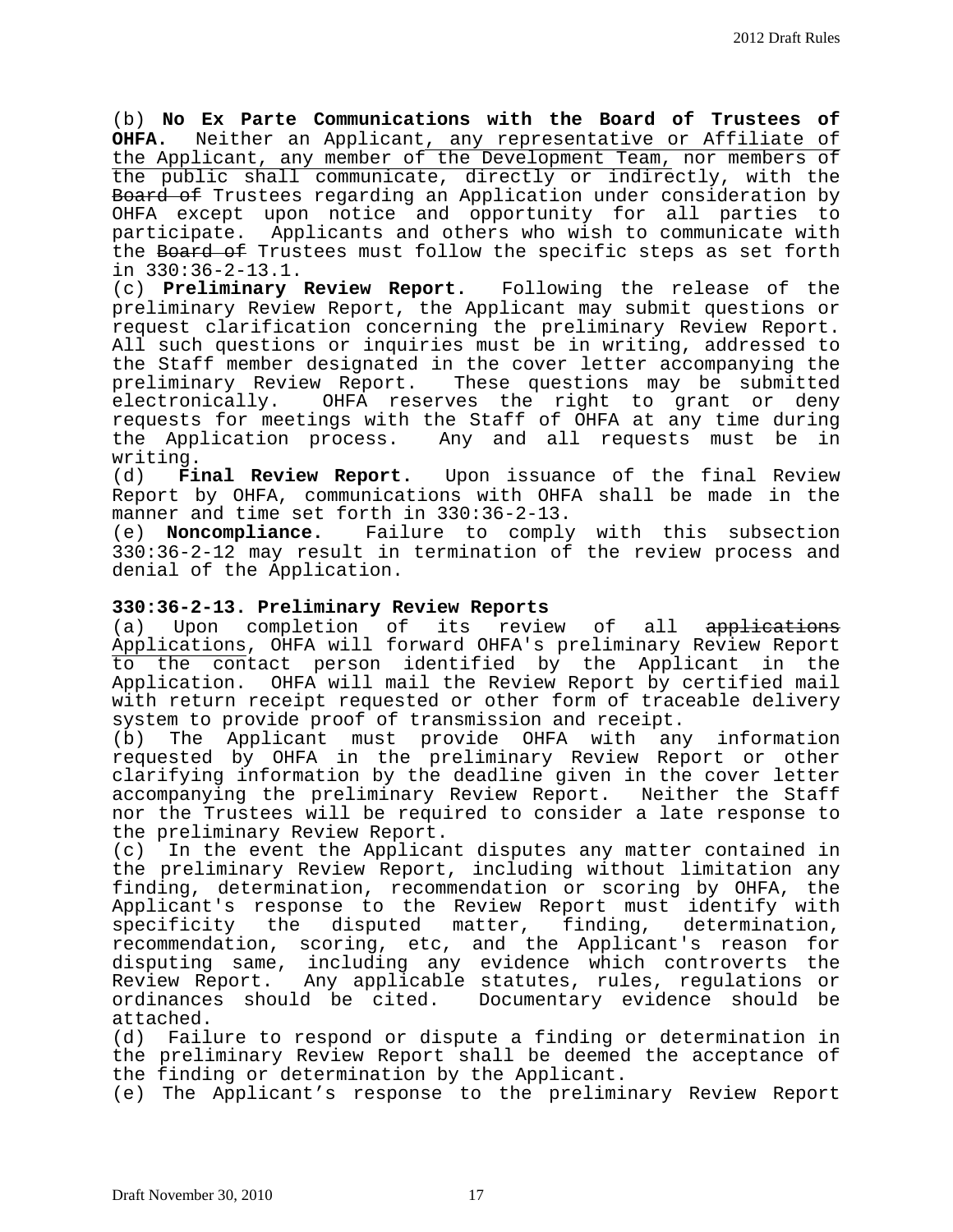(b) **No Ex Parte Communications with the Board of Trustees of**  Neither an Applicant, any representative or Affiliate of the Applicant, any member of the Development Team, nor members of the public shall communicate, directly or indirectly, with the Board of Trustees regarding an Application under consideration by OHFA except upon notice and opportunity for all parties to participate. Applicants and others who wish to communicate with the Board of Trustees must follow the specific steps as set forth in 330:36-2-13.1.

(c) **Preliminary Review Report.** Following the release of the preliminary Review Report, the Applicant may submit questions or request clarification concerning the preliminary Review Report. All such questions or inquiries must be in writing, addressed to the Staff member designated in the cover letter accompanying the<br>preliminary Review Report. These questions may be submitted These questions may be submitted electronically. OHFA reserves the right to grant or deny requests for meetings with the Staff of OHFA at any time during the Application process. Any and all requests must be in

writing.<br>(d) Final Review Report. Upon issuance of the final Review Report by OHFA, communications with OHFA shall be made in the manner and time set forth in 330:36-2-13.

(e) **Noncompliance.** Failure to comply with this subsection 330:36-2-12 may result in termination of the review process and denial of the Application.

## **330:36-2-13. Preliminary Review Reports**

(a) Upon completion of its review of all applications Applications, OHFA will forward OHFA's preliminary Review Report to the contact person identified by the Applicant in the Application. OHFA will mail the Review Report by certified mail with return receipt requested or other form of traceable delivery system to provide proof of transmission and receipt.<br>(b) The Applicant must provide OHFA with an

The Applicant must provide OHFA with any information requested by OHFA in the preliminary Review Report or other clarifying information by the deadline given in the cover letter accompanying the preliminary Review Report. Neither the Staff nor the Trustees will be required to consider a late response to the preliminary Review Report.<br>(c) In the event the Applicar

In the event the Applicant disputes any matter contained in the preliminary Review Report, including without limitation any finding, determination, recommendation or scoring by OHFA, the Applicant's response to the Review Report must identify with specificity the disputed matter, finding, determination, recommendation, scoring, etc, and the Applicant's reason for disputing same, including any evidence which controverts the Review Report. Any applicable statutes, rules, regulations or<br>ordinances should be cited. Documentary evidence should be Documentary evidence should be

attached.<br>(d) Fail Failure to respond or dispute a finding or determination in the preliminary Review Report shall be deemed the acceptance of the finding or determination by the Applicant.

(e) The Applicant's response to the preliminary Review Report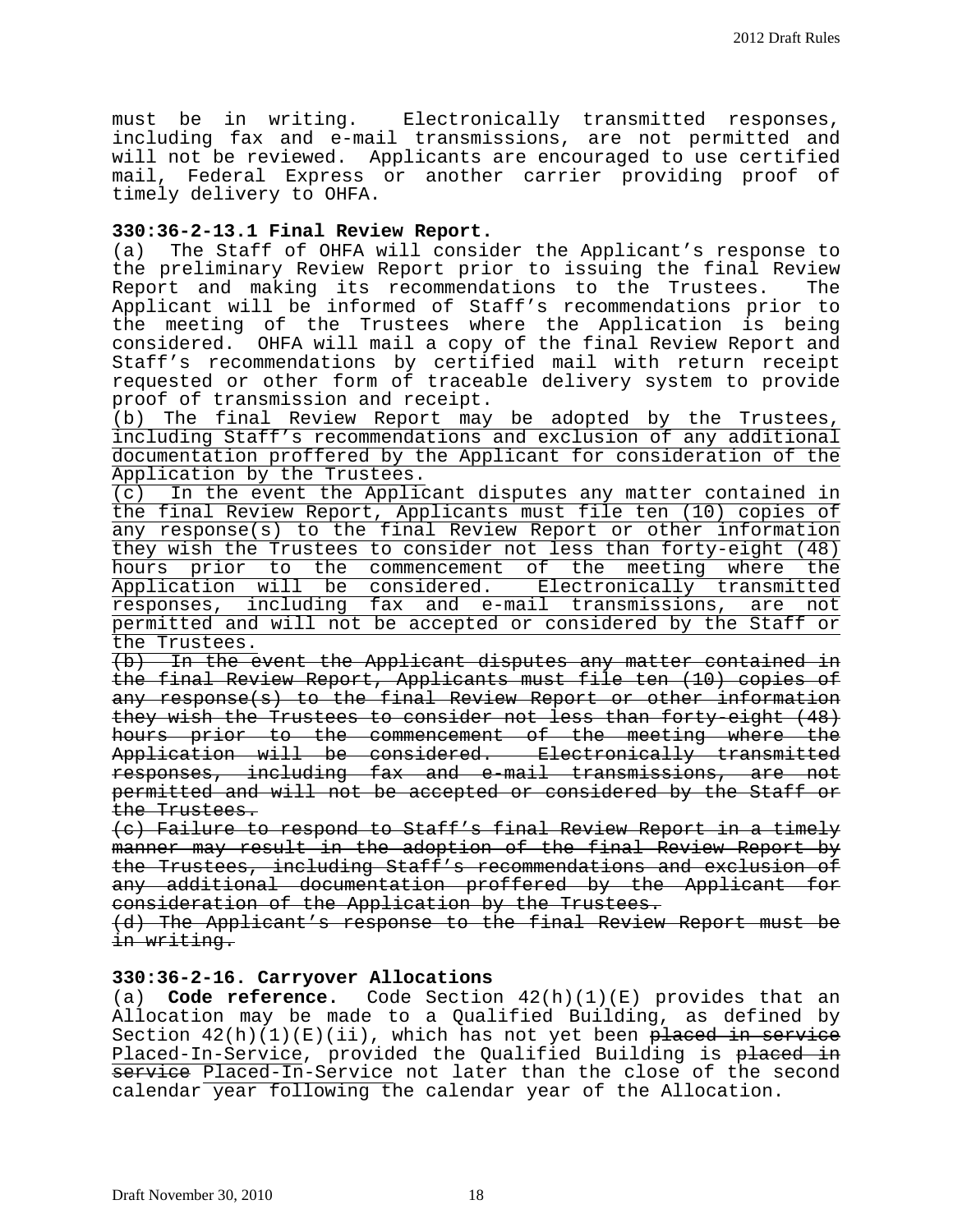must be in writing. Electronically transmitted responses, including fax and e-mail transmissions, are not permitted and will not be reviewed. Applicants are encouraged to use certified mail, Federal Express or another carrier providing proof of timely delivery to OHFA.

# **330:36-2-13.1 Final Review Report.**

The Staff of OHFA will consider the Applicant's response to the preliminary Review Report prior to issuing the final Review<br>Report and making its recommendations to the Trustees. The Report and making its recommendations to the Trustees. Applicant will be informed of Staff's recommendations prior to the meeting of the Trustees where the Application is being considered. OHFA will mail a copy of the final Review Report and Staff's recommendations by certified mail with return receipt requested or other form of traceable delivery system to provide proof of transmission and receipt.

(b) The final Review Report may be adopted by the Trustees, including Staff's recommendations and exclusion of any additional documentation proffered by the Applicant for consideration of the Application by the Trustees.

(c) In the event the Applicant disputes any matter contained in the final Review Report, Applicants must file ten (10) copies of any response(s) to the final Review Report or other information they wish the Trustees to consider not less than forty-eight (48) hours prior to the commencement of the meeting where the Application will be considered. Electronically transmitted responses, including fax and e-mail transmissions, are not permitted and will not be accepted or considered by the Staff or the Trustees.

(b) In the event the Applicant disputes any matter contained in the final Review Report, Applicants must file ten (10) copies of any response(s) to the final Review Report or other information they wish the Trustees to consider not less than forty-eight (48) hours prior to the commencement of the meeting where the Application will be considered. Electronically transmitted responses, including fax and e-mail transmissions, are not permitted and will not be accepted or considered by the Staff or the Trustees.

(c) Failure to respond to Staff's final Review Report in a timely manner may result in the adoption of the final Review Report by the Trustees, including Staff's recommendations and exclusion of any additional documentation proffered by the Applicant for consideration of the Application by the Trustees.

(d) The Applicant's response to the final Review Report must be in writing.

#### **330:36-2-16. Carryover Allocations**

(a) **Code reference.** Code Section 42(h)(1)(E) provides that an Allocation may be made to a Qualified Building, as defined by Section  $42(h)(1)(E)(ii)$ , which has not yet been placed in service Placed-In-Service, provided the Qualified Building is placed in service Placed-In-Service not later than the close of the second calendar year following the calendar year of the Allocation.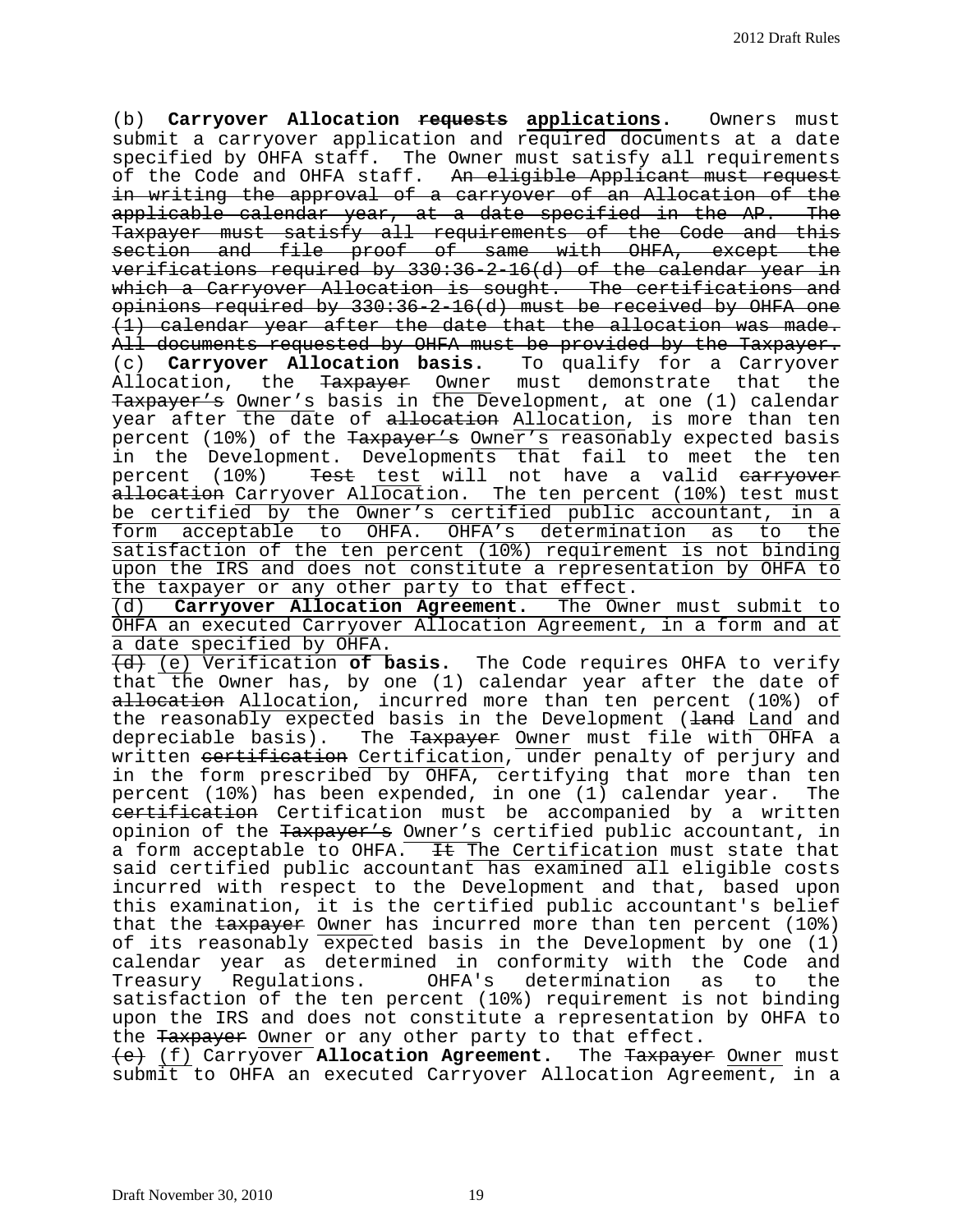(b) **Carryover Allocation requests applications.** Owners must submit a carryover application and required documents at a date specified by OHFA staff. The Owner must satisfy all requirements of the Code and OHFA staff. An eligible Applicant must request in writing the approval of a carryover of an Allocation of the applicable calendar year, at a date specified in the AP. The Taxpayer must satisfy all requirements of the Code and this section and file proof of same with OHFA, except the verifications required by 330:36-2-16(d) of the calendar year in which a Carryover Allocation is sought. The certifications and opinions required by 330:36-2-16(d) must be received by OHFA one (1) calendar year after the date that the allocation was made. All documents requested by OHFA must be provided by the Taxpayer. (c) **Carryover Allocation basis.** To qualify for a Carryover Allocation, the <del>Taxpayer</del> Owner must demonstrate that the Taxpayer's Owner's basis in the Development, at one (1) calendar year after the date of allocation Allocation, is more than ten percent (10%) of the Taxpayer's Owner's reasonably expected basis in the Development. Developments that fail to meet the ten percent (10%) Test test will not have a valid earryover a<del>llocation</del> Carryover Allocation. The ten percent (10%) test must be certified by the Owner's certified public accountant, in a form acceptable to OHFA. OHFA's determination as to the satisfaction of the ten percent (10%) requirement is not binding upon the IRS and does not constitute a representation by OHFA to the taxpayer or any other party to that effect.

(d) **Carryover Allocation Agreement.** The Owner must submit to OHFA an executed Carryover Allocation Agreement, in a form and at a date specified by OHFA.

(d) (e) Verification **of basis.** The Code requires OHFA to verify that the Owner has, by one (1) calendar year after the date of allocation Allocation, incurred more than ten percent (10%) of the reasonably expected basis in the Development (land Land and depreciable basis). The Taxpayer Owner must file with OHFA a written certification Certification, under penalty of perjury and in the form prescribed by OHFA, certifying that more than ten percent (10%) has been expended, in one (1) calendar year. The certification Certification must be accompanied by a written opinion of the Taxpayer's Owner's certified public accountant, in a form acceptable to OHFA.  $H$  The Certification must state that said certified public accountant has examined all eligible costs incurred with respect to the Development and that, based upon this examination, it is the certified public accountant's belief that the taxpayer Owner has incurred more than ten percent (10%) of its reasonably expected basis in the Development by one (1) calendar year as determined in conformity with the Code and<br>Treasury Regulations. OHFA's determination as to the OHFA's determination as to satisfaction of the ten percent (10%) requirement is not binding upon the IRS and does not constitute a representation by OHFA to the Taxpayer Owner or any other party to that effect.

(e) (f) Carryover **Allocation Agreement.** The Taxpayer Owner must submit to OHFA an executed Carryover Allocation Agreement, in a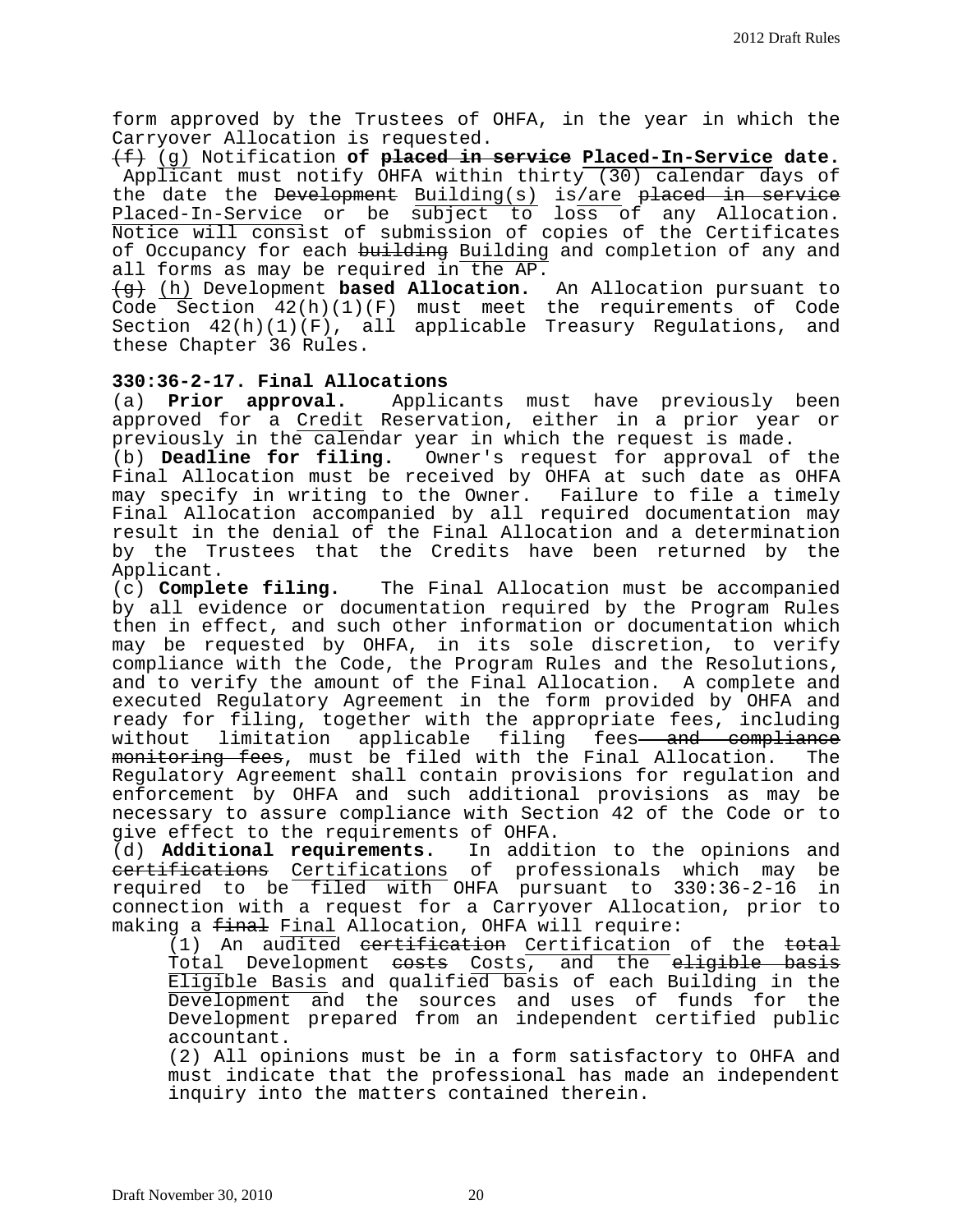form approved by the Trustees of OHFA, in the year in which the Carryover Allocation is requested.

(f) (g) Notification **of placed in service Placed-In-Service date.** Applicant must notify OHFA within thirty (30) calendar days of the date the <del>Development</del> Building(s) is/are <del>placed in service</del> Placed-In-Service or be subject to loss of any Allocation. Notice will consist of submission of copies of the Certificates of Occupancy for each building Building and completion of any and all forms as may be required in the AP.

(g) (h) Development **based Allocation.** An Allocation pursuant to Code Section 42(h)(1)(F) must meet the requirements of Code Section 42(h)(1)(F), all applicable Treasury Regulations, and these Chapter 36 Rules.

# **330:36-2-17. Final Allocations**

Applicants must have previously been approved for a Credit Reservation, either in a prior year or previously in the calendar year in which the request is made.<br>(b) **Deadline for filing.** Owner's request for approval of

Owner's request for approval of the Final Allocation must be received by OHFA at such date as OHFA may specify in writing to the Owner. Failure to file a timely Final Allocation accompanied by all required documentation may result in the denial of the Final Allocation and a determination by the Trustees that the Credits have been returned by the

Applicant.<br>(c) **Complete filing.** The Final Allocation must be accompanied by all evidence or documentation required by the Program Rules then in effect, and such other information or documentation which may be requested by OHFA, in its sole discretion, to verify compliance with the Code, the Program Rules and the Resolutions, and to verify the amount of the Final Allocation. A complete and executed Regulatory Agreement in the form provided by OHFA and ready for filing, together with the appropriate fees, including<br>without limitation applicable filing fees<del> and compliance</del> limitation applicable filing fees<del> and compliance</del> monitoring fees, must be filed with the Final Allocation. The Regulatory Agreement shall contain provisions for regulation and enforcement by OHFA and such additional provisions as may be necessary to assure compliance with Section 42 of the Code or to give effect to the requirements of OHFA.

(d) **Additional requirements.** In addition to the opinions and entifications Certifications of professionals which may be required to be filed with OHFA pursuant to 330:36-2-16 in required to be filed with OHFA pursuant to 330:36-2-16 connection with a request for a Carryover Allocation, prior to making a final Final Allocation, OHFA will require:

(1) An audited certification Certification of the total Total Development <del>costs</del> Costs, and the <del>eligible basis</del> Eligible Basis and qualified basis of each Building in the Development and the sources and uses of funds for the Development prepared from an independent certified public accountant.

(2) All opinions must be in a form satisfactory to OHFA and must indicate that the professional has made an independent inquiry into the matters contained therein.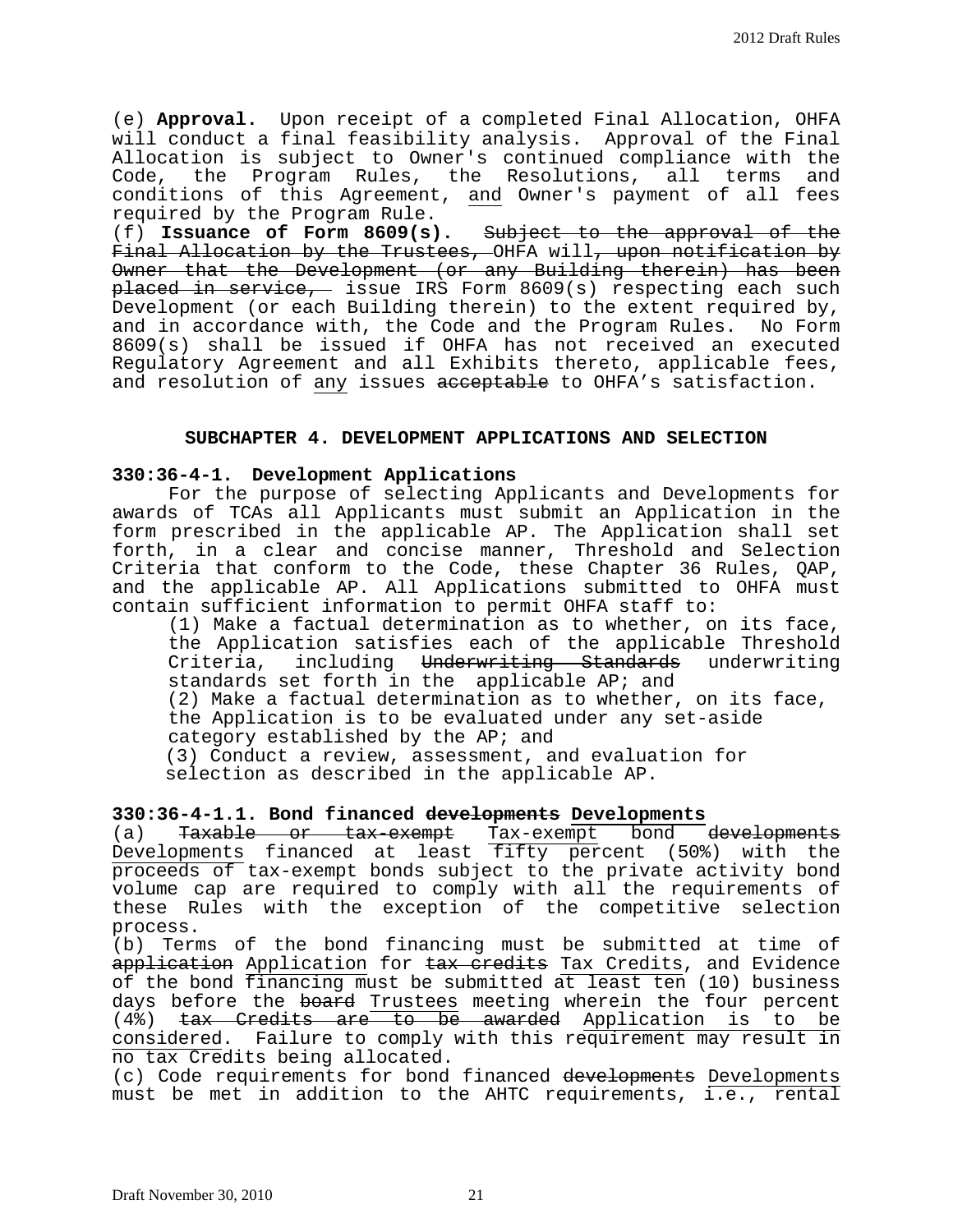(e) **Approval.** Upon receipt of a completed Final Allocation, OHFA will conduct a final feasibility analysis. Approval of the Final Allocation is subject to Owner's continued compliance with the Code, the Program Rules, the Resolutions, all terms and conditions of this Agreement, and Owner's payment of all fees required by the Program Rule.

(f) **Issuance of Form 8609(s).** Subject to the approval of the Final Allocation by the Trustees, OHFA will, upon notification by Owner that the Development (or any Building therein) has been placed in service, issue IRS Form 8609(s) respecting each such Development (or each Building therein) to the extent required by, and in accordance with, the Code and the Program Rules. No Form 8609(s) shall be issued if OHFA has not received an executed Regulatory Agreement and all Exhibits thereto, applicable fees, and resolution of any issues acceptable to OHFA's satisfaction.

## **SUBCHAPTER 4. DEVELOPMENT APPLICATIONS AND SELECTION**

## **330:36-4-1. Development Applications**

 For the purpose of selecting Applicants and Developments for awards of TCAs all Applicants must submit an Application in the form prescribed in the applicable AP. The Application shall set forth, in a clear and concise manner, Threshold and Selection Criteria that conform to the Code, these Chapter 36 Rules, QAP, and the applicable AP. All Applications submitted to OHFA must contain sufficient information to permit OHFA staff to:

(1) Make a factual determination as to whether, on its face, the Application satisfies each of the applicable Threshold Criteria, including Underwriting Standards underwriting standards set forth in the applicable AP; and (2) Make a factual determination as to whether, on its face, the Application is to be evaluated under any set-aside category established by the AP; and (3) Conduct a review, assessment, and evaluation for

selection as described in the applicable AP.

## **330:36-4-1.1. Bond financed developments Developments**

(a) Taxable or tax-exempt Tax-exempt bond developments Developments financed at least fifty percent (50%) with the proceeds of tax-exempt bonds subject to the private activity bond volume cap are required to comply with all the requirements of these Rules with the exception of the competitive selection process.

(b) Terms of the bond financing must be submitted at time of application Application for tax credits Tax Credits, and Evidence of the bond financing must be submitted at least ten (10) business days before the board Trustees meeting wherein the four percent (4%) tax Credits are to be awarded Application is to be considered. Failure to comply with this requirement may result in no tax Credits being allocated.

(c) Code requirements for bond financed developments Developments must be met in addition to the AHTC requirements, i.e., rental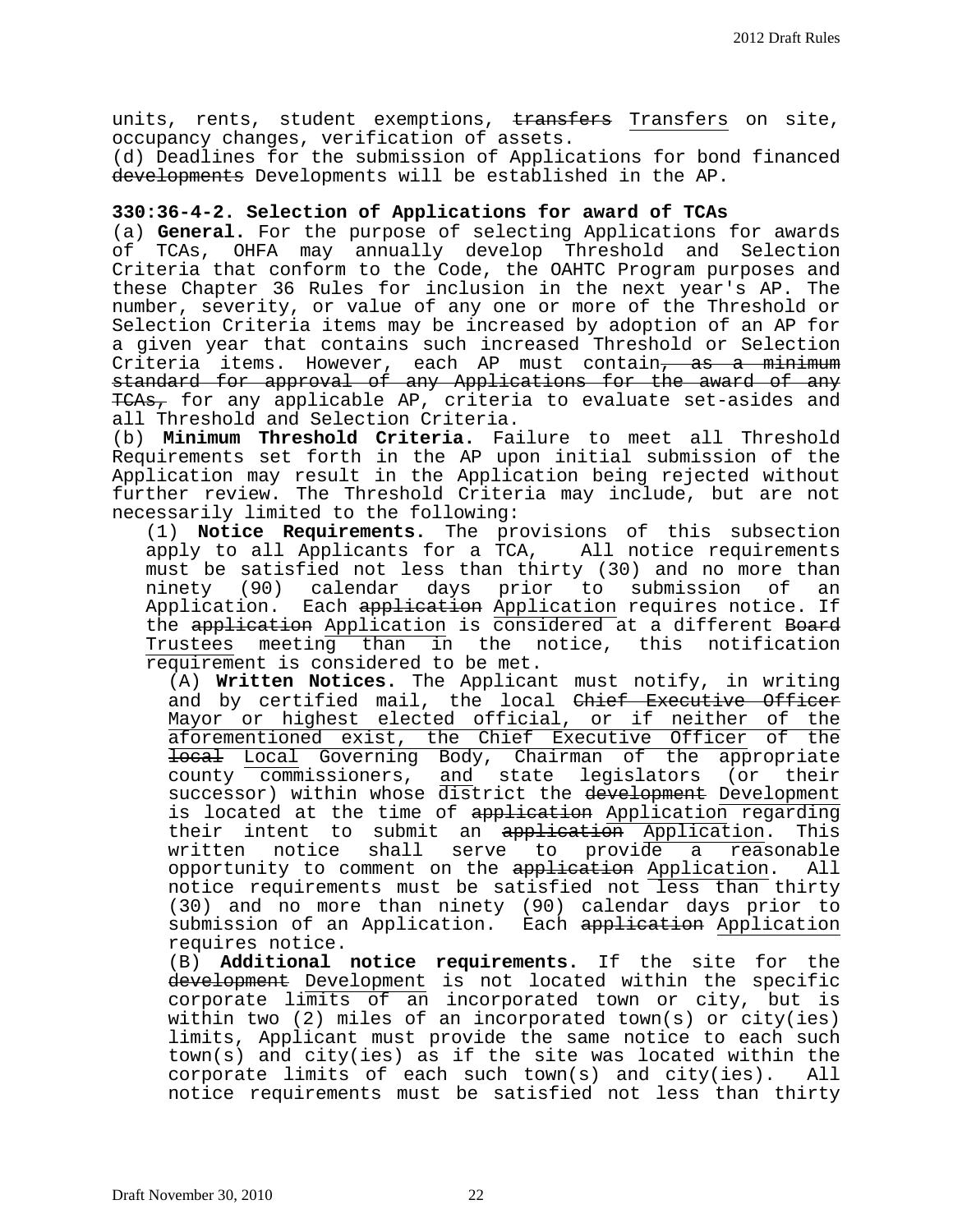units, rents, student exemptions, transfers Transfers on site, occupancy changes, verification of assets.

(d) Deadlines for the submission of Applications for bond financed developments Developments will be established in the AP.

## **330:36-4-2. Selection of Applications for award of TCAs**

(a) **General.** For the purpose of selecting Applications for awards of TCAs, OHFA may annually develop Threshold and Selection Criteria that conform to the Code, the OAHTC Program purposes and these Chapter 36 Rules for inclusion in the next year's AP. The number, severity, or value of any one or more of the Threshold or Selection Criteria items may be increased by adoption of an AP for a given year that contains such increased Threshold or Selection Criteria items. However, each AP must contain, as a minimum standard for approval of any Applications for the award of any TCAs, for any applicable AP, criteria to evaluate set-asides and all Threshold and Selection Criteria.

(b) **Minimum Threshold Criteria.** Failure to meet all Threshold Requirements set forth in the AP upon initial submission of the Application may result in the Application being rejected without further review. The Threshold Criteria may include, but are not necessarily limited to the following:

(1) **Notice Requirements.** The provisions of this subsection apply to all Applicants for a TCA, All notice requirements must be satisfied not less than thirty (30) and no more than<br>ninety (90) calendar days prior to submission of an ninety (90) calendar days prior to submission Application. Each application Application requires notice. If the application Application is considered at a different Board Trustees meeting than in the notice, this notification requirement is considered to be met.

(A) **Written Notices.** The Applicant must notify, in writing and by certified mail, the local Chief Executive Officer Mayor or highest elected official, or if neither of the aforementioned exist, the Chief Executive Officer of the local Local Governing Body, Chairman of the appropriate county commissioners, and state legislators (or their successor) within whose district the development Development is located at the time of application Application regarding their intent to submit an application Application. This<br>written notice shall serve to provide a reasonable written notice shall serve to provide a reasonable<br>opportunity to comment on the application Application. All opportunity to comment on the application Application. notice requirements must be satisfied not less than thirty (30) and no more than ninety (90) calendar days prior to submission of an Application. Each application Application requires notice.

(B) **Additional notice requirements.** If the site for the development Development is not located within the specific corporate limits of an incorporated town or city, but is within two (2) miles of an incorporated town(s) or city(ies) limits, Applicant must provide the same notice to each such town(s) and city(ies) as if the site was located within the corporate limits of each such town(s) and city(ies). All notice requirements must be satisfied not less than thirty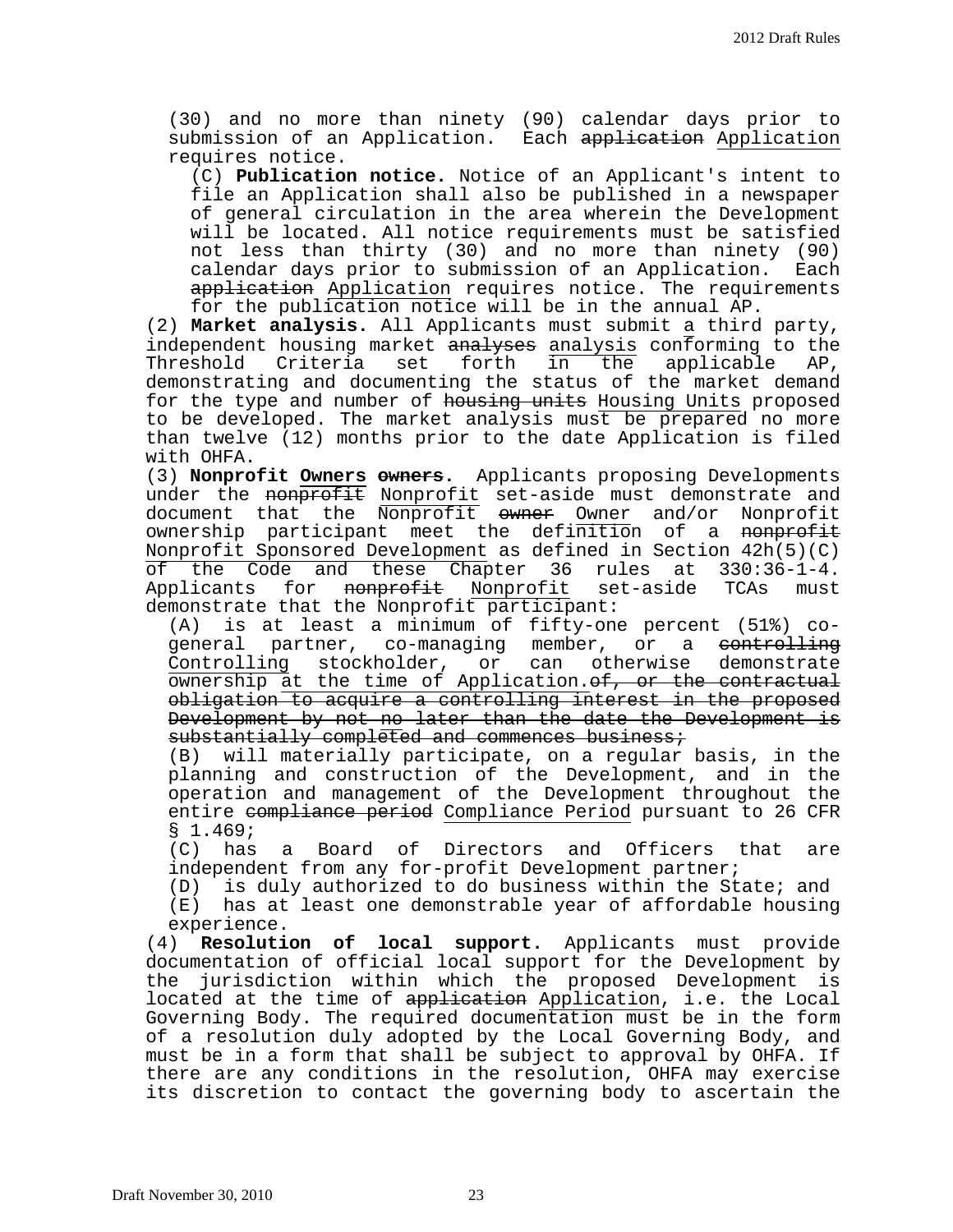(30) and no more than ninety (90) calendar days prior to submission of an Application. Each <del>application</del> <u>Application</u> requires notice.

(C) **Publication notice.** Notice of an Applicant's intent to file an Application shall also be published in a newspaper of general circulation in the area wherein the Development will be located. All notice requirements must be satisfied not less than thirty (30) and no more than ninety (90) calendar days prior to submission of an Application. Each application Application requires notice. The requirements for the publication notice will be in the annual AP.

(2) **Market analysis.** All Applicants must submit a third party, independent housing market analyses analysis conforming to the<br>Threshold Criteria set forth in the applicable AP, Threshold Criteria set forth in the applicable AP, demonstrating and documenting the status of the market demand for the type and number of housing units Housing Units proposed to be developed. The market analysis must be prepared no more than twelve (12) months prior to the date Application is filed

(3) **Nonprofit Owners owners.** Applicants proposing Developments under the nonprofit Nonprofit set-aside must demonstrate and document that the Nonprofit owner Owner and/or Nonprofit ownership participant meet the definition of a nonprofit Nonprofit Sponsored Development as defined in Section 42h(5)(C) of the Code and these Chapter 36 rules at 330:36-1-4.<br>Applicants for <del>nonprofit</del> Nonprofit set-aside TCAs must Applicants for nonprofit Nonprofit demonstrate that the Nonprofit participant:<br>(A) is at least a minimum of fifty-one

is at least a minimum of fifty-one percent (51%) cogeneral partner, co-managing member, or a <del>controlling</del><br>Controlling stockholder, or can otherwise demonstrate stockholder, or can otherwise ownership at the time of Application. of, or the contractual obligation to acquire a controlling interest in the proposed Development by not no later than the date the Development is substantially completed and commences business;

(B) will materially participate, on a regular basis, in the planning and construction of the Development, and in the operation and management of the Development throughout the entire compliance period Compliance Period pursuant to 26 CFR § 1.469;

(C) has a Board of Directors and Officers that are independent from any for-profit Development partner;

(D) is duly authorized to do business within the State; and

(E) has at least one demonstrable year of affordable housing experience.

(4) **Resolution of local support.** Applicants must provide documentation of official local support for the Development by the jurisdiction within which the proposed Development is located at the time of application Application, i.e. the Local Governing Body. The required documentation must be in the form of a resolution duly adopted by the Local Governing Body, and must be in a form that shall be subject to approval by OHFA. If there are any conditions in the resolution, OHFA may exercise its discretion to contact the governing body to ascertain the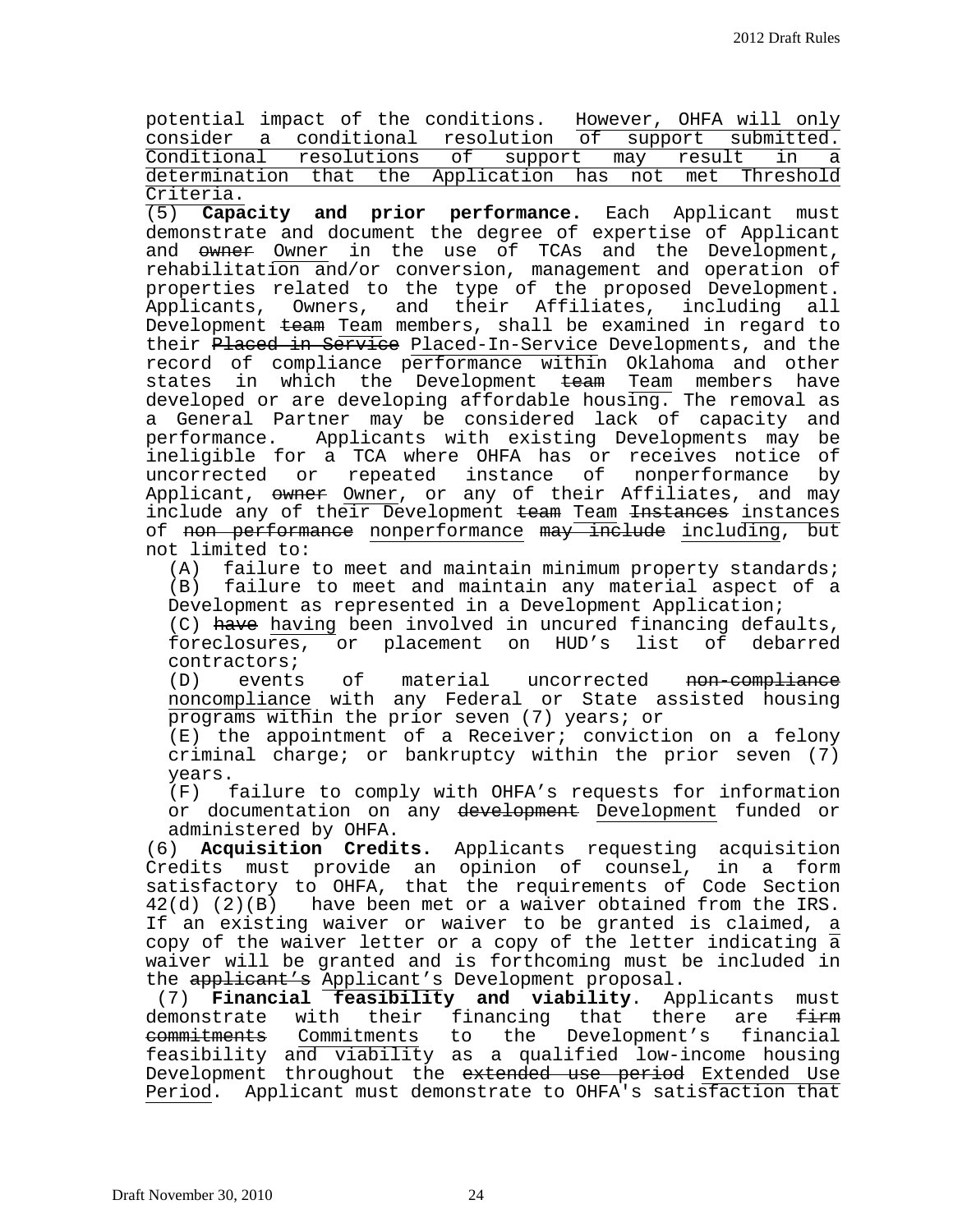| potential impact of the conditions. However, OHFA will only |  |  |  |  |  |  |
|-------------------------------------------------------------|--|--|--|--|--|--|
| consider a conditional resolution of support submitted.     |  |  |  |  |  |  |
| Conditional resolutions of support may result in a          |  |  |  |  |  |  |
| determination that the Application has not met Threshold    |  |  |  |  |  |  |
| Criteria.                                                   |  |  |  |  |  |  |

(5) **Capacity and prior performance.** Each Applicant must demonstrate and document the degree of expertise of Applicant and owner Owner in the use of TCAs and the Development, rehabilitation and/or conversion, management and operation of properties related to the type of the proposed Development. Applicants, Owners, and their Affiliates, including all Development team Team members, shall be examined in regard to their Placed in Service Placed-In-Service Developments, and the record of compliance performance within Oklahoma and other states in which the Development <del>team</del> Team members have developed or are developing affordable housing. The removal as a General Partner may be considered lack of capacity and performance. Applicants with existing Developments may be ineligible for a TCA where OHFA has or receives notice of uncorrected or repeated instance of Applicant, owner Owner, or any of their Affiliates, and may include any of their Development team Team Instances instances of non performance nonperformance may include including, but not limited to:

(A) failure to meet and maintain minimum property standards; (B) failure to meet and maintain any material aspect of a Development as represented in a Development Application;

(C) have having been involved in uncured financing defaults,<br>foreclosures, or placement on HUD's list of debarred foreclosures, or placement on HUD's list of

contractors;<br>(D) events (D) events of material uncorrected non-compliance noncompliance with any Federal or State assisted housing programs within the prior seven (7) years; or

(E) the appointment of a Receiver; conviction on a felony criminal charge; or bankruptcy within the prior seven  $(7)$ years.

(F) failure to comply with OHFA's requests for information or documentation on any development Development funded or administered by OHFA.

(6) **Acquisition Credits.** Applicants requesting acquisition Credits must provide an opinion of counsel, in a form satisfactory to OHFA, that the requirements of Code Section 42(d) (2)(B) have been met or a waiver obtained from the IRS. If an existing waiver or waiver to be granted is claimed, a copy of the waiver letter or a copy of the letter indicating  $\overline{a}$ waiver will be granted and is forthcoming must be included in the applicant's Applicant's Development proposal.

(7) **Financial feasibility and viability**. Applicants must demonstrate with their financing that there are firm<br>commitments commitments to the Development's financial to the Development's feasibility and viability as a qualified low-income housing Development throughout the extended use period Extended Use Period. Applicant must demonstrate to OHFA's satisfaction that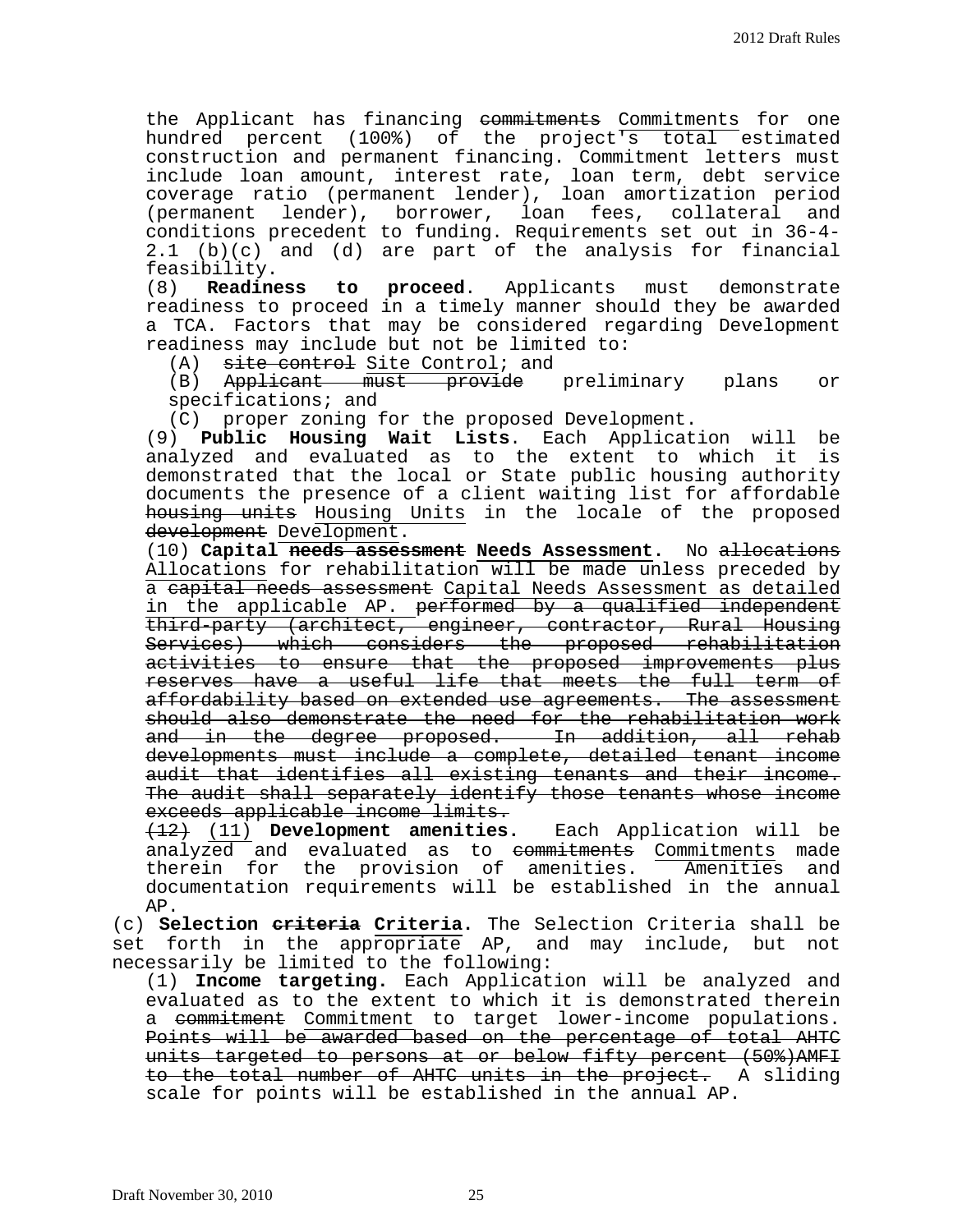the Applicant has financing <del>commitments</del> Commitments for one hundred percent (100%) of the project's total estimated construction and permanent financing. Commitment letters must include loan amount, interest rate, loan term, debt service coverage ratio (permanent lender), loan amortization period (permanent lender), borrower, loan fees, collateral and conditions precedent to funding. Requirements set out in 36-4- 2.1 (b)(c) and (d) are part of the analysis for financial

feasibility.<br>(8) **Readiness** to **proceed**. Applicants must demonstrate readiness to proceed in a timely manner should they be awarded a TCA. Factors that may be considered regarding Development readiness may include but not be limited to:

(A) <del>site-control</del> Site-Control; and<br>(B) <del>Applicant must provide</del> preliminary plans (B) Applicant must provide preliminary plans or specifications; and

(C) proper zoning for the proposed Development.

(9) **Public Housing Wait Lists**. Each Application will be analyzed and evaluated as to the extent to which it is demonstrated that the local or State public housing authority documents the presence of a client waiting list for affordable housing units Housing Units in the locale of the proposed development Development.

(10) **Capital needs assessment Needs Assessment.** No allocations Allocations for rehabilitation will be made unless preceded by a capital needs assessment Capital Needs Assessment as detailed in the applicable AP. performed by a qualified independent third-party (architect, engineer, contractor, Rural Housing Services) which considers the proposed rehabilitation activities to ensure that the proposed improvements plus reserves have a useful life that meets the full term of affordability based on extended use agreements. The assessment should also demonstrate the need for the rehabilitation work and in the degree proposed. In addition, all rehab developments must include a complete, detailed tenant income audit that identifies all existing tenants and their income. The audit shall separately identify those tenants whose income exceeds applicable income limits.

(12) (11) **Development amenities.** Each Application will be analyzed and evaluated as to <del>commitments</del> Commitments made therein for the provision of amenities. Amenities and documentation requirements will be established in the annual AP.

(c) **Selection criteria Criteria.** The Selection Criteria shall be set forth in the appropriate AP, and may include, but not necessarily be limited to the following:

(1) **Income targeting.** Each Application will be analyzed and evaluated as to the extent to which it is demonstrated therein a commitment Commitment to target lower-income populations. Points will be awarded based on the percentage of total AHTC units targeted to persons at or below fifty percent (50%)AMFI to the total number of AHTC units in the project. A sliding scale for points will be established in the annual AP.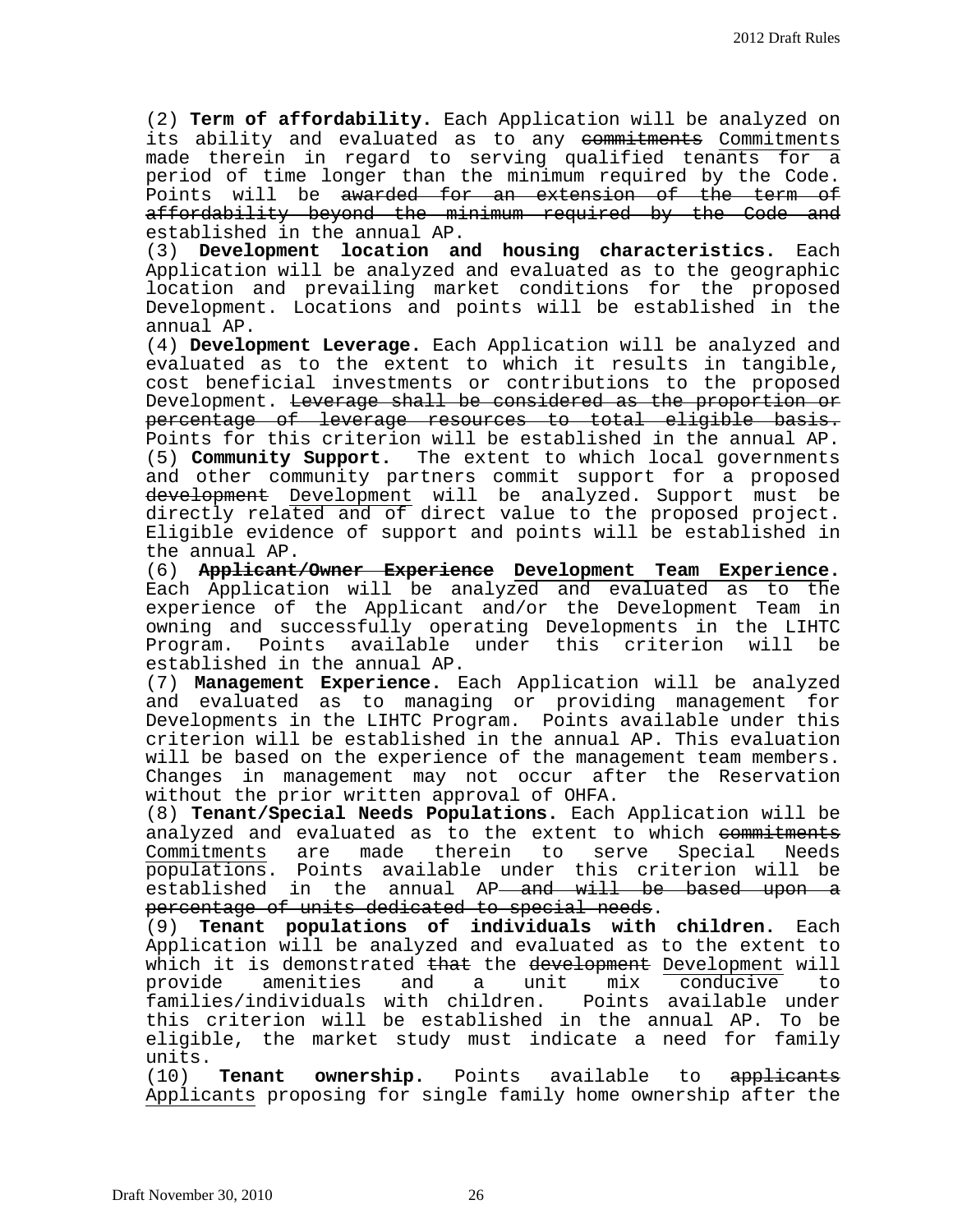(2) **Term of affordability.** Each Application will be analyzed on its ability and evaluated as to any commitments Commitments made therein in regard to serving qualified tenants for a period of time longer than the minimum required by the Code. Points will be awarded for an extension of the term of affordability beyond the minimum required by the Code and established in the annual AP.

(3) **Development location and housing characteristics.** Each Application will be analyzed and evaluated as to the geographic location and prevailing market conditions for the proposed Development. Locations and points will be established in the annual AP.

(4) **Development Leverage.** Each Application will be analyzed and evaluated as to the extent to which it results in tangible, cost beneficial investments or contributions to the proposed Development. Leverage shall be considered as the proportion or percentage of leverage resources to total eligible basis. Points for this criterion will be established in the annual AP. (5) **Community Support.** The extent to which local governments and other community partners commit support for a proposed development Development will be analyzed. Support must be directly related and of direct value to the proposed project. Eligible evidence of support and points will be established in the annual AP.

(6) **Applicant/Owner Experience Development Team Experience.** Each Application will be analyzed and evaluated as to the experience of the Applicant and/or the Development Team in owning and successfully operating Developments in the LIHTC Program. Points available under this criterion will established in the annual AP.

(7) **Management Experience.** Each Application will be analyzed and evaluated as to managing or providing management for Developments in the LIHTC Program. Points available under this criterion will be established in the annual AP. This evaluation will be based on the experience of the management team members. Changes in management may not occur after the Reservation without the prior written approval of OHFA.

(8) **Tenant/Special Needs Populations.** Each Application will be analyzed and evaluated as to the extent to which <del>commitments</del><br>Commitments are made therein to serve Special Needs made therein populations. Points available under this criterion will be established in the annual AP<del> and will be based upon a</del> percentage of units dedicated to special needs.

(9) **Tenant populations of individuals with children.** Each Application will be analyzed and evaluated as to the extent to which it is demonstrated <del>that</del> the development Development will<br>provide amenities and a unit mix conducive to amenities and a unit mix conducive to<br>ndividuals with children. Points available under families/individuals with children. this criterion will be established in the annual AP. To be eligible, the market study must indicate a need for family

units.<br>(10) **Tenant** ownership. Points available to applicants Applicants proposing for single family home ownership after the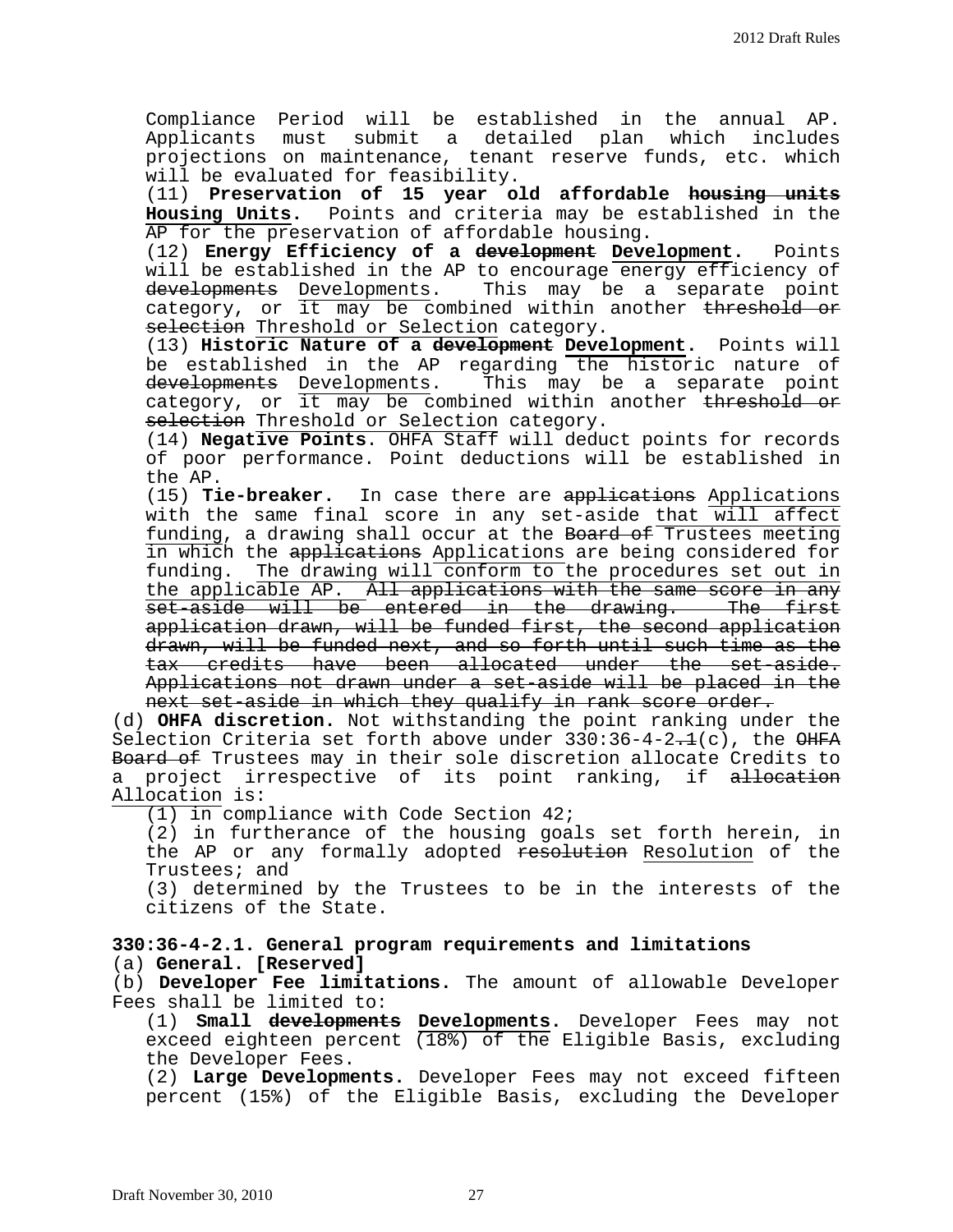Compliance Period will be established in the annual AP. Applicants must submit a detailed plan which includes projections on maintenance, tenant reserve funds, etc. which will be evaluated for feasibility.

(11) **Preservation of 15 year old affordable housing units Housing Units.** Points and criteria may be established in the AP for the preservation of affordable housing.

(12) **Energy Efficiency of a development Development.** Points will be established in the AP to encourage energy efficiency of developments Developments. This may be a separate point category, or it may be combined within another threshold or selection Threshold or Selection category.

(13) **Historic Nature of a development Development.** Points will be established in the AP regarding the historic nature of developments Developments. This may be a separate point category, or it may be combined within another <del>threshold or</del> selection Threshold or Selection category.

(14) **Negative Points**. OHFA Staff will deduct points for records of poor performance. Point deductions will be established in the AP.

(15) **Tie-breaker.** In case there are applications Applications with the same final score in any set-aside that will affect funding, a drawing shall occur at the Board of Trustees meeting in which the applications Applications are being considered for funding. The drawing will conform to the procedures set out in the applicable AP. All applications with the same score in any set-aside will be entered in the drawing. The first application drawn, will be funded first, the second application drawn, will be funded next, and so forth until such time as the tax credits have been allocated under the set-aside. Applications not drawn under a set-aside will be placed in the next set-aside in which they qualify in rank score order.

(d) **OHFA discretion.** Not withstanding the point ranking under the Selection Criteria set forth above under  $330:36-4-2.1(c)$ , the  $\Theta HFA$ Board of Trustees may in their sole discretion allocate Credits to a project irrespective of its point ranking, if allocation Allocation is:

(1) in compliance with Code Section 42;

(2) in furtherance of the housing goals set forth herein, in the AP or any formally adopted resolution Resolution of the Trustees; and

(3) determined by the Trustees to be in the interests of the citizens of the State.

**330:36-4-2.1. General program requirements and limitations** (a) **General. [Reserved]**

(b) **Developer Fee limitations.** The amount of allowable Developer Fees shall be limited to:

(1) **Small developments Developments.** Developer Fees may not exceed eighteen percent  $(18%)$  of the Eligible Basis, excluding<br>the Developer Fees.

(2) Large Developments. Developer Fees may not exceed fifteen percent (15%) of the Eligible Basis, excluding the Developer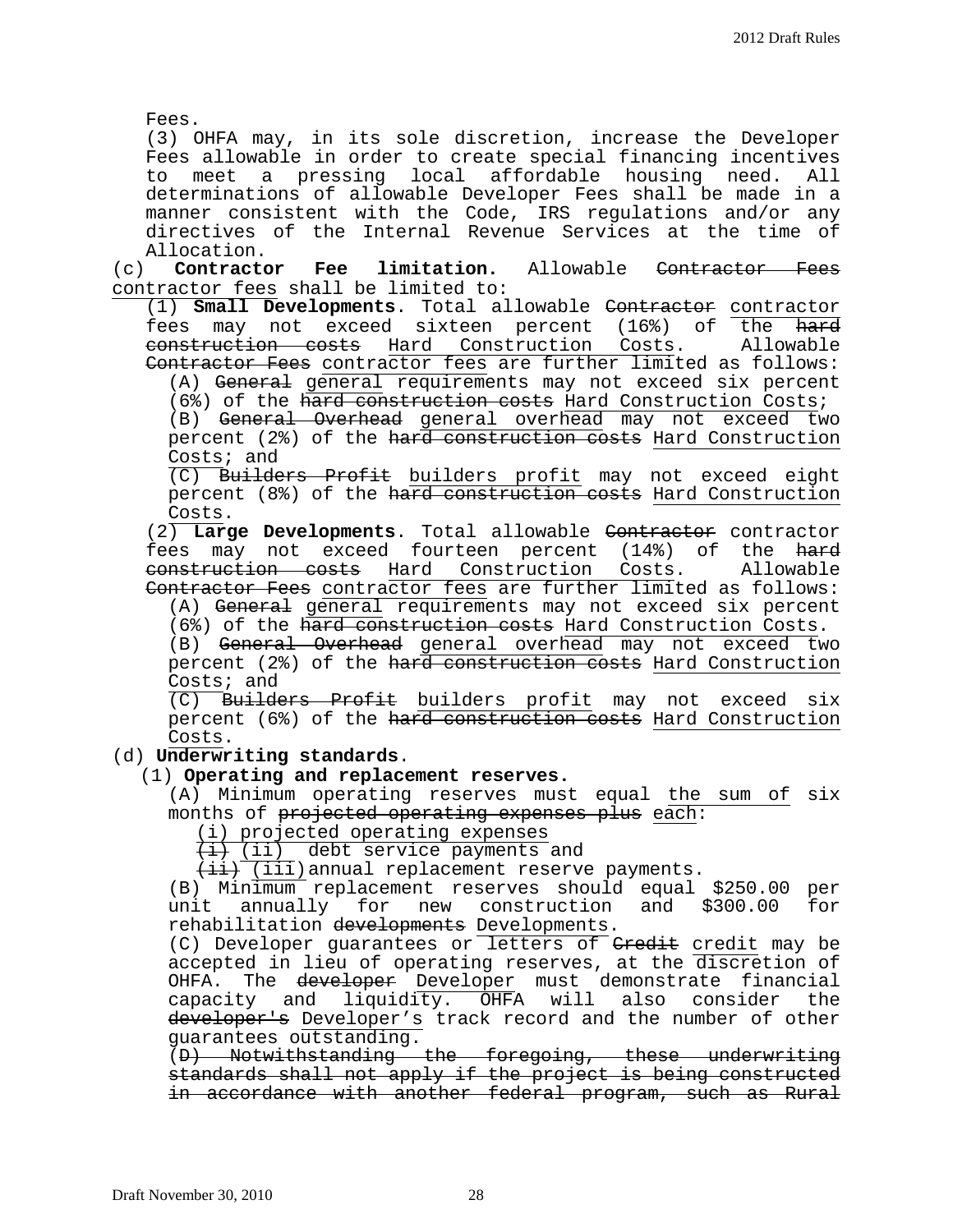Fees.

(3) OHFA may, in its sole discretion, increase the Developer Fees allowable in order to create special financing incentives to meet a pressing local affordable housing need. All determinations of allowable Developer Fees shall be made in a manner consistent with the Code, IRS regulations and/or any directives of the Internal Revenue Services at the time of

Allocation. limitation. Allowable <del>Contractor Fees</del> contractor fees shall be limited to:

(1) **Small Developments**. Total allowable Contractor contractor fees may not exceed sixteen percent (16%) of the <del>hard</del> construction costs Hard Construction Costs. Allowable Contractor Fees contractor fees are further limited as follows:

(A) General general requirements may not exceed six percent (6%) of the hard construction costs Hard Construction Costs;

(B) General Overhead general overhead may not exceed two percent (2%) of the hard construction costs Hard Construction Costs; and

(C) Builders Profit builders profit may not exceed eight percent (8%) of the hard construction costs Hard Construction Costs.

(2) **Large Developments**. Total allowable Contractor contractor fees may not exceed fourteen percent (14%) of the hard construction costs Hard Construction Costs. Allowable Contractor Fees contractor fees are further limited as follows:

(A) General general requirements may not exceed six percent

(6%) of the hard construction costs Hard Construction Costs. (B) General Overhead general overhead may not exceed two percent (2%) of the hard construction costs Hard Construction Costs; and

 $(C)$  Builders Profit builders profit may not exceed six percent (6%) of the hard construction costs Hard Construction Costs.

## (d) **Underwriting standards**.

## (1) **Operating and replacement reserves.**

(A) Minimum operating reserves must equal the sum of six months of projected operating expenses plus each:

(i) projected operating expenses

 $\overline{a}(i)$  (ii) debt service payments and

 $\overline{(\texttt{iii})}$  (iii) annual replacement reserve payments.

(B) Minimum replacement reserves should equal \$250.00 per<br>unit annually for new construction and \$300.00 for unit annually for new construction and \$300.00 rehabilitation developments Developments.

(C) Developer guarantees or letters of Credit credit may be accepted in lieu of operating reserves, at the discretion of OHFA. The <del>developer</del> Developer must demonstrate financial capacity and liquidity. OHFA will also consider the developer's Developer's track record and the number of other guarantees outstanding.

(D) Notwithstanding the foregoing, these underwriting standards shall not apply if the project is being constructed in accordance with another federal program, such as Rural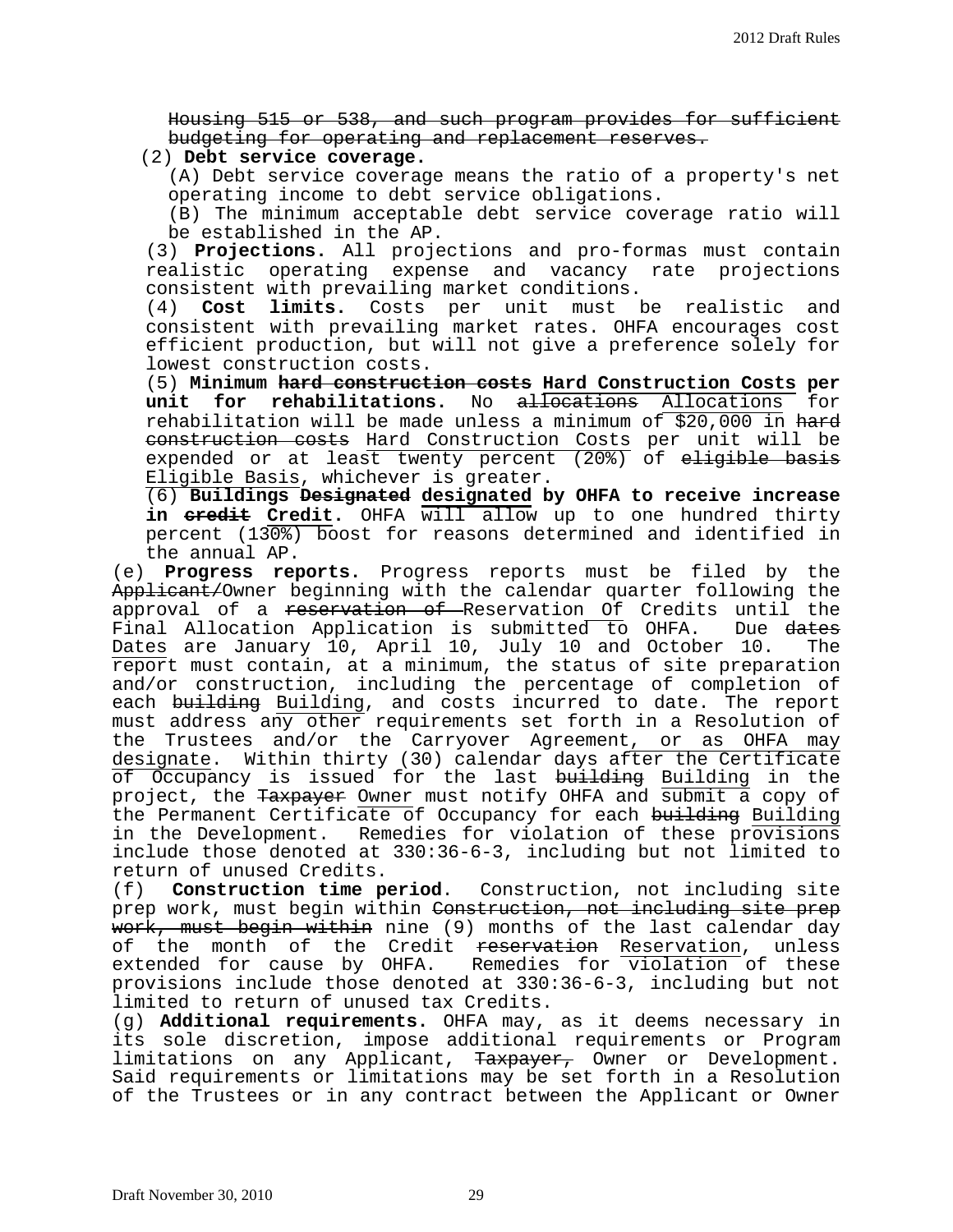Housing 515 or 538, and such program provides for sufficient budgeting for operating and replacement reserves.

(2) **Debt service coverage.**

(A) Debt service coverage means the ratio of a property's net operating income to debt service obligations.

(B) The minimum acceptable debt service coverage ratio will be established in the AP.

(3) **Projections.** All projections and pro-formas must contain realistic operating expense and vacancy rate projections consistent with prevailing market conditions.<br>(4) **Cost limits.** Costs per unit must k

(4) **Cost limits.** Costs per unit must be realistic and consistent with prevailing market rates. OHFA encourages cost efficient production, but will not give a preference solely for lowest construction costs.

(5) **Minimum hard construction costs Hard Construction Costs per**  unit for rehabilitations. No allocations Allocations for rehabilitation will be made unless a minimum of \$20,000 in hard construction costs Hard Construction Costs per unit will be expended or at least twenty percent  $(20^{\circ})$  of eligible basis Eligible Basis, whichever is greater.

(6) **Buildings Designated designated by OHFA to receive increase in credit Credit.** OHFA will allow up to one hundred thirty percent (130%) boost for reasons determined and identified in

the annual AP.<br>(e) **Progress re**p Progress reports. Progress reports must be filed by the Applicant/Owner beginning with the calendar quarter following the approval of a <del>reservation of R</del>eservation Of Credits until the<br>Final Allocation Application is submitted to OHFA. Due <del>dates</del> Final Allocation Application is submitted to OHFA. Dates are January 10, April 10, July 10 and October 10. The report must contain, at a minimum, the status of site preparation and/or construction, including the percentage of completion of each building Building, and costs incurred to date. The report must address any other requirements set forth in a Resolution of the Trustees and/or the Carryover Agreement, or as OHFA may designate. Within thirty (30) calendar days after the Certificate of Occupancy is issued for the last <del>building</del> <u>Building</u> in the project, the <del>Taxpayer</del> <u>Owner</u> must notify OHFA and submit a copy of the Permanent Certificate of Occupancy for each building Building in the Development. Remedies for violation of these provisions include those denoted at 330:36-6-3, including but not limited to return of unused Credits.<br>(f) **Construction time p** 

(f) **Construction time period**. Construction, not including site prep work, must begin within Construction, not including site prep work, must begin within nine (9) months of the last calendar day of the month of the Credit reservation Reservation, unless extended for cause by OHFA. Remedies for violation of these provisions include those denoted at 330:36-6-3, including but not limited to return of unused tax Credits.

(g) **Additional requirements.** OHFA may, as it deems necessary in its sole discretion, impose additional requirements or Program<br>limitations on any Applicant, <del>Taxpayer,</del> Owner or Development. Said requirements or limitations may be set forth in a Resolution of the Trustees or in any contract between the Applicant or Owner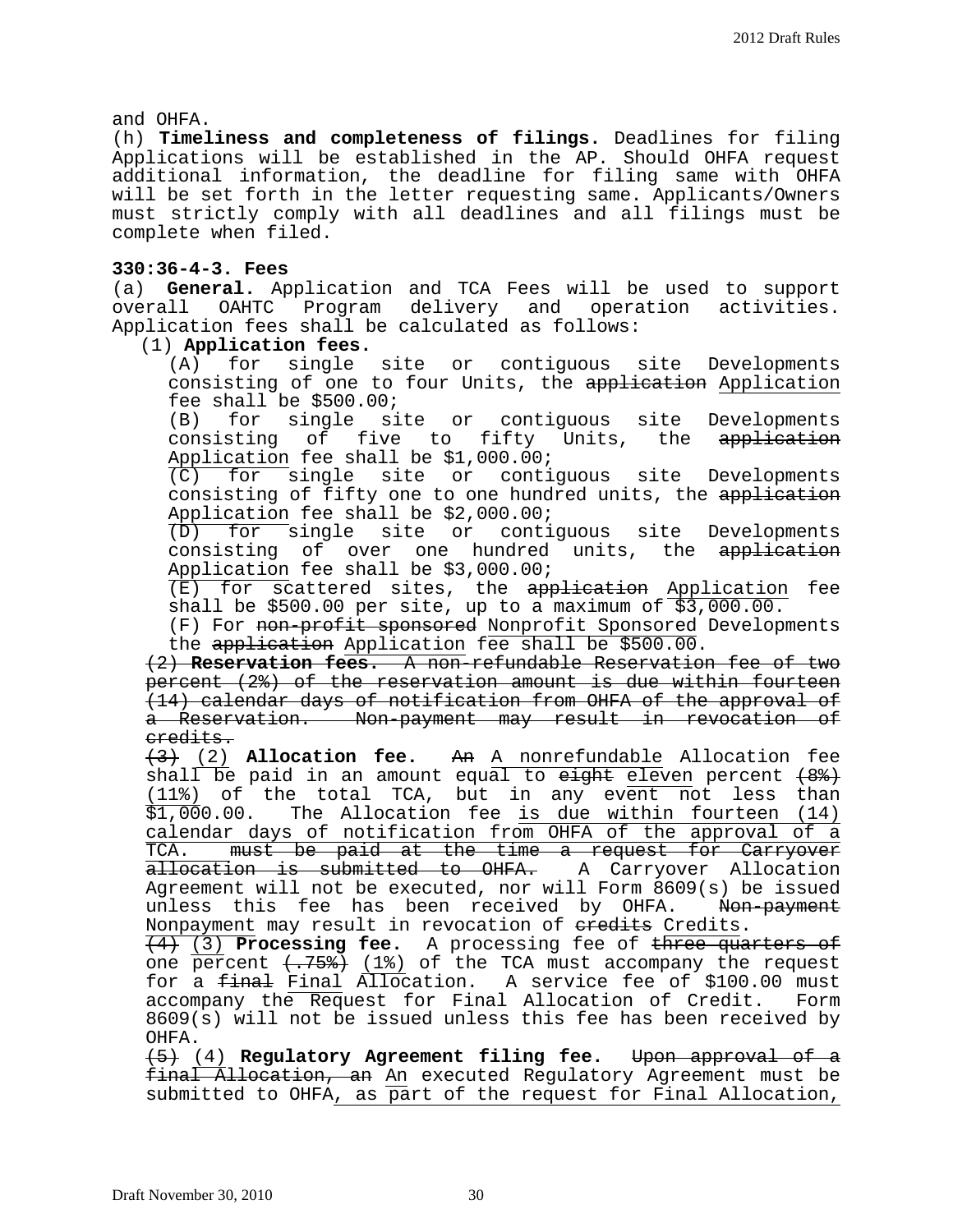and OHFA.

(h) **Timeliness and completeness of filings.** Deadlines for filing Applications will be established in the AP. Should OHFA request additional information, the deadline for filing same with OHFA will be set forth in the letter requesting same. Applicants/Owners must strictly comply with all deadlines and all filings must be complete when filed.

## **330:36-4-3. Fees**

(a) **General.** Application and TCA Fees will be used to support overall OAHTC Program delivery and operation activities. Application fees shall be calculated as follows:

(1) **Application fees.**

single site or contiguous site Developments consisting of one to four Units, the application Application fee shall be  $$500.00$ ;<br>(B) for single si

for single site or contiguous site Developments consisting of five to fifty Units, the application Application fee shall be \$1,000.00;

(C) for single site or contiguous site Developments consisting of fifty one to one hundred units, the application Application fee shall be \$2,000.00;

(D) for single site or contiguous site Developments consisting of over one hundred units, the application Application fee shall be \$3,000.00;

(E) for scattered sites, the application Application fee shall be \$500.00 per site, up to a maximum of \$3,000.00.

(F) For non-profit sponsored Nonprofit Sponsored Developments the application Application fee shall be \$500.00.

(2) **Reservation fees.** A non-refundable Reservation fee of two percent (2%) of the reservation amount is due within fourteen (14) calendar days of notification from OHFA of the approval of a Reservation. Non-payment may result in revocation of credits.

(3) (2) **Allocation fee.** An A nonrefundable Allocation fee shall be paid in an amount equal to  $e^{i\theta}$  eleven percent  $(8^2)$  $(11\%)$  of the total TCA, but in any event not less than<br>\$1,000.00. The Allocation fee is due within fourteen (14) The Allocation fee is due within fourteen (14) calendar days of notification from OHFA of the approval of a<br>TCA. must be paid at the time a request for Carryover must be paid at the time a request for Carryover allocation is submitted to OHFA. A Carryover Allocation Agreement will not be executed, nor will Form 8609(s) be issued<br>unless this fee has been received by OHFA. Non-payment unless this fee has been received by OHFA. Nonpayment may result in revocation of eredits Credits.

(4) (3) **Processing fee.** A processing fee of three quarters of one percent  $\langle .758 \rangle$  (1%) of the TCA must accompany the request for a <del>final</del> Final Allocation. A service fee of \$100.00 must<br>accompany the Request for Final Allocation of Credit. Form accompany the Request for Final Allocation of Credit. 8609(s) will not be issued unless this fee has been received by OHFA.

(5) (4) **Regulatory Agreement filing fee.** Upon approval of a final Allocation, an An executed Regulatory Agreement must be submitted to OHFA, as part of the request for Final Allocation,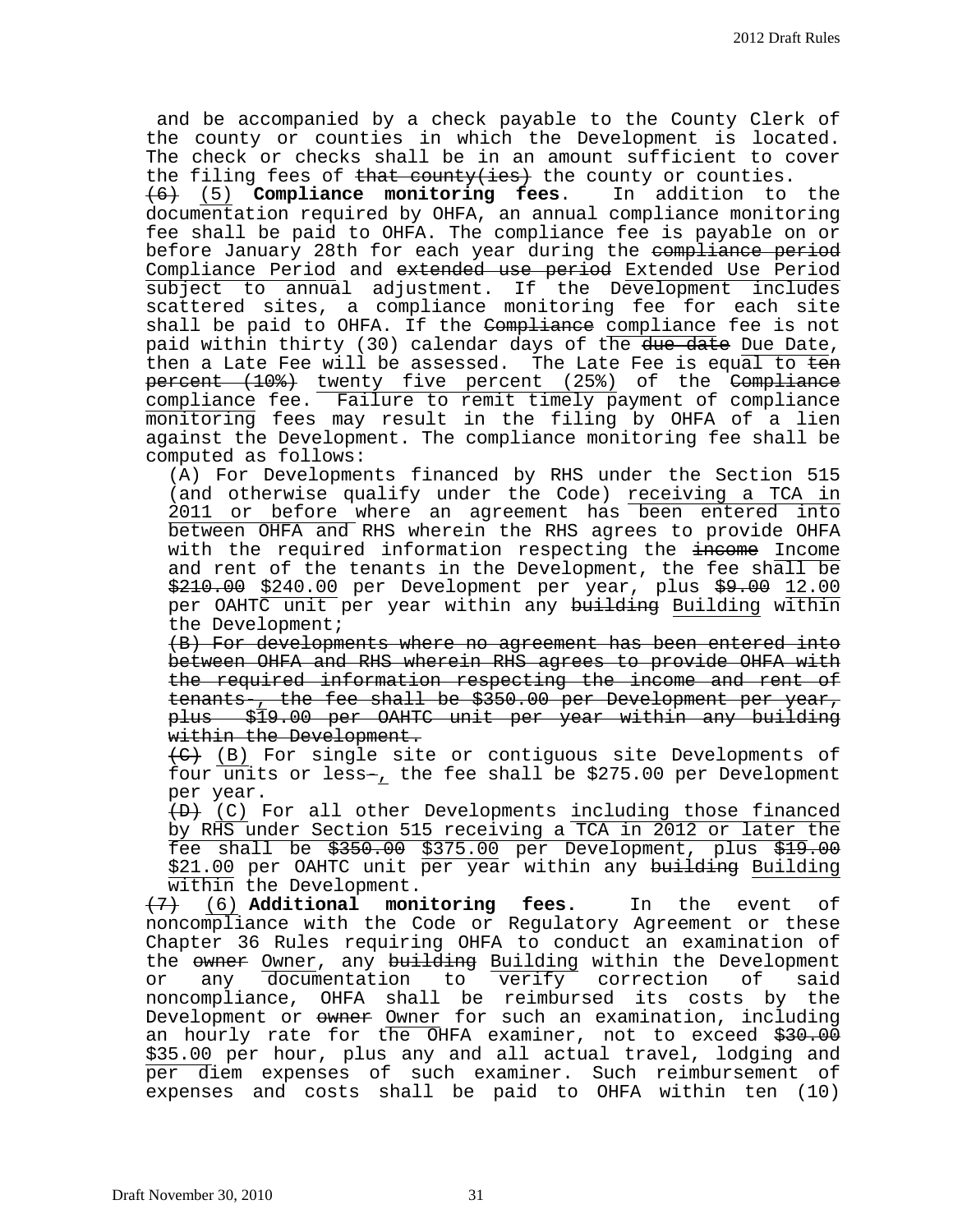and be accompanied by a check payable to the County Clerk of the county or counties in which the Development is located. The check or checks shall be in an amount sufficient to cover the filing fees of <del>that county(ies)</del> the county or counties.<br> $\overline{+6}$  (5) **Compliance monitoring fees**. In addition to the  $\overline{6}$  (5) **Compliance monitoring fees.** documentation required by OHFA, an annual compliance monitoring fee shall be paid to OHFA. The compliance fee is payable on or before January 28th for each year during the compliance period Compliance Period and extended use period Extended Use Period subject to annual adjustment. If the Development includes scattered sites, a compliance monitoring fee for each site shall be paid to OHFA. If the Compliance compliance fee is not

paid within thirty (30) calendar days of the due date Due Date, then a Late Fee will be assessed. The Late Fee is equal to ten percent (10%) twenty five percent (25%) of the Compliance compliance fee. Failure to remit timely payment of compliance monitoring fees may result in the filing by OHFA of a lien against the Development. The compliance monitoring fee shall be computed as follows:

(A) For Developments financed by RHS under the Section 515 (and otherwise qualify under the Code) receiving a TCA in 2011 or before where an agreement has been entered into between OHFA and RHS wherein the RHS agrees to provide OHFA with the required information respecting the income Income and rent of the tenants in the Development, the fee shall be \$210.00 \$240.00 per Development per year, plus \$9.00 12.00 per OAHTC unit per year within any building Building within the Development;

(B) For developments where no agreement has been entered into between OHFA and RHS wherein RHS agrees to provide OHFA with the required information respecting the income and rent of tenants-, the fee shall be \$350.00 per Development per year, plus \$19.00 per OAHTC unit per year within any building within the Development.

(C) (B) For single site or contiguous site Developments of four units or less-, the fee shall be \$275.00 per Development per year.

 $(D)$  (C) For all other Developments including those financed by RHS under Section 515 receiving a TCA in 2012 or later the fee shall be \$350.00 \$375.00 per Development, plus \$19.00 \$21.00 per OAHTC unit per year within any building Building within the Development.

(7) (6) **Additional monitoring fees.** In the event of noncompliance with the Code or Regulatory Agreement or these Chapter 36 Rules requiring OHFA to conduct an examination of the owner Owner, any building Building within the Development<br>or any documentation to verify correction of said any documentation to verify noncompliance, OHFA shall be reimbursed its costs by the Development or  $\omega$  owner for such an examination, including an hourly rate for the OHFA examiner, not to exceed \$30.00 \$35.00 per hour, plus any and all actual travel, lodging and per diem expenses of such examiner. Such reimbursement of expenses and costs shall be paid to OHFA within ten (10)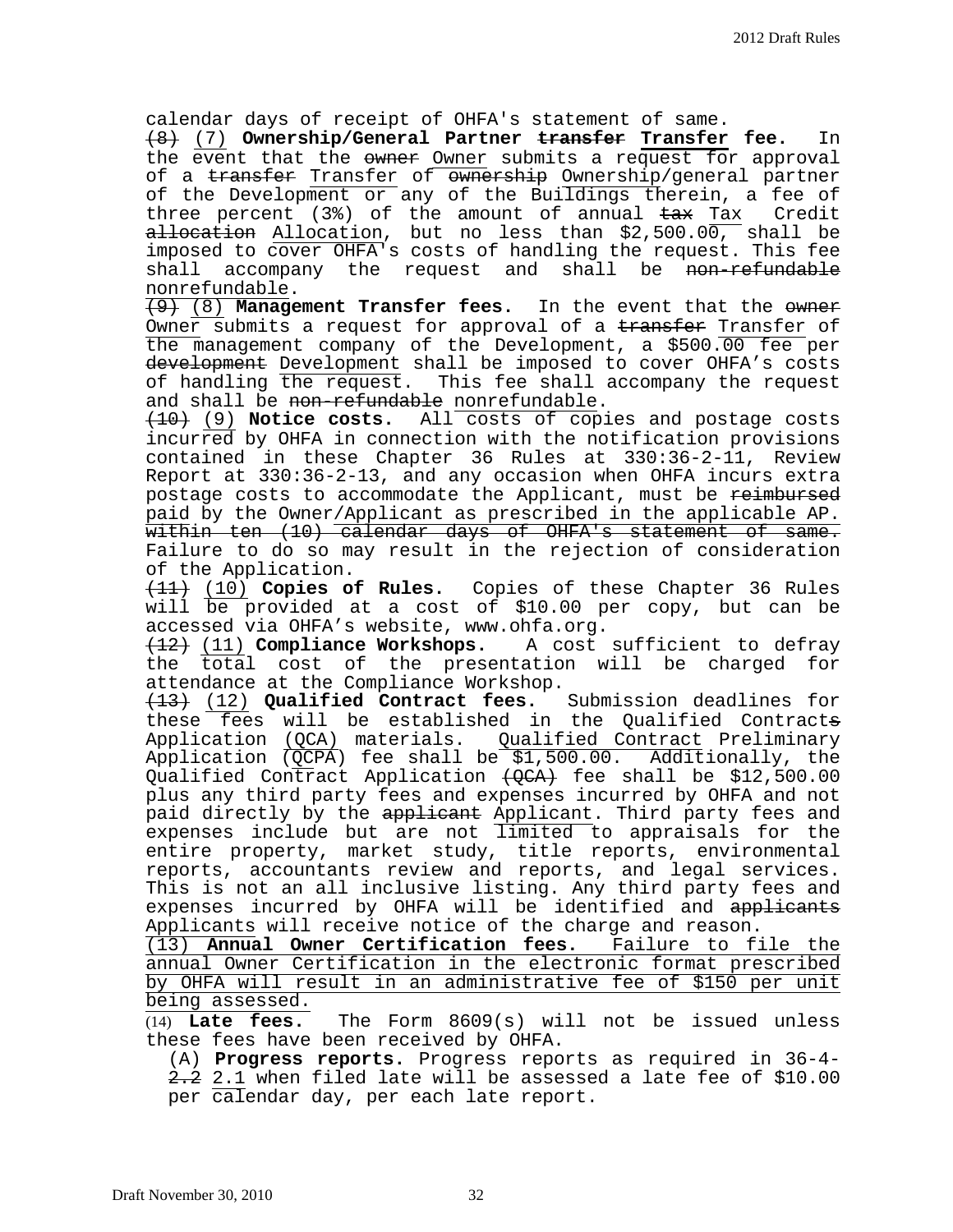calendar days of receipt of OHFA's statement of same.

(8) (7) **Ownership/General Partner transfer Transfer fee.** In the event that the owner Owner submits a request for approval of a transfer Transfer of ownership Ownership/general partner of the Development or any of the Buildings therein, a fee of<br>three percent (3%) of the amount of annual <del>tax</del> Tax Credit three percent  $(3)$  of the amount of annual  $\frac{1}{5}$  Tax  $a\text{-}l\text{-}section$  Allocation, but no less than \$2,500.00, shall be imposed to cover OHFA's costs of handling the request. This fee shall accompany the request and shall be non-refundable nonrefundable.

(9) (8) **Management Transfer fees.** In the event that the owner Owner submits a request for approval of a transfer Transfer of the management company of the Development, a \$500.00 fee per development Development shall be imposed to cover OHFA's costs of handling the request. This fee shall accompany the request and shall be non-refundable nonrefundable.

(10) (9) **Notice costs.** All costs of copies and postage costs incurred by OHFA in connection with the notification provisions contained in these Chapter 36 Rules at 330:36-2-11, Review Report at 330:36-2-13, and any occasion when OHFA incurs extra postage costs to accommodate the Applicant, must be reimbursed paid by the Owner/Applicant as prescribed in the applicable AP. within ten (10) calendar days of OHFA's statement of same. Failure to do so may result in the rejection of consideration of the Application.

(11) (10) **Copies of Rules.** Copies of these Chapter 36 Rules will  $\overline{be}$  provided at a cost of \$10.00 per copy, but can be accessed via OHFA's website, www.ohfa.org.

(12) (11) **Compliance Workshops.** A cost sufficient to defray the total cost of the presentation will be charged for attendance at the Compliance Workshop.

(13) (12) **Qualified Contract fees.** Submission deadlines for these fees will be established in the Qualified Contracts Application (QCA) materials. Qualified Contract Preliminary Application  $\overline{QCPA}$ ) fee shall be \$1,500.00. Additionally, the Qualified Contract Application  $\text{\textsterling}(\mathcal{Q}\text{\textsterling}A)$  fee shall be \$12,500.00 plus any third party fees and expenses incurred by OHFA and not paid directly by the applicant Applicant. Third party fees and expenses include but are not limited to appraisals for the entire property, market study, title reports, environmental reports, accountants review and reports, and legal services. This is not an all inclusive listing. Any third party fees and expenses incurred by OHFA will be identified and applicants Applicants will receive notice of the charge and reason.

(13) **Annual Owner Certification fees.** Failure to file the annual Owner Certification in the electronic format prescribed by OHFA will result in an administrative fee of \$150 per unit  $\frac{\overline{\text{being}}\text{ assessed.}}{(14)}$  Late fees.

The Form 8609(s) will not be issued unless these fees have been received by OHFA.

(A) **Progress reports.** Progress reports as required in 36-4- 2.2 2.1 when filed late will be assessed a late fee of \$10.00 per calendar day, per each late report.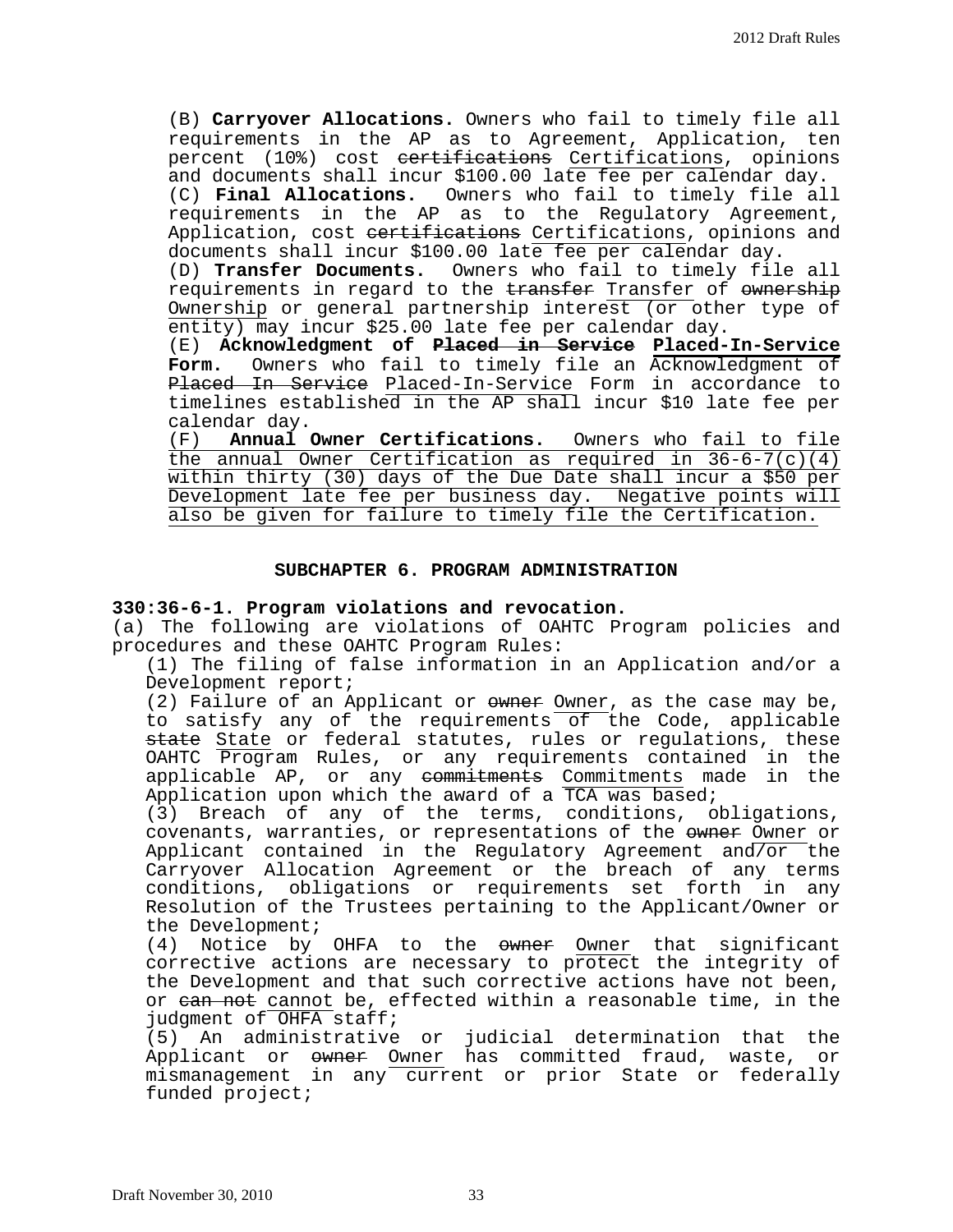(B) **Carryover Allocations.** Owners who fail to timely file all requirements in the AP as to Agreement, Application, ten percent (10%) cost eertifications Certifications, opinions and documents shall incur \$100.00 late fee per calendar day. (C) **Final Allocations.** Owners who fail to timely file all requirements in the AP as to the Regulatory Agreement, Application, cost <del>certifications</del> Certifications, opinions and documents shall incur \$100.00 late fee per calendar day.

(D) **Transfer Documents.** Owners who fail to timely file all requirements in regard to the transfer Transfer of ownership Ownership or general partnership interest (or other type of entity) may incur \$25.00 late fee per calendar day.

(E) **Acknowledgment of Placed in Service Placed-In-Service Form.** Owners who fail to timely file an Acknowledgment of Placed In Service Placed-In-Service Form in accordance to timelines established in the AP shall incur \$10 late fee per calendar day.<br>(F) **Annual** 

Annual Owner Certifications. Owners who fail to file the annual Owner Certification as required in 36-6-7(c)(4) within thirty (30) days of the Due Date shall incur a \$50 per Development late fee per business day. Negative points will also be given for failure to timely file the Certification.

#### **SUBCHAPTER 6. PROGRAM ADMINISTRATION**

## **330:36-6-1. Program violations and revocation.**

(a) The following are violations of OAHTC Program policies and procedures and these OAHTC Program Rules:

(1) The filing of false information in an Application and/or a Development report;

(2) Failure of an Applicant or owners Owner, as the case may be, to satisfy any of the requirements of the Code, applicable <del>state</del> <u>State</u> or federal statutes, rules or regulations, these OAHTC Program Rules, or any requirements contained in the applicable AP, or any commitments Commitments made in the Application upon which the award of a TCA was based;

(3) Breach of any of the terms, conditions, obligations, covenants, warranties, or representations of the owner or Applicant contained in the Regulatory Agreement and/or the Carryover Allocation Agreement or the breach of any terms conditions, obligations or requirements set forth in any Resolution of the Trustees pertaining to the Applicant/Owner or

the Development;<br>(4) Notice by Notice by OHFA to the owner Owner that significant corrective actions are necessary to protect the integrity of the Development and that such corrective actions have not been, or ean not cannot be, effected within a reasonable time, in the judgment of OHFA staff;

(5) An administrative or judicial determination that the Applicant or <del>owner</del> <u>Owner</u> has committed fraud, waste, or mismanagement in any current or prior State or federally funded project;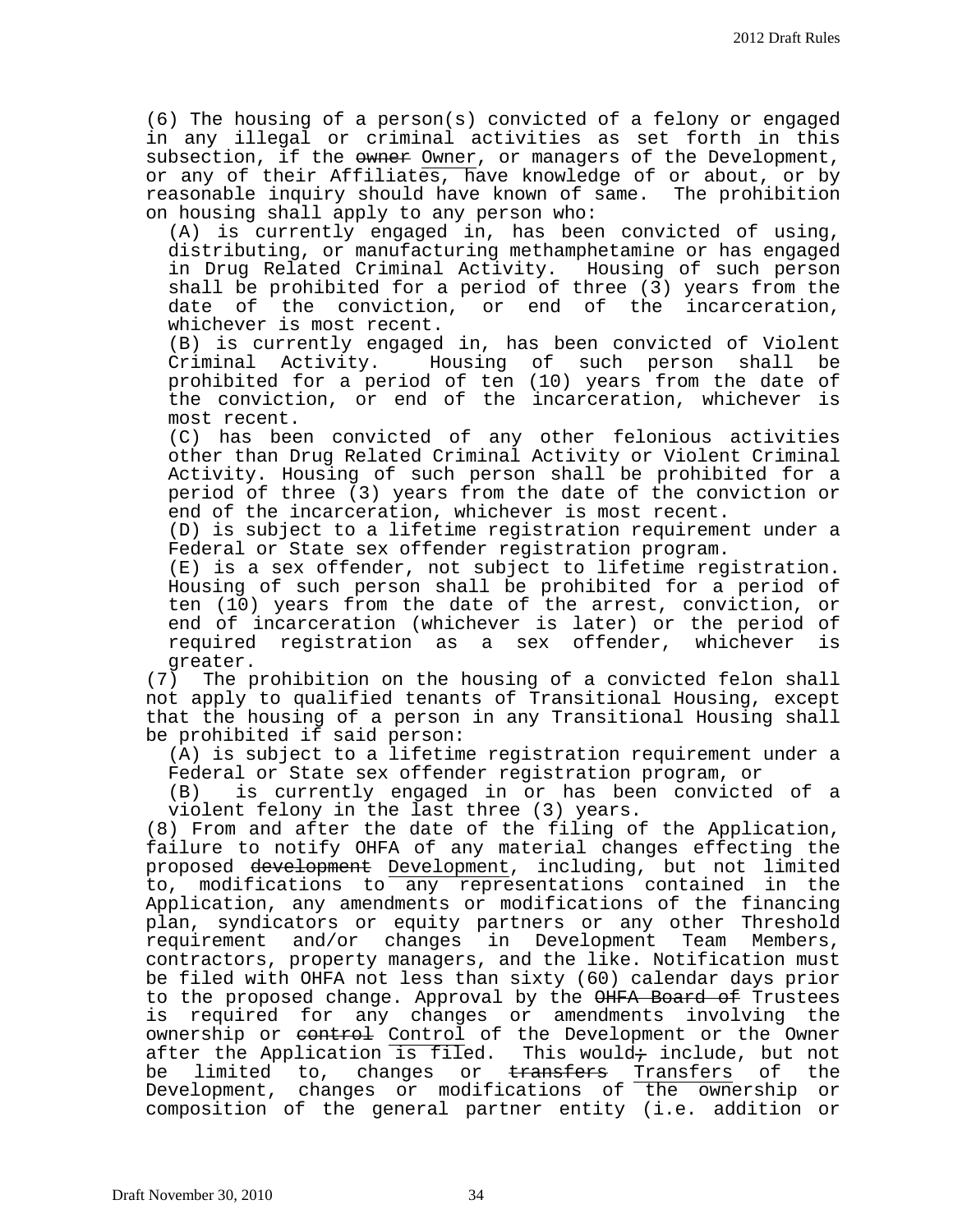(6) The housing of a person(s) convicted of a felony or engaged in any illegal or criminal activities as set forth in this subsection, if the owner Owner, or managers of the Development, or any of their Affiliates, have knowledge of or about, or by<br>reasonable inquiry should have known of same. The prohibition reasonable inquiry should have known of same. on housing shall apply to any person who:

(A) is currently engaged in, has been convicted of using, distributing, or manufacturing methamphetamine or has engaged in Drug Related Criminal Activity. Housing of such person shall be prohibited for a period of three (3) years from the date of the conviction, or end of the incarceration, whichever is most recent.

(B) is currently engaged in, has been convicted of Violent Criminal Activity. Housing of such person shall prohibited for a period of ten (10) years from the date of the conviction, or end of the incarceration, whichever is most recent.

(C) has been convicted of any other felonious activities other than Drug Related Criminal Activity or Violent Criminal Activity. Housing of such person shall be prohibited for a period of three (3) years from the date of the conviction or end of the incarceration, whichever is most recent.

(D) is subject to a lifetime registration requirement under a Federal or State sex offender registration program.

(E) is a sex offender, not subject to lifetime registration. Housing of such person shall be prohibited for a period of ten (10) years from the date of the arrest, conviction, or end of incarceration (whichever is later) or the period of<br>required registration as a sex offender, whichever is required registration as a sex offender, whichever

greater.<br>The p (7) The prohibition on the housing of a convicted felon shall not apply to qualified tenants of Transitional Housing, except that the housing of a person in any Transitional Housing shall be prohibited if said person:

(A) is subject to a lifetime registration requirement under a Federal or State sex offender registration program, or

is currently engaged in or has been convicted of a violent felony in the last three (3) years.

(8) From and after the date of the filing of the Application, failure to notify OHFA of any material changes effecting the proposed development Development, including, but not limited to, modifications to any representations contained in the Application, any amendments or modifications of the financing plan, syndicators or equity partners or any other Threshold requirement and/or changes in Development Team Members, contractors, property managers, and the like. Notification must be filed with OHFA not less than sixty (60) calendar days prior to the proposed change. Approval by the <del>OHFA Board of</del> Trustees<br>is required for any changes or amendments involving the required for any changes or amendments involving the ownership or control Control of the Development or the Owner after the Application is filed. This would<del>;</del> include, but not<br>be limited to, changes or <del>transfers</del> Transfers of the limited to, changes or <del>transfers</del> Transfers of the Development, changes or modifications of the ownership or composition of the general partner entity (i.e. addition or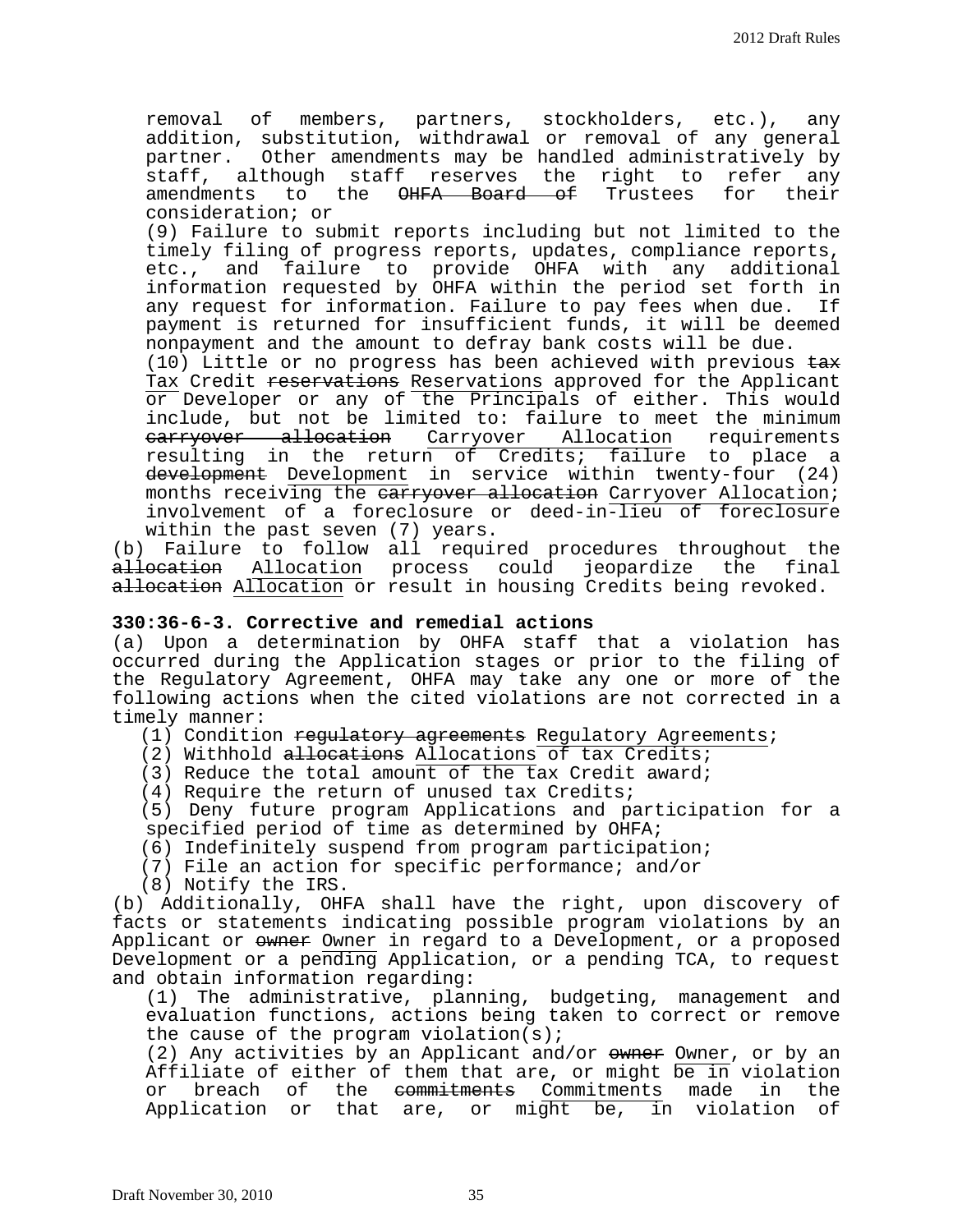removal of members, partners, stockholders, etc.), any addition, substitution, withdrawal or removal of any general partner. Other amendments may be handled administratively by staff, although staff reserves the right to refer any<br>amendments to the <del>OHFA Board of</del> Trustees for their <del>OHFA Board of</del> Trustees consideration; or

(9) Failure to submit reports including but not limited to the timely filing of progress reports, updates, compliance reports, etc., and failure to provide OHFA with any additional information requested by OHFA within the period set forth in any request for information. Failure to pay fees when due. payment is returned for insufficient funds, it will be deemed nonpayment and the amount to defray bank costs will be due.

 $(10)$  Little or no progress has been achieved with previous  $\pm a\cdot x$ Tax Credit <del>reservations</del> Reservations approved for the Applicant or Developer or any of the Principals of either. This would include, but not be limited to: failure to meet the minimum carryover allocation Carryover Allocation requirements resulting in the return of Credits; failure to place a development Development in service within twenty-four (24) months receiving the earryover allocation Carryover Allocation; involvement of a foreclosure or deed-in-lieu of foreclosure within the past seven (7) years.

(b) Failure to follow all required procedures throughout the a<del>llocation</del> Allocation process could jeopardize the final a<del>llocation</del> Allocation or result in housing Credits being revoked.

## **330:36-6-3. Corrective and remedial actions**

(a) Upon a determination by OHFA staff that a violation has occurred during the Application stages or prior to the filing of the Regulatory Agreement, OHFA may take any one or more of the following actions when the cited violations are not corrected in a timely manner:

(1) Condition regulatory agreements Regulatory Agreements;

(2) Withhold allocations Allocations of tax Credits;

(3) Reduce the total amount of the tax Credit award;

(4) Require the return of unused tax Credits;

(5) Deny future program Applications and participation for a specified period of time as determined by OHFA;

(6) Indefinitely suspend from program participation;

(7) File an action for specific performance; and/or

(8) Notify the IRS.

(b) Additionally, OHFA shall have the right, upon discovery of facts or statements indicating possible program violations by an Applicant or owner Owner in regard to a Development, or a proposed Development or a pending Application, or a pending TCA, to request and obtain information regarding:

(1) The administrative, planning, budgeting, management and evaluation functions, actions being taken to correct or remove the cause of the program violation(s);

 $(2)$  Any activities by an Applicant and/or  $\omega$  owner, or by an Affiliate of either of them that are, or might be in violation<br>or breach of the <del>commitments</del> Commitments made in the the <del>commitments</del> Commitments made in the Application or that are, or might be, in violation of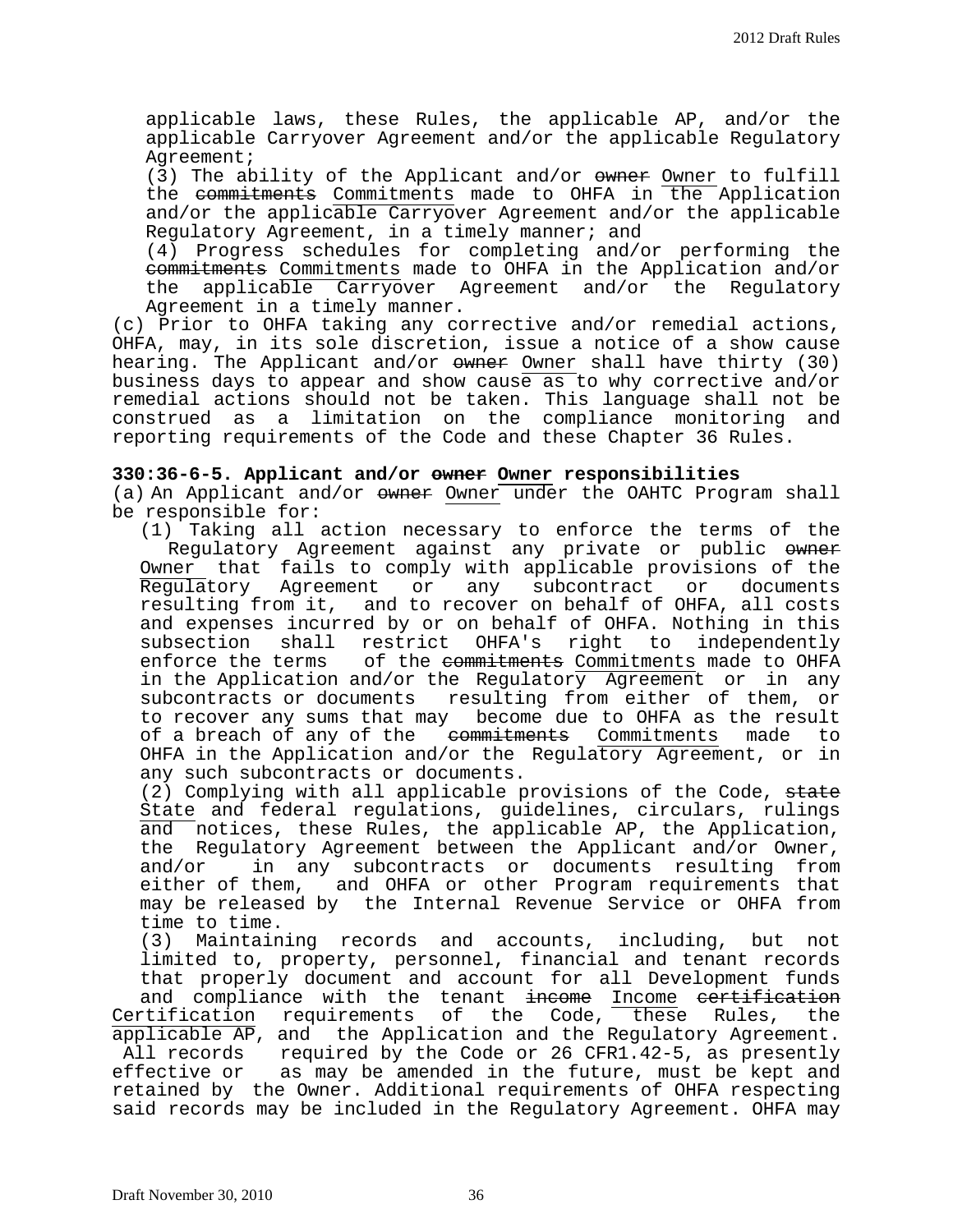applicable laws, these Rules, the applicable AP, and/or the applicable Carryover Agreement and/or the applicable Regulatory Agreement;

(3) The ability of the Applicant and/or owner Owner to fulfill the commitments Commitments made to OHFA in the Application and/or the applicable Carryover Agreement and/or the applicable Regulatory Agreement, in a timely manner; and

(4) Progress schedules for completing and/or performing the eommitments Commitments made to OHFA in the Application and/or<br>the applicable Carryover Agreement and/or the Regulatory Carryover Agreement and/or the Regulatory Agreement in a timely manner.

(c) Prior to OHFA taking any corrective and/or remedial actions, OHFA, may, in its sole discretion, issue a notice of a show cause hearing. The Applicant and/or owner Owner shall have thirty (30) business days to appear and show cause as to why corrective and/or remedial actions should not be taken. This language shall not be construed as a limitation on the compliance monitoring and reporting requirements of the Code and these Chapter 36 Rules.

## **330:36-6-5. Applicant and/or owner Owner responsibilities**

(a) An Applicant and/or owner Owner under the OAHTC Program shall be responsible for:

(1) Taking all action necessary to enforce the terms of the Regulatory Agreement against any private or public owner Owner that fails to comply with applicable provisions of the<br>Regulatory Agreement or any subcontract or documents Regulatory Agreement or any subcontract resulting from it, and to recover on behalf of OHFA, all costs and expenses incurred by or on behalf of OHFA. Nothing in this<br>subsection shall restrict OHFA's right to independently shall restrict OHFA's right enforce the terms of the commitments Commitments made to OHFA in the Application and/or the Regulatory Agreement or in any subcontracts or documents resulting from either of them, or to recover any sums that may become due to OHFA as the result<br>of a breach of any of the enumitments Commitments made to of a breach of any of the commitments Commitments OHFA in the Application and/or the Regulatory Agreement, or in any such subcontracts or documents.

(2) Complying with all applicable provisions of the Code, state State and federal regulations, guidelines, circulars, rulings and notices, these Rules, the applicable AP, the Application,<br>the Regulatory Agreement between the Applicant and/or Owner, and/or in any subcontracts or documents resulting from either of them, and OHFA or other Program requirements that may be released by the Internal Revenue Service or OHFA from time to time.

(3) Maintaining records and accounts, including, but not limited to, property, personnel, financial and tenant records that properly document and account for all Development funds and compliance with the tenant <del>income</del> Income <del>certification</del><br>ctification requirements of the Code, these Rules, the Certification requirements of the Code, applicable AP, and the Application and the Regulatory Agreement. All records required by the Code or 26 CFR1.42-5, as presently effective or as may be amended in the future, must be kept and retained by the Owner. Additional requirements of OHFA respecting said records may be included in the Regulatory Agreement. OHFA may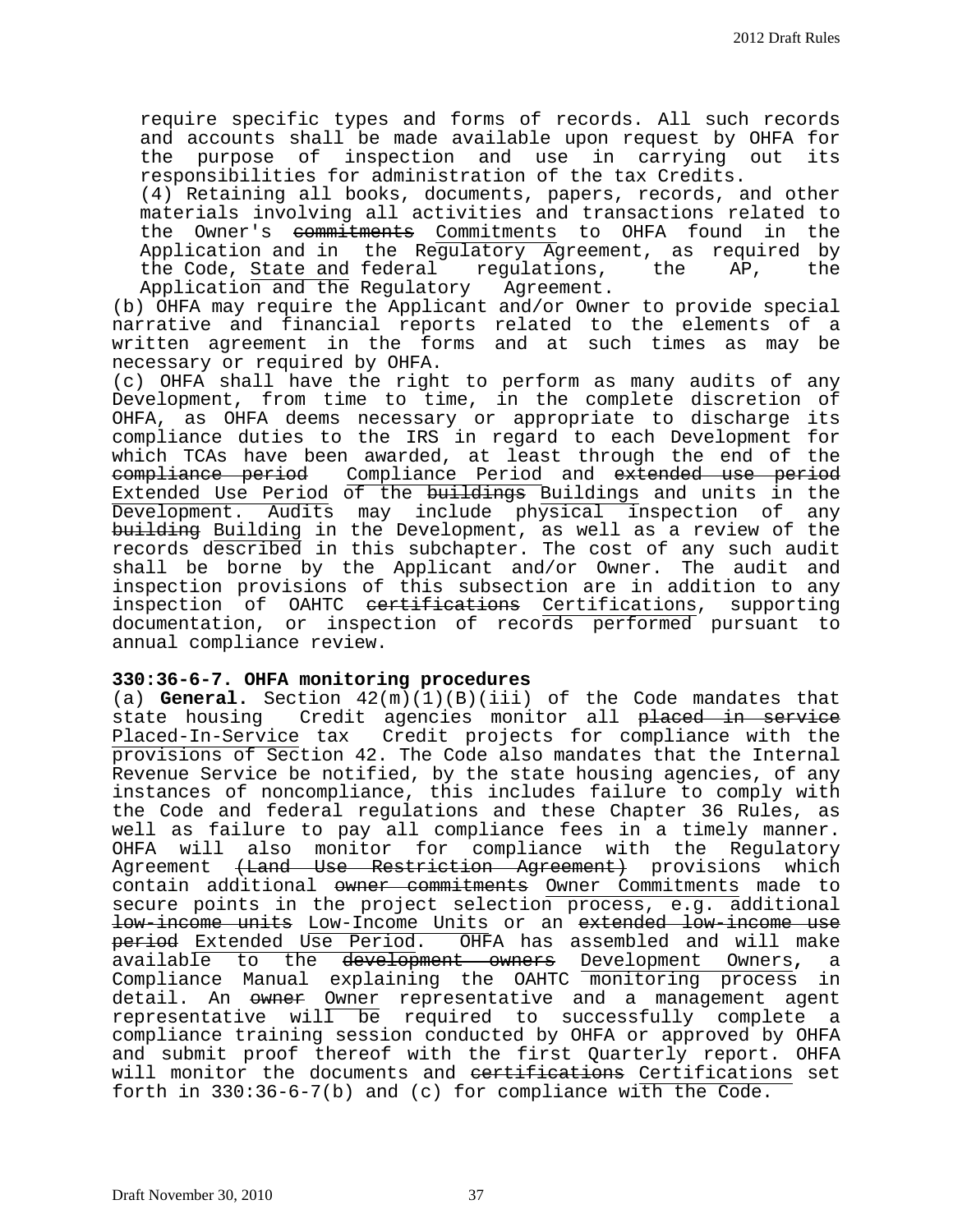require specific types and forms of records. All such records and accounts shall be made available upon request by OHFA for the purpose of inspection and use in carrying out responsibilities for administration of the tax Credits.

(4) Retaining all books, documents, papers, records, and other materials involving all activities and transactions related to the Owner's <del>commitments</del> Commitments to OHFA found in the Application and in the Regulatory Agreement, as required by<br>the Code, State and federal regulations, the AP, the the Code, State and federal regulations,<br>Application and the Regulatory Agreement. Application and the Regulatory

(b) OHFA may require the Applicant and/or Owner to provide special narrative and financial reports related to the elements of a written agreement in the forms and at such times as may be necessary or required by OHFA.

(c) OHFA shall have the right to perform as many audits of any Development, from time to time, in the complete discretion of OHFA, as OHFA deems necessary or appropriate to discharge its compliance duties to the IRS in regard to each Development for which TCAs have been awarded, at least through the end of the compliance period Compliance Period and extended use period Extended Use Period of the <del>buildings</del> Buildings and units in the Development. Audits may include physical inspection of any building Building in the Development, as well as a review of the records described in this subchapter. The cost of any such audit shall be borne by the Applicant and/or Owner. The audit and inspection provisions of this subsection are in addition to any inspection of OAHTC <del>certifications</del> Certifications, supporting documentation, or inspection of records performed pursuant to annual compliance review.

## **330:36-6-7. OHFA monitoring procedures**

(a) **General.** Section 42(m)(1)(B)(iii) of the Code mandates that state housing Credit agencies monitor all placed in service Credit agencies monitor all placed in service Placed-In-Service tax Credit projects for compliance with the provisions of Section 42. The Code also mandates that the Internal Revenue Service be notified, by the state housing agencies, of any instances of noncompliance, this includes failure to comply with the Code and federal regulations and these Chapter 36 Rules, as well as failure to pay all compliance fees in a timely manner. OHFA will also monitor for compliance with the Regulatory Agreement <del>(Land Use Restriction Agreement)</del> provisions which contain additional owner commitments Owner Commitments made to secure points in the project selection process, e.g. additional low-income units Low-Income Units or an extended low-income use period Extended Use Period. OHFA has assembled and will make<br>available to the <del>development owners</del> Development Owners, a available to the development owners Development Owners**,** a Compliance Manual explaining the OAHTC monitoring process in detail. An owner Owner representative and a management agent representative will be required to successfully complete a compliance training session conducted by OHFA or approved by OHFA and submit proof thereof with the first Quarterly report. OHFA will monitor the documents and eertifications Certifications set forth in 330:36-6-7(b) and (c) for compliance with the Code.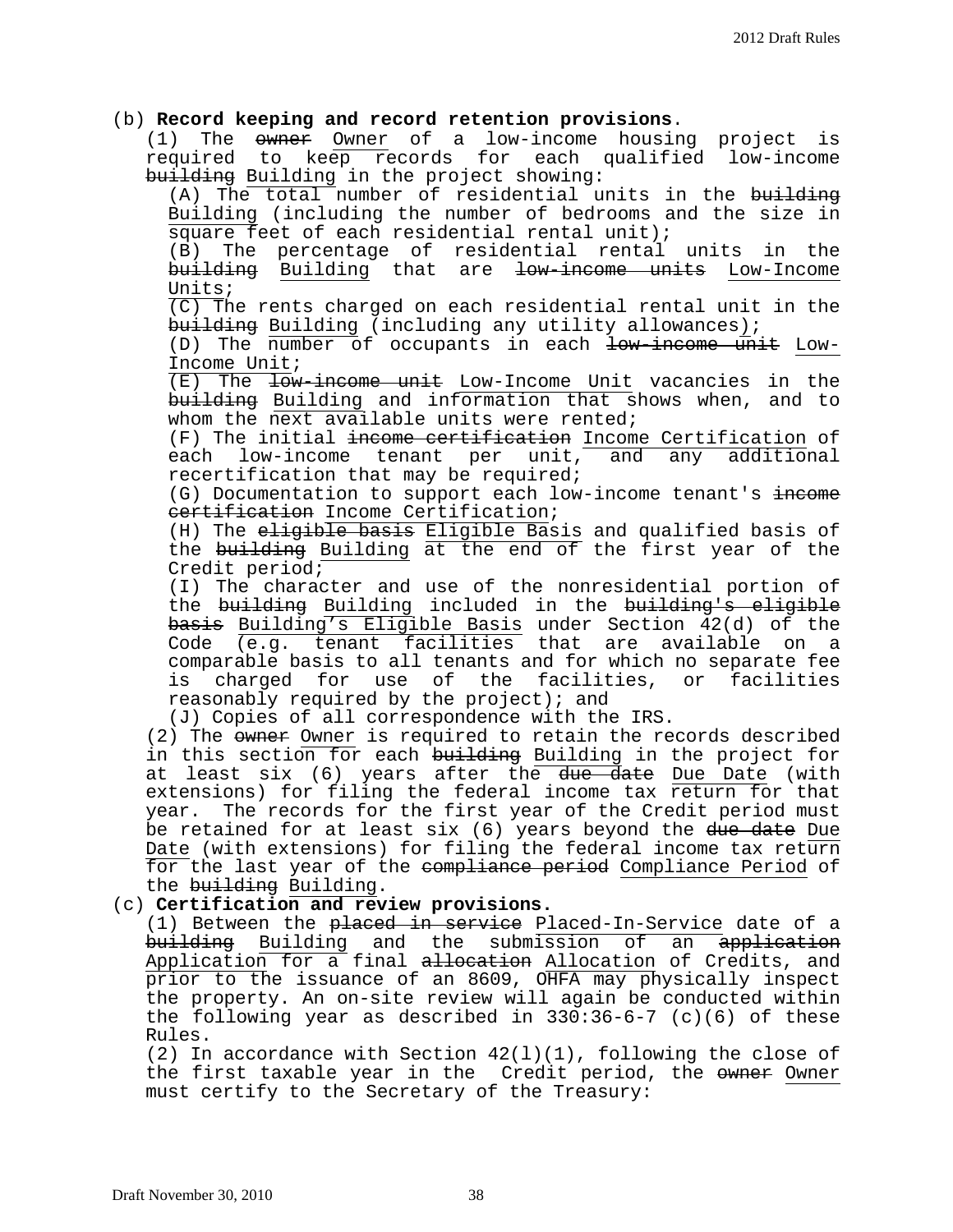## (b) **Record keeping and record retention provisions**.

(1) The owner Owner of a low-income housing project is required to keep records for each qualified low-income building Building in the project showing:

(A) The total number of residential units in the building Building (including the number of bedrooms and the size in square feet of each residential rental unit); (B) The percentage of residential rental units in the building Building that are low-income units Low-Income Units;  $\overline{(C)}$  The rents charged on each residential rental unit in the building Building (including any utility allowances); (D) The number of occupants in each low-income unit Low-Income Unit; (E) The low-income unit Low-Income Unit vacancies in the building Building and information that shows when, and to whom the next available units were rented; (F) The initial <del>income certification</del> Income Certification of<br>each low-income tenant per unit, and any additional low-income tenant per unit, recertification that may be required; (G) Documentation to support each low-income tenant's income certification Income Certification; (H) The eligible basis Eligible Basis and qualified basis of the building Building at the end of the first year of the Credit period; (I) The character and use of the nonresidential portion of the building Building included in the building's eligible basis Building's Eligible Basis under Section 42(d) of the Code (e.g. tenant facilities that are available on a comparable basis to all tenants and for which no separate fee is charged for use of the facilities, or facilities reasonably required by the project); and (J) Copies of all correspondence with the IRS. (2) The owner Owner is required to retain the records described in this section for each building Building in the project for at least six (6) years after the due date Due Date (with extensions) for filing the federal income tax return for that year. The records for the first year of the Credit period must be retained for at least six (6) years beyond the due date Due Date (with extensions) for filing the federal income tax return for the last year of the <del>compliance period</del> Compliance Period of<br>the <del>building</del> Building. (c) **Certification and review provisions.** (1) Between the placed in service Placed-In-Service date of a <del>building</del> <u>Building</u> and the submission of an <del>application</del> Application for a final <del>allocation</del> Allocation of Credits, and prior to the issuance of an 8609, OHFA may physically inspect the property. An on-site review will again be conducted within the following year as described in 330:36-6-7 (c)(6) of these Rules. (2) In accordance with Section  $42(1)(1)$ , following the close of the first taxable year in the Credit period, the  $\omega$  Owner

must certify to the Secretary of the Treasury: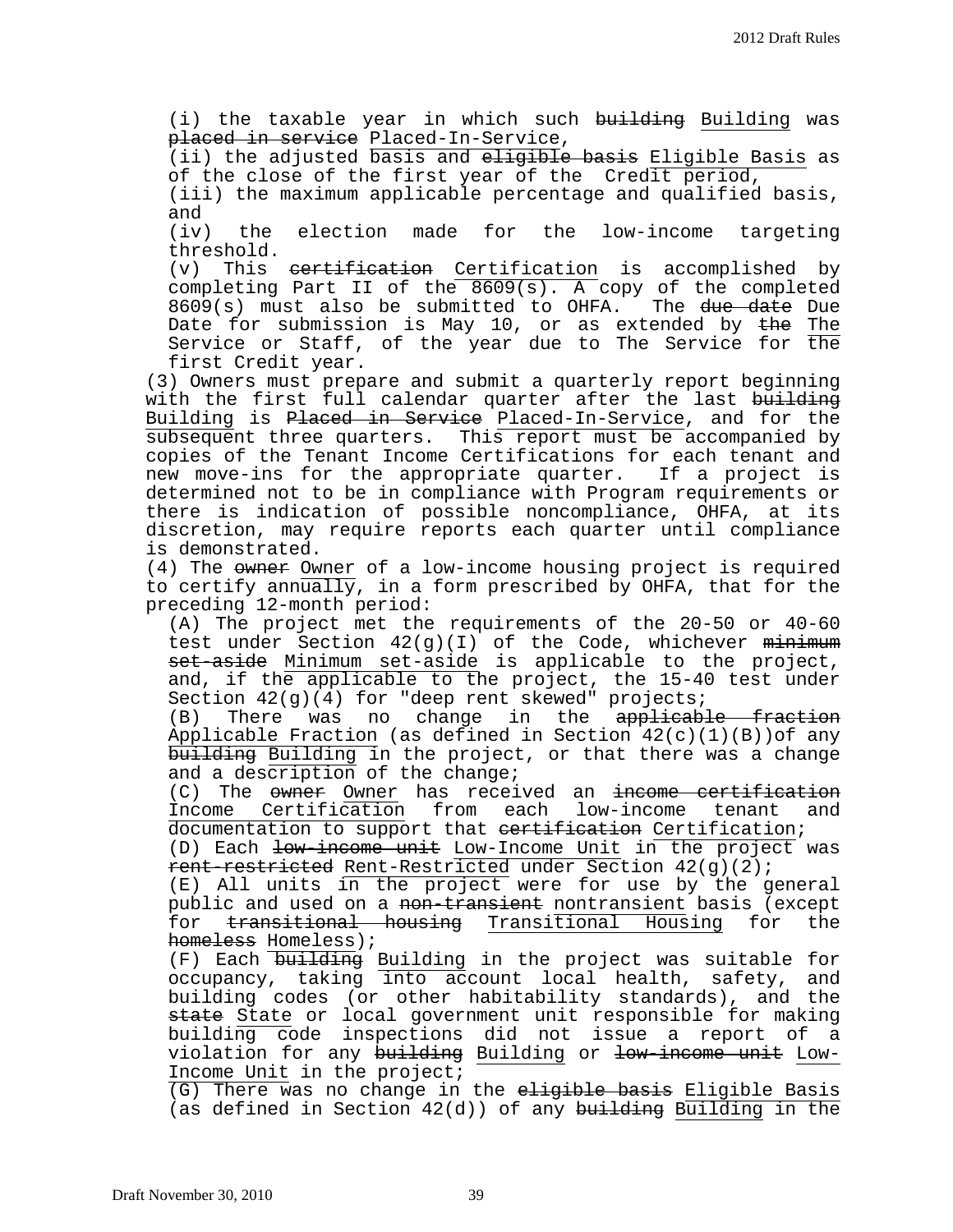(i) the taxable year in which such <del>building</del> Building was placed in service Placed-In-Service,

(ii) the adjusted basis and eligible basis Eligible Basis as of the close of the first year of the Credit period,

(iii) the maximum applicable percentage and qualified basis, and<br>(iv)

the election made for the low-income targeting threshold.<br>(v) This

This <del>certification</del> Certification is accomplished by completing Part II of the 8609(s). A copy of the completed 8609(s) must also be submitted to OHFA. The due date Due Date for submission is May 10, or as extended by the The Service or Staff, of the year due to The Service for  $\overline{the}$ first Credit year.

(3) Owners must prepare and submit a quarterly report beginning with the first full calendar quarter after the last building Building is Placed in Service Placed-In-Service, and for the subsequent three quarters. This report must be accompanied by copies of the Tenant Income Certifications for each tenant and new move-ins for the appropriate quarter. If a project is determined not to be in compliance with Program requirements or there is indication of possible noncompliance, OHFA, at its discretion, may require reports each quarter until compliance is demonstrated.

(4) The owner Owner of a low-income housing project is required to certify annually, in a form prescribed by OHFA, that for the preceding 12-month period:

(A) The project met the requirements of the 20-50 or 40-60 test under Section  $42(g)(1)$  of the Code, whichever  $minimum$ set-aside Minimum set-aside is applicable to the project, and, if the applicable to the project, the 15-40 test under Section 42(g)(4) for "deep rent skewed" projects;<br>(B) There was no change in the <del>applicab.</del>

There was no change in the applicable fraction Applicable Fraction (as defined in Section 42(c)(1)(B))of any building Building in the project, or that there was a change and a description of the change;

(C) The <del>owner</del> <u>Owner</u> has received an <del>income certification</del><br>Income Certification from each low-income tenant and Income Certification from each low-income tenant documentation to support that certification Certification;

(D) Each low-income unit Low-Income Unit in the project was rent-restricted Rent-Restricted under Section 42(g)(2);

(E) All units in the project were for use by the general public and used on a <del>non-transient</del> nontransient basis (except<br>for <del>transitional housing</del> Transitional Housing for the transitional housing Transitional Housing homeless Homeless);

(F) Each building Building in the project was suitable for occupancy, taking into account local health, safety, and building codes (or other habitability standards), and the state State or local government unit responsible for making building code inspections did not issue a report of a violation for any building Building or low-income unit Low-Income Unit in the project;

(G) There was no change in the eligible basis Eligible Basis (as defined in Section  $42(d)$ ) of any building Building in the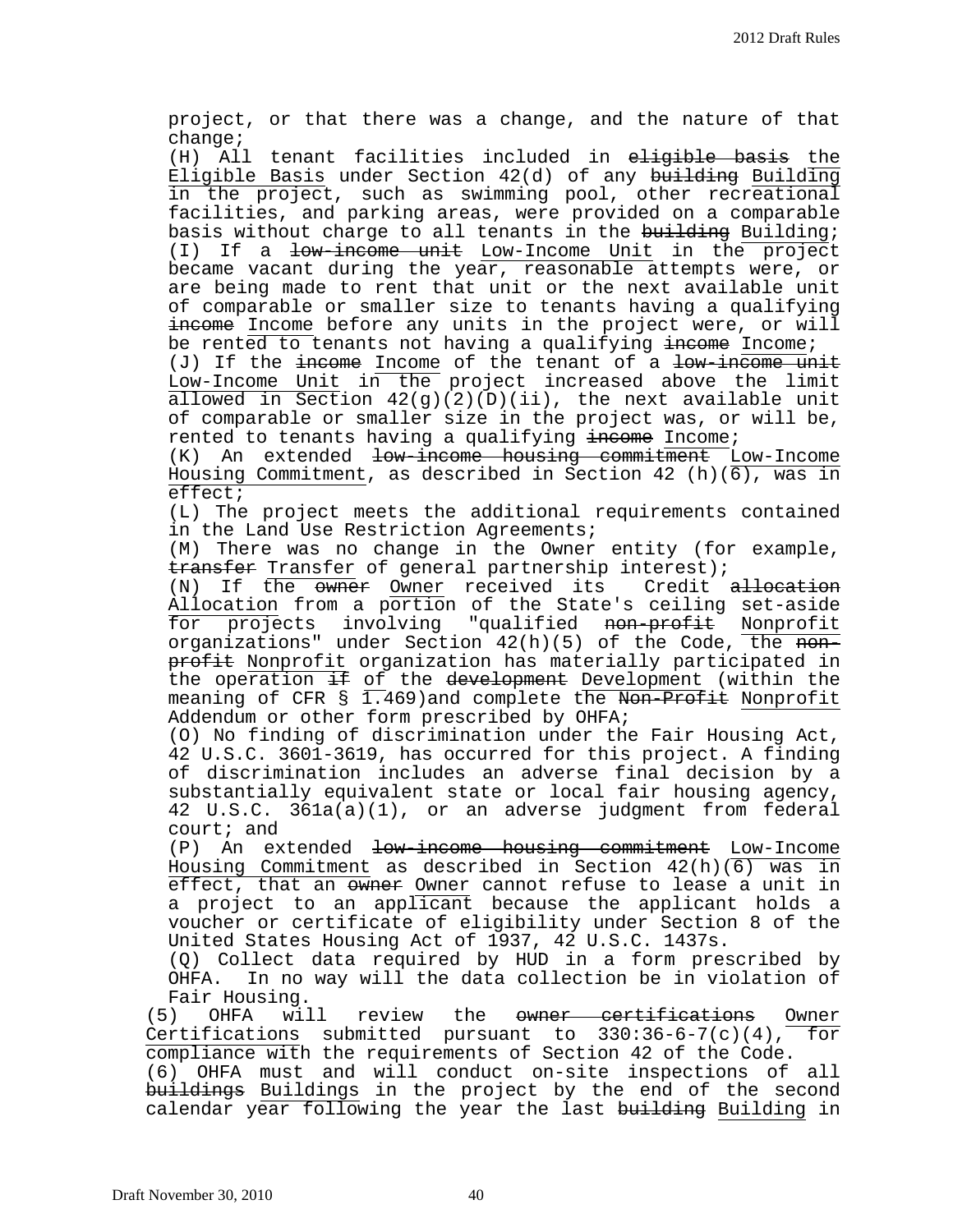project, or that there was a change, and the nature of that change;

(H) All tenant facilities included in eligible basis the Eligible Basis under Section 42(d) of any building Building in the project, such as swimming pool, other recreational facilities, and parking areas, were provided on a comparable basis without charge to all tenants in the building; (I) If a low-income unit Low-Income Unit in the project became vacant during the year, reasonable attempts were, or are being made to rent that unit or the next available unit of comparable or smaller size to tenants having a qualifying income Income before any units in the project were, or will be rented to tenants not having a qualifying income Income;

(J) If the  $\frac{1}{2}$  income of the tenant of a  $\frac{1}{2}$  a  $\frac{1}{2}$   $\frac{1}{2}$   $\frac{1}{2}$ Low-Income Unit in the project increased above the limit allowed in Section  $42(g)(2)(D)(ii)$ , the next available unit of comparable or smaller size in the project was, or will be, rented to tenants having a qualifying  $\frac{1}{2}$  income;

(K) An extended <del>low-income housing commitment</del> Low-Income Housing Commitment, as described in Section 42 (h)(6), was in effect;

(L) The project meets the additional requirements contained in the Land Use Restriction Agreements;

(M) There was no change in the Owner entity (for example, transfer Transfer of general partnership interest);

(N) If the <del>owner</del> Owner received its Credit <del>allocation</del> Allocation from a portion of the State's ceiling set-aside<br>for projects involving "qualified <del>non-profit</del> Nonprofit involving "qualified <del>non-profit</del> Nonprofit organizations" under Section  $42(h)(5)$  of the Code, the nonprofit Nonprofit organization has materially participated in the operation <del>if</del> of the development Development (within the meaning of CFR § 1.469)and complete the <del>Non-Profit</del> <u>Nonprofit</u> Addendum or other form prescribed by OHFA;

(O) No finding of discrimination under the Fair Housing Act, 42 U.S.C. 3601-3619, has occurred for this project. A finding of discrimination includes an adverse final decision by a substantially equivalent state or local fair housing agency, 42 U.S.C. 361a(a)(1), or an adverse judgment from federal court; and

(P) An extended low-income housing commitment Low-Income Housing Commitment as described in Section 42(h)(6) was in effect, that an ewner Owner cannot refuse to lease a unit in a project to an applicant because the applicant holds a voucher or certificate of eligibility under Section 8 of the United States Housing Act of 1937, 42 U.S.C. 1437s.

(Q) Collect data required by HUD in a form prescribed by OHFA. In no way will the data collection be in violation of Fair Housing.

(5) OHFA will review the owner certifications Owner Certifications submitted pursuant to 330:36-6-7(c)(4), for compliance with the requirements of Section 42 of the Code. (6) OHFA must and will conduct on-site inspections of all buildings Buildings in the project by the end of the second calendar year following the year the last building Building in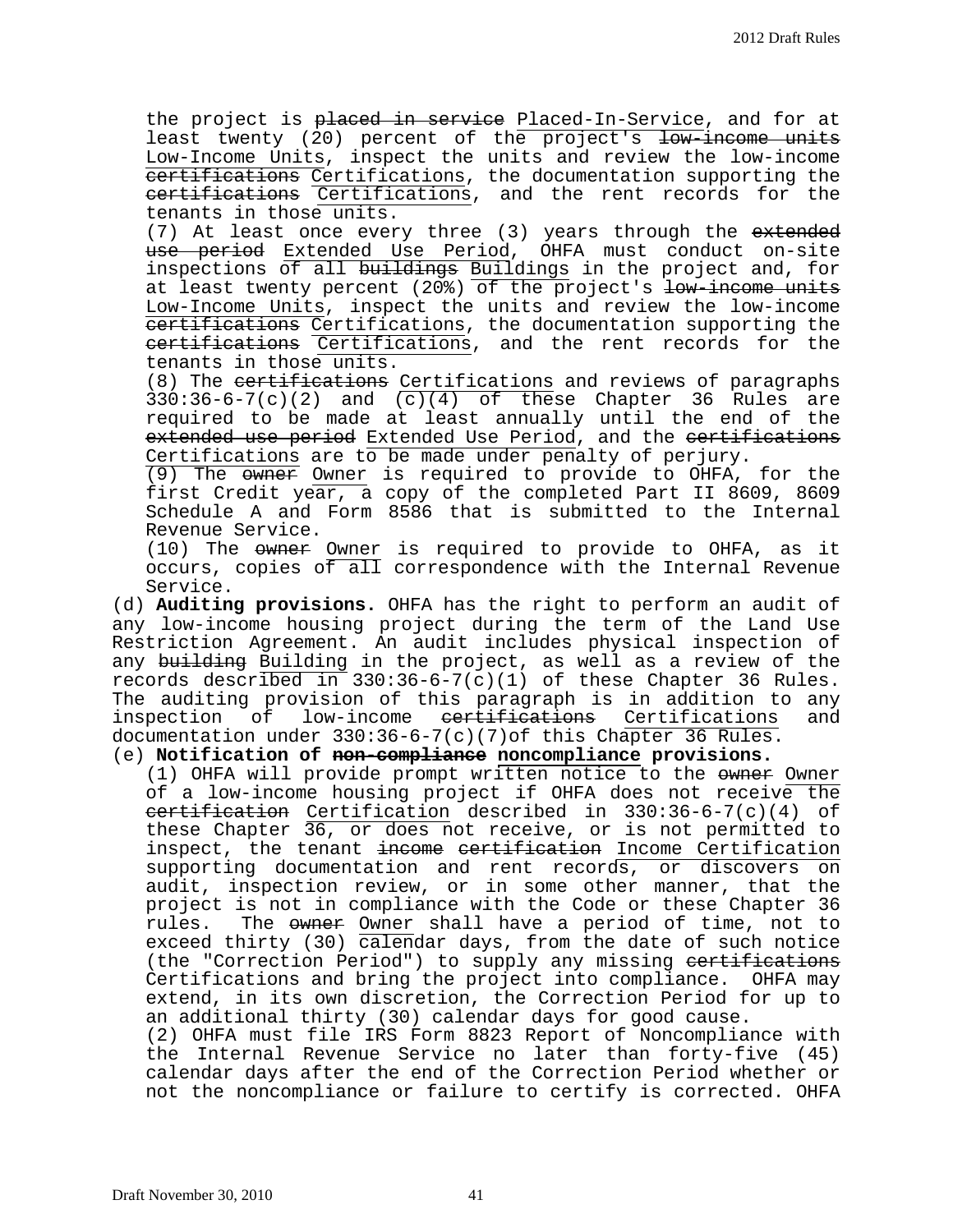the project is placed in service Placed-In-Service, and for at least twenty (20) percent of the project's low-income units Low-Income Units, inspect the units and review the low-income certifications Certifications, the documentation supporting the certifications Certifications, and the rent records for the tenants in those units.

(7) At least once every three (3) years through the extended use period Extended Use Period, OHFA must conduct on-site inspections of all buildings Buildings in the project and, for at least twenty percent (20%) of the project's low-income units Low-Income Units, inspect the units and review the low-income certifications Certifications, the documentation supporting the certifications Certifications, and the rent records for the tenants in those units.

(8) The certifications Certifications and reviews of paragraphs  $330:36-6-7(c)(2)$  and  $(c)(4)$  of these Chapter 36 Rules are required to be made at least annually until the end of the extended use period Extended Use Period, and the certifications Certifications are to be made under penalty of perjury.

(9) The owner Owner is required to provide to OHFA, for the first Credit year, a copy of the completed Part II 8609, 8609 Schedule A and Form 8586 that is submitted to the Internal Revenue Service.

(10) The owner Owner is required to provide to OHFA, as it occurs, copies of all correspondence with the Internal Revenue Service.

(d) **Auditing provisions.** OHFA has the right to perform an audit of any low-income housing project during the term of the Land Use Restriction Agreement. An audit includes physical inspection of any <del>building</del> Building in the project, as well as a review of the records described in 330:36-6-7(c)(1) of these Chapter 36 Rules. The auditing provision of this paragraph is in addition to any<br>inspection of low-income <del>certifications</del> Certifications and low-income <del>certifications</del> Certifications documentation under 330:36-6-7(c)(7)of this Chapter 36 Rules.

## (e) **Notification of non-compliance noncompliance provisions.**

(1) OHFA will provide prompt written notice to the owner of a low-income housing project if OHFA does not receive the certification Certification described in 330:36-6-7(c)(4) of these Chapter 36, or does not receive, or is not permitted to inspect, the tenant income certification Income Certification supporting documentation and rent records, or discovers on audit, inspection review, or in some other manner, that the project is not in compliance with the Code or these Chapter 36<br>rules. The <del>owner</del> Owner shall have a period of time, not to The owner Owner shall have a period of time, not to exceed thirty (30)  $\overline{\text{calend}}$  days, from the date of such notice (the "Correction Period") to supply any missing eertifications Certifications and bring the project into compliance. OHFA may extend, in its own discretion, the Correction Period for up to an additional thirty (30) calendar days for good cause.

(2) OHFA must file IRS Form 8823 Report of Noncompliance with the Internal Revenue Service no later than forty-five (45) calendar days after the end of the Correction Period whether or not the noncompliance or failure to certify is corrected. OHFA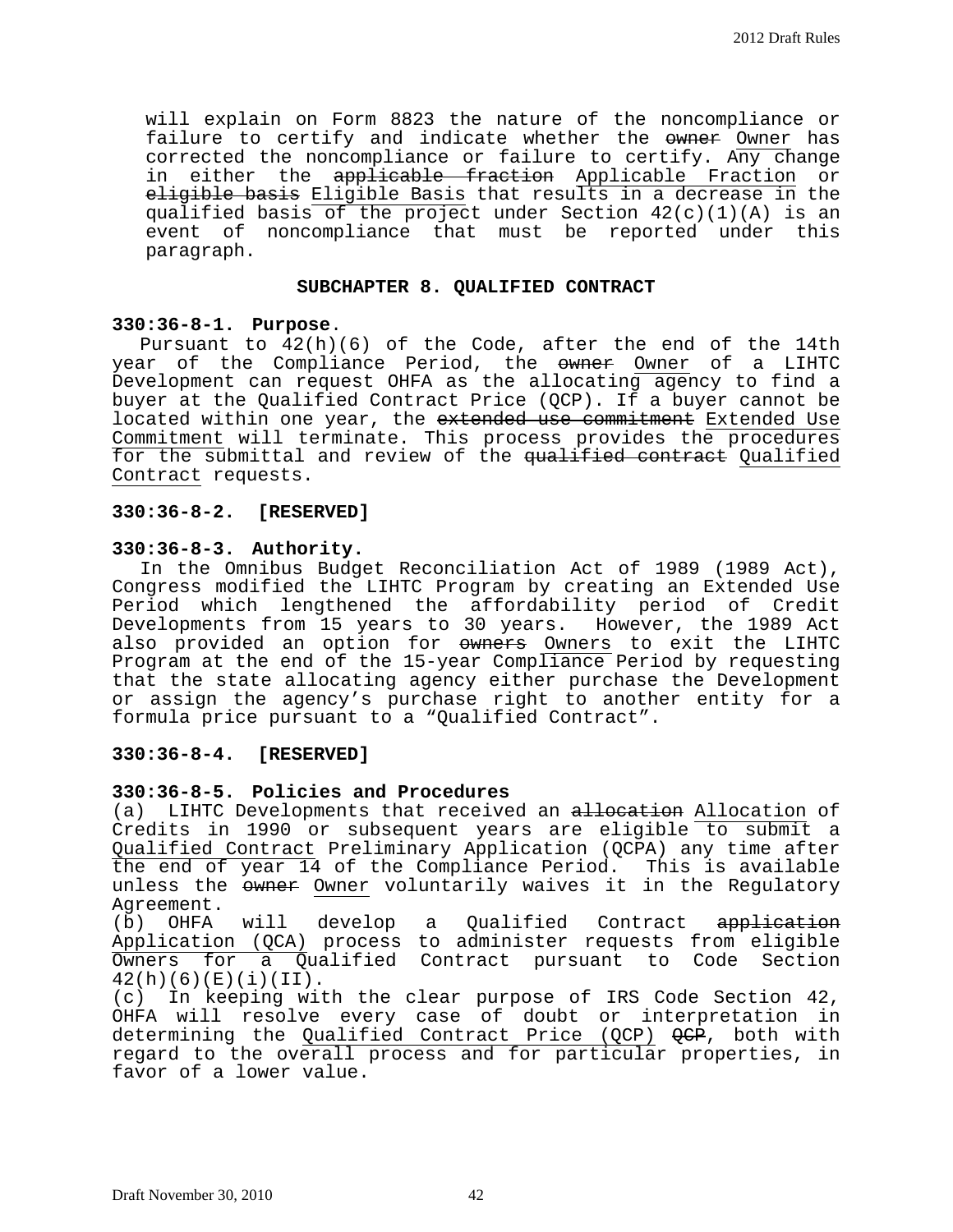will explain on Form 8823 the nature of the noncompliance or failure to certify and indicate whether the owner Owner has corrected the noncompliance or failure to certify. Any change in either the applicable fraction Applicable Fraction or eligible basis Eligible Basis that results in a decrease in the qualified basis of the project under Section 42(c)(1)(A) is an event of noncompliance that must be reported under this paragraph.

#### **SUBCHAPTER 8. QUALIFIED CONTRACT**

## **330:36-8-1. Purpose**.

Pursuant to 42(h)(6) of the Code, after the end of the 14th year of the Compliance Period, the owner Owner of a LIHTC Development can request OHFA as the allocating agency to find a buyer at the Qualified Contract Price (QCP). If a buyer cannot be located within one year, the extended use commitment Extended Use Commitment will terminate. This process provides the procedures for the submittal and review of the qualified contract Qualified Contract requests.

## **330:36-8-2. [RESERVED]**

## **330:36-8-3. Authority.**

In the Omnibus Budget Reconciliation Act of 1989 (1989 Act), Congress modified the LIHTC Program by creating an Extended Use Period which lengthened the affordability period of Credit Developments from 15 years to 30 years. However, the 1989 Act also provided an option for owners Owners to exit the LIHTC Program at the end of the 15-year Compliance Period by requesting that the state allocating agency either purchase the Development or assign the agency's purchase right to another entity for a formula price pursuant to a "Qualified Contract".

## **330:36-8-4. [RESERVED]**

#### **330:36-8-5. Policies and Procedures**

(a) LIHTC Developments that received an allocation Allocation of Credits in 1990 or subsequent years are eligible to submit a Qualified Contract Preliminary Application (QCPA) any time after the end of year 14 of the Compliance Period. This is available unless the owner Owner voluntarily waives it in the Regulatory Agreement.<br>(b) OHFA

will develop a Qualified Contract <del>application</del> Application (QCA) process to administer requests from eligible Owners for a Qualified Contract pursuant to Code Section  $42(h)(6)(E)(i)(II).$ <br>(c) In keeping wit

In keeping with the clear purpose of IRS Code Section 42, OHFA will resolve every case of doubt or interpretation in determining the <u>Qualified Contract Price (QCP)</u> <del>QCP</del>, both with regard to the overall process and for particular properties, in favor of a lower value.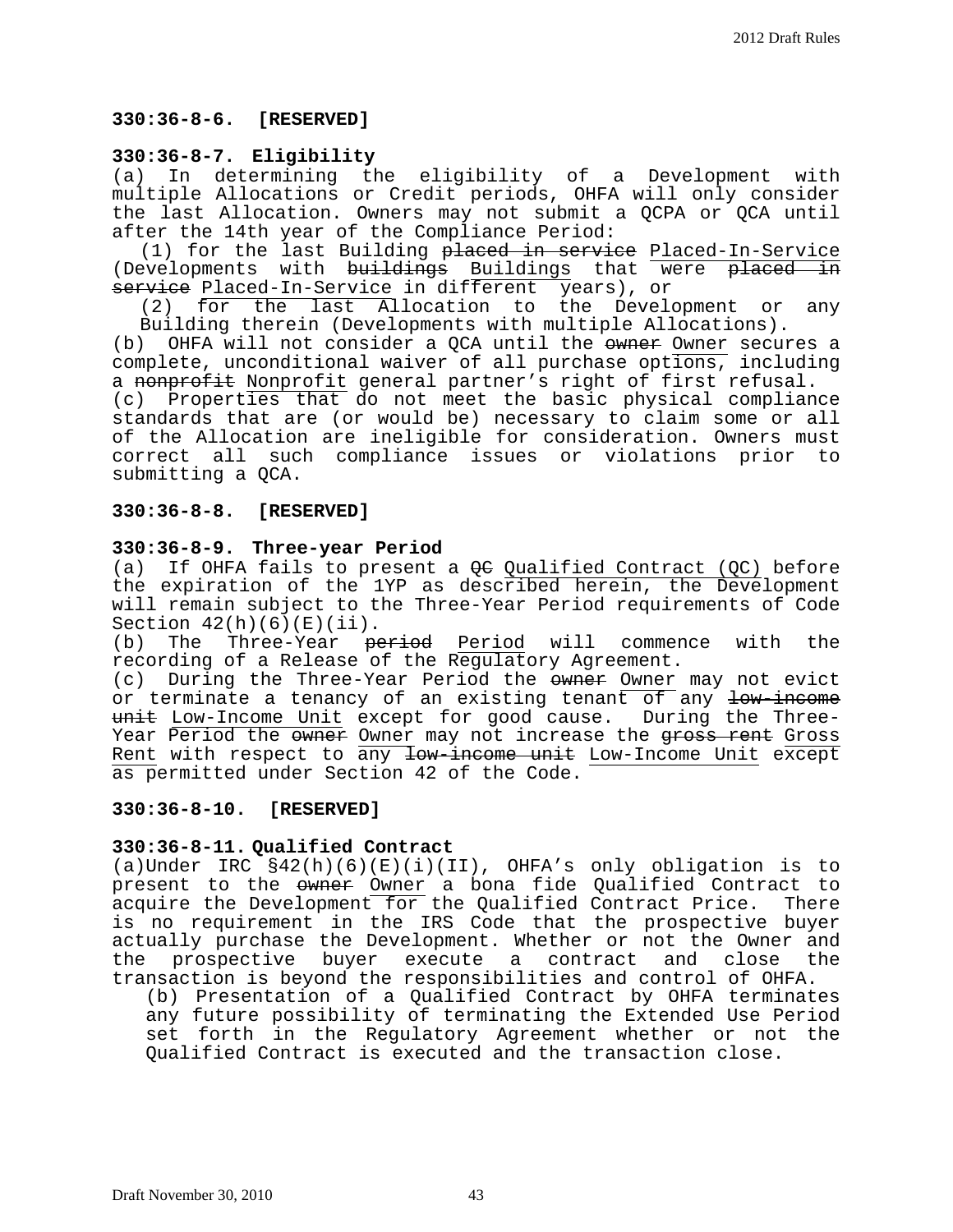## **330:36-8-6. [RESERVED]**

## **330:36-8-7. Eligibility**

(a) In determining the eligibility of a Development with multiple Allocations or Credit periods, OHFA will only consider the last Allocation. Owners may not submit a QCPA or QCA until after the 14th year of the Compliance Period:

(1) for the last Building placed in service Placed-In-Service (Developments with buildings Buildings that were placed in service Placed-In-Service in different years), or

(2) for the last Allocation to the Development or any

Building therein (Developments with multiple Allocations).<br>(b) OHFA will not consider a OCA until the owner Owner secur OHFA will not consider a QCA until the owner Owner secures a complete, unconditional waiver of all purchase options, including a <del>nonprofit</del> Nonprofit general partner's right of first refusal. (c) Properties that do not meet the basic physical compliance standards that are (or would be) necessary to claim some or all of the Allocation are ineligible for consideration. Owners must correct all such compliance issues or violations prior to submitting a QCA.

## **330:36-8-8. [RESERVED]**

## **330:36-8-9. Three-year Period**

(a) If OHFA fails to present a QC Qualified Contract (QC) before the expiration of the 1YP as described herein, the Development will remain subject to the Three-Year Period requirements of Code Section  $42(h)(6)(E)(ii)$ .<br>(b) The Three-Year  $p_6$ 

The Three-Year <del>period</del> Period will commence with the recording of a Release of the Regulatory Agreement.

(c) During the Three-Year Period the owner Owner may not evict or terminate a tenancy of an existing tenant of any low-income unit Low-Income Unit except for good cause. During the Three-Year Period the owner Owner may not increase the gross rent Gross Rent with respect to any low-income unit Low-Income Unit except as permitted under Section 42 of the Code.

#### **330:36-8-10. [RESERVED]**

## **330:36-8-11. Qualified Contract**

(a)Under IRC §42(h)(6)(E)(i)(II), OHFA's only obligation is to present to the owner Owner a bona fide Qualified Contract to acquire the Development for the Qualified Contract Price. There acquire the Development for the Qualified Contract Price. is no requirement in the IRS Code that the prospective buyer actually purchase the Development. Whether or not the Owner and the prospective buyer execute a contract and close the transaction is beyond the responsibilities and control of OHFA.

(b) Presentation of a Qualified Contract by OHFA terminates any future possibility of terminating the Extended Use Period set forth in the Regulatory Agreement whether or not the Qualified Contract is executed and the transaction close.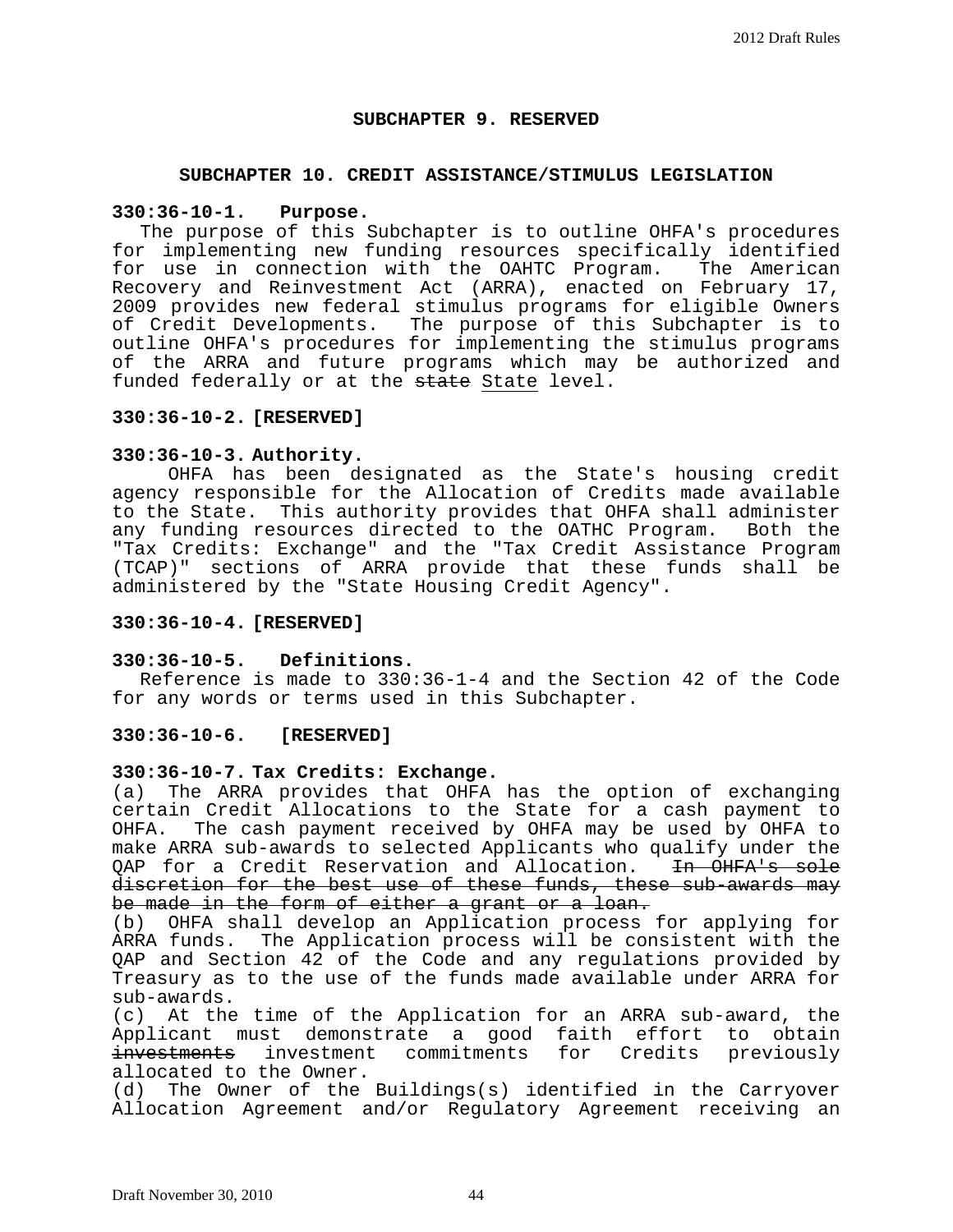## **SUBCHAPTER 9. RESERVED**

## **SUBCHAPTER 10. CREDIT ASSISTANCE/STIMULUS LEGISLATION**

#### **330:36-10-1. Purpose.**

The purpose of this Subchapter is to outline OHFA's procedures for implementing new funding resources specifically identified<br>for use in connection with the OAHTC Program. The American for use in connection with the OAHTC Program. Recovery and Reinvestment Act (ARRA), enacted on February 17, 2009 provides new federal stimulus programs for eligible Owners of Credit Developments. The purpose of this Subchapter is to outline OHFA's procedures for implementing the stimulus programs of the ARRA and future programs which may be authorized and funded federally or at the state State level.

## **330:36-10-2. [RESERVED]**

#### **330:36-10-3. Authority.**

OHFA has been designated as the State's housing credit agency responsible for the Allocation of Credits made available to the State. This authority provides that OHFA shall administer any funding resources directed to the OATHC Program. Both the "Tax Credits: Exchange" and the "Tax Credit Assistance Program (TCAP)" sections of ARRA provide that these funds shall be administered by the "State Housing Credit Agency".

#### **330:36-10-4. [RESERVED]**

#### **330:36-10-5. Definitions.**

Reference is made to 330:36-1-4 and the Section 42 of the Code for any words or terms used in this Subchapter.

#### **330:36-10-6. [RESERVED]**

#### **330:36-10-7. Tax Credits: Exchange.**

(a) The ARRA provides that OHFA has the option of exchanging certain Credit Allocations to the State for a cash payment to<br>OHFA. The cash payment received by OHFA may be used by OHFA to The cash payment received by OHFA may be used by OHFA to make ARRA sub-awards to selected Applicants who qualify under the<br>OAP for a Credit Reservation and Allocation. <del>In OHFA's sole</del> QAP for a Credit Reservation and Allocation. discretion for the best use of these funds, these sub-awards may<br>be made in the form of either a grant or a loan.

(b) OHFA shall develop an Application process for applying for ARRA funds. The Application process will be consistent with the QAP and Section 42 of the Code and any regulations provided by Treasury as to the use of the funds made available under ARRA for sub-awards.

(c) At the time of the Application for an ARRA sub-award, the Applicant must demonstrate a good faith effort to obtain<br>investments investment commitments for Credits previously investment commitments allocated to the Owner.<br>(d) The Owner of the

The Owner of the Buildings(s) identified in the Carryover Allocation Agreement and/or Regulatory Agreement receiving an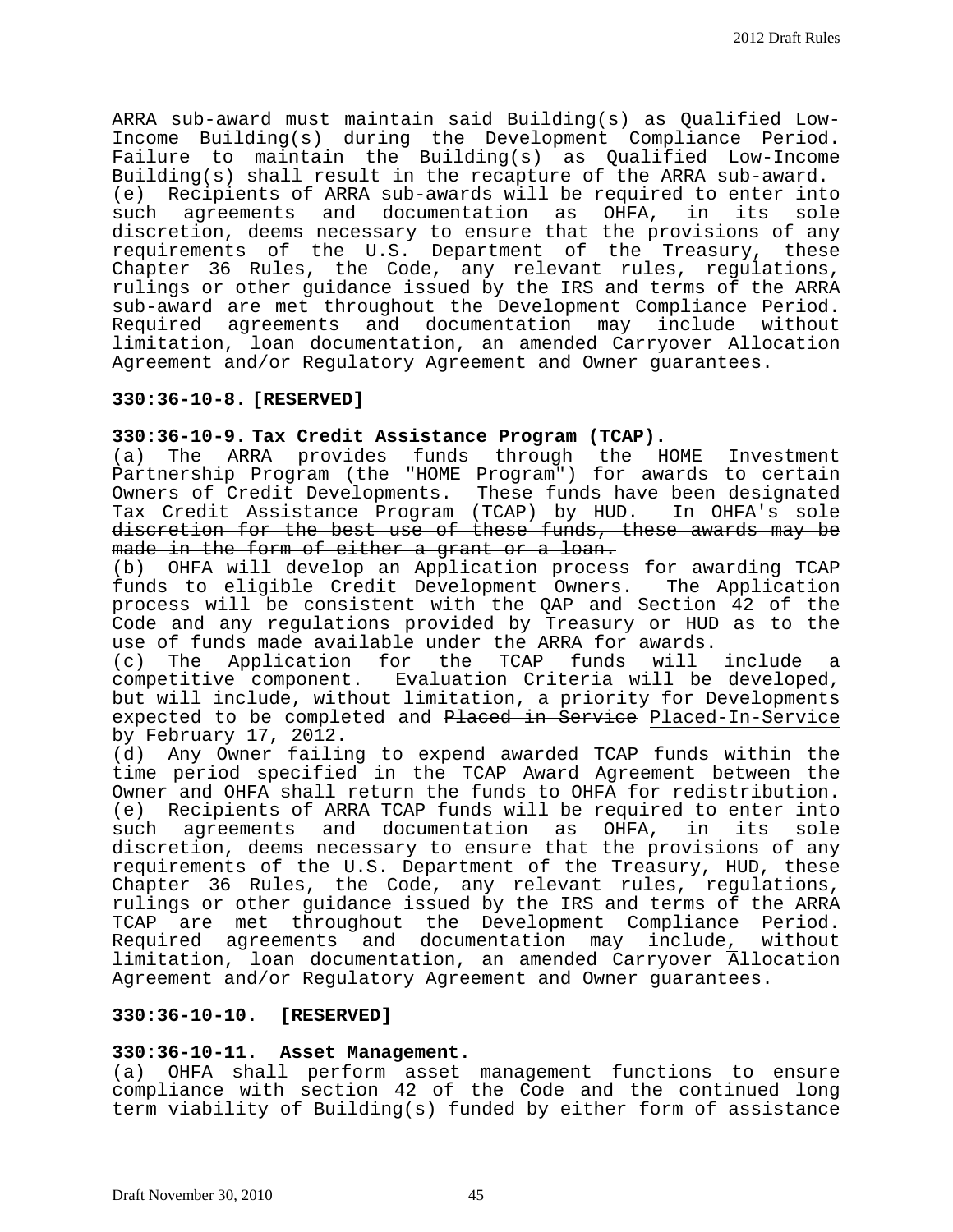ARRA sub-award must maintain said Building(s) as Qualified Low-Income Building(s) during the Development Compliance Period. Failure to maintain the Building(s) as Qualified Low-Income Building(s) shall result in the recapture of the ARRA sub-award.<br>(e) Recipients of ARRA sub-awards will be required to enter int Recipients of ARRA sub-awards will be required to enter into<br>I agreements and documentation as OHFA, in its sole such agreements and documentation as OHFA, discretion, deems necessary to ensure that the provisions of any requirements of the U.S. Department of the Treasury, these Chapter 36 Rules, the Code, any relevant rules, regulations, rulings or other guidance issued by the IRS and terms of the ARRA sub-award are met throughout the Development Compliance Period. Required agreements and documentation may include without limitation, loan documentation, an amended Carryover Allocation Agreement and/or Regulatory Agreement and Owner guarantees.

## **330:36-10-8. [RESERVED]**

## **330:36-10-9. Tax Credit Assistance Program (TCAP).**

(a) The ARRA provides funds through the HOME Investment Partnership Program (the "HOME Program") for awards to certain Owners of Credit Developments. These funds have been designated<br>Tax Credit Assistance Program (TCAP) by HUD. <del>In OHFA's sole</del> Tax Credit Assistance Program (TCAP) by HUD. discretion for the best use of these funds, these awards may be<br>made in the form of either a grant or a loan.

(b) OHFA will develop an Application process for awarding TCAP funds to eligible Credit Development Owners. The Application process will be consistent with the QAP and Section 42 of the Code and any regulations provided by Treasury or HUD as to the use of funds made available under the ARRA for awards.<br>(c) The Application for the TCAP funds will

The Application for the TCAP funds will include a competitive component. Evaluation Criteria will be developed, but will include, without limitation, a priority for Developments expected to be completed and Placed in Service Placed-In-Service by February 17, 2012.

(d) Any Owner failing to expend awarded TCAP funds within the time period specified in the TCAP Award Agreement between the Owner and OHFA shall return the funds to OHFA for redistribution. (e) Recipients of ARRA TCAP funds will be required to enter into<br>such agreements and documentation as OHFA, in its sole agreements and documentation as OHFA, discretion, deems necessary to ensure that the provisions of any requirements of the U.S. Department of the Treasury, HUD, these Chapter 36 Rules, the Code, any relevant rules, regulations, rulings or other guidance issued by the IRS and terms of the ARRA TCAP are met throughout the Development Compliance Period. Required agreements and documentation may include, without limitation, loan documentation, an amended Carryover Allocation Agreement and/or Regulatory Agreement and Owner guarantees.

## **330:36-10-10. [RESERVED]**

## **330:36-10-11. Asset Management.**

(a) OHFA shall perform asset management functions to ensure compliance with section 42 of the Code and the continued long term viability of Building(s) funded by either form of assistance